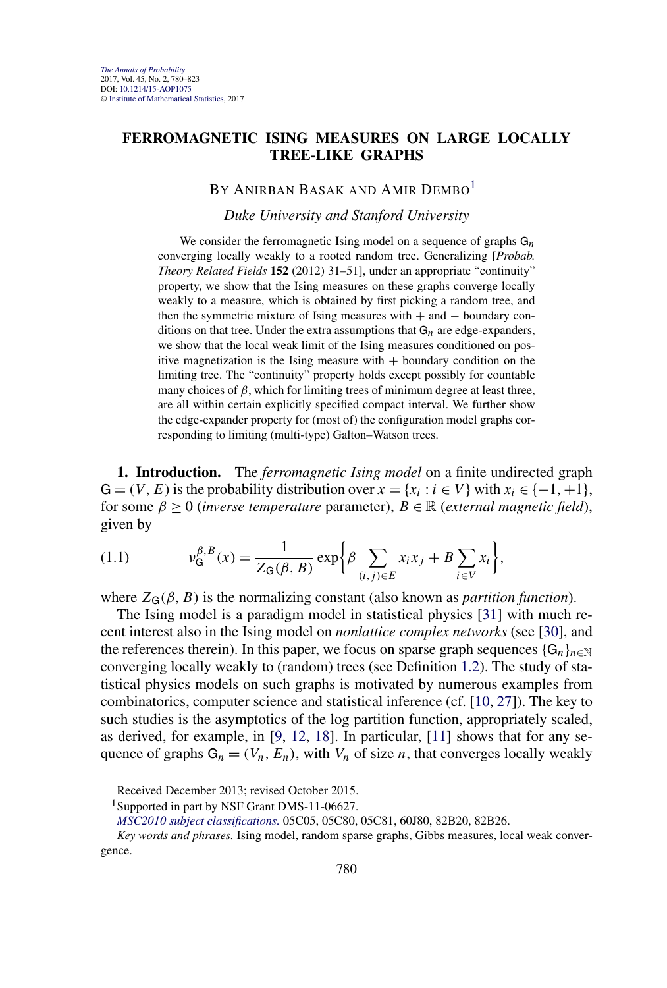## <span id="page-0-0"></span>**FERROMAGNETIC ISING MEASURES ON LARGE LOCALLY TREE-LIKE GRAPHS**

## BY ANIRBAN BASAK AND AMIR DEMBO<sup>1</sup>

## *Duke University and Stanford University*

We consider the ferromagnetic Ising model on a sequence of graphs G*n* converging locally weakly to a rooted random tree. Generalizing [*Probab. Theory Related Fields* **152** (2012) 31–51], under an appropriate "continuity" property, we show that the Ising measures on these graphs converge locally weakly to a measure, which is obtained by first picking a random tree, and then the symmetric mixture of Ising measures with  $+$  and  $-$  boundary conditions on that tree. Under the extra assumptions that  $G_n$  are edge-expanders, we show that the local weak limit of the Ising measures conditioned on positive magnetization is the Ising measure with  $+$  boundary condition on the limiting tree. The "continuity" property holds except possibly for countable many choices of  $\beta$ , which for limiting trees of minimum degree at least three, are all within certain explicitly specified compact interval. We further show the edge-expander property for (most of) the configuration model graphs corresponding to limiting (multi-type) Galton–Watson trees.

**1. Introduction.** The *ferromagnetic Ising model* on a finite undirected graph  $G = (V, E)$  is the probability distribution over  $x = \{x_i : i \in V\}$  with  $x_i \in \{-1, +1\}$ , for some  $\beta \ge 0$  (*inverse temperature* parameter),  $B \in \mathbb{R}$  (*external magnetic field*), given by

$$
(1.1) \t v_{\mathsf{G}}^{\beta,B}(\underline{x}) = \frac{1}{Z_{\mathsf{G}}(\beta,B)} \exp \bigg\{ \beta \sum_{(i,j)\in E} x_i x_j + B \sum_{i\in V} x_i \bigg\},
$$

where  $Z_G(\beta, B)$  is the normalizing constant (also known as *partition function*).

The Ising model is a paradigm model in statistical physics [\[31\]](#page-43-0) with much recent interest also in the Ising model on *nonlattice complex networks* (see [\[30\]](#page-43-0), and the references therein). In this paper, we focus on sparse graph sequences  $\{G_n\}_{n\in\mathbb{N}}$ converging locally weakly to (random) trees (see Definition [1.2\)](#page-4-0). The study of statistical physics models on such graphs is motivated by numerous examples from combinatorics, computer science and statistical inference (cf. [\[10,](#page-42-0) [27\]](#page-43-0)). The key to such studies is the asymptotics of the log partition function, appropriately scaled, as derived, for example, in [\[9,](#page-42-0) [12,](#page-42-0) [18\]](#page-43-0). In particular, [\[11\]](#page-42-0) shows that for any sequence of graphs  $G_n = (V_n, E_n)$ , with  $V_n$  of size *n*, that converges locally weakly

Received December 2013; revised October 2015.

<sup>&</sup>lt;sup>1</sup>Supported in part by NSF Grant DMS-11-06627.

*[MSC2010 subject classifications.](http://www.ams.org/mathscinet/msc/msc2010.html)* 05C05, 05C80, 05C81, 60J80, 82B20, 82B26.

*Key words and phrases.* Ising model, random sparse graphs, Gibbs measures, local weak convergence.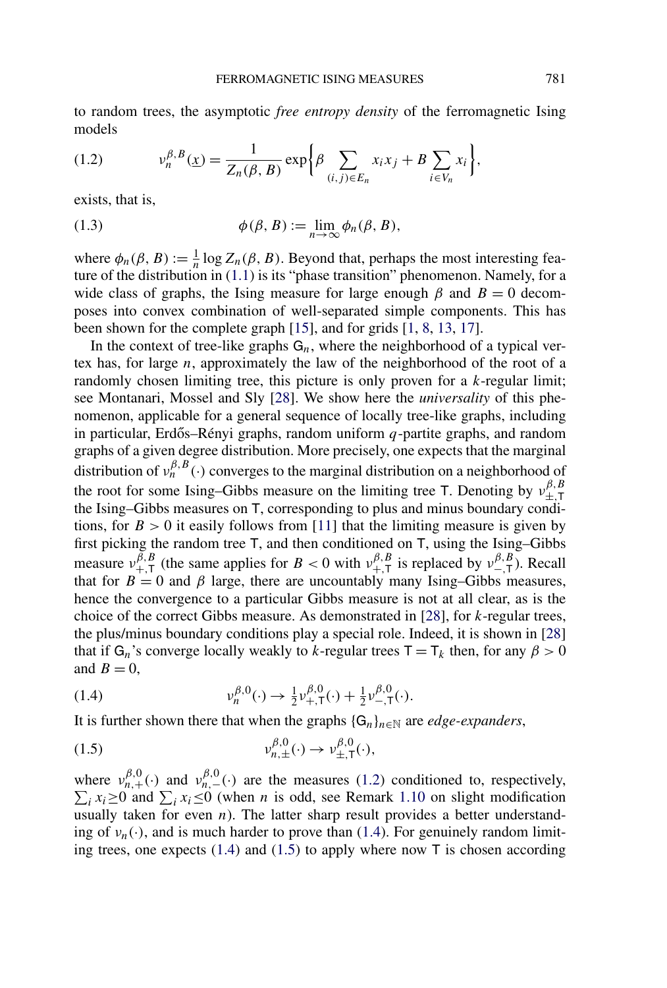<span id="page-1-0"></span>to random trees, the asymptotic *free entropy density* of the ferromagnetic Ising models

(1.2) 
$$
v_n^{\beta,B}(\underline{x}) = \frac{1}{Z_n(\beta, B)} \exp \bigg\{ \beta \sum_{(i,j) \in E_n} x_i x_j + B \sum_{i \in V_n} x_i \bigg\},
$$

exists, that is,

(1.3) 
$$
\phi(\beta, B) := \lim_{n \to \infty} \phi_n(\beta, B),
$$

where  $\phi_n(\beta, B) := \frac{1}{n} \log Z_n(\beta, B)$ . Beyond that, perhaps the most interesting feature of the distribution in  $(1.1)$  is its "phase transition" phenomenon. Namely, for a wide class of graphs, the Ising measure for large enough  $\beta$  and  $B = 0$  decomposes into convex combination of well-separated simple components. This has been shown for the complete graph [\[15\]](#page-43-0), and for grids [\[1,](#page-42-0) [8,](#page-42-0) [13,](#page-43-0) [17\]](#page-43-0).

In the context of tree-like graphs  $G_n$ , where the neighborhood of a typical vertex has, for large *n*, approximately the law of the neighborhood of the root of a randomly chosen limiting tree, this picture is only proven for a *k*-regular limit; see Montanari, Mossel and Sly [\[28\]](#page-43-0). We show here the *universality* of this phenomenon, applicable for a general sequence of locally tree-like graphs, including in particular, Erdős–Rényi graphs, random uniform  $q$ -partite graphs, and random graphs of a given degree distribution. More precisely, one expects that the marginal distribution of *νβ,B <sup>n</sup> (*·*)* converges to the marginal distribution on a neighborhood of the root for some Ising–Gibbs measure on the limiting tree T. Denoting by  $v_{\pm,\text{T}}^{\beta,B}$ the Ising–Gibbs measures on T, corresponding to plus and minus boundary conditions, for  $B > 0$  it easily follows from [\[11\]](#page-42-0) that the limiting measure is given by first picking the random tree T, and then conditioned on T, using the Ising–Gibbs measure  $v_{+,T}^{\beta,B}$  (the same applies for *B* < 0 with  $v_{+,T}^{\beta,B}$  is replaced by  $v_{-,T}^{\beta,B}$ ). Recall that for  $B = 0$  and  $\beta$  large, there are uncountably many Ising–Gibbs measures, hence the convergence to a particular Gibbs measure is not at all clear, as is the choice of the correct Gibbs measure. As demonstrated in [\[28\]](#page-43-0), for *k*-regular trees, the plus/minus boundary conditions play a special role. Indeed, it is shown in [\[28\]](#page-43-0) that if  $G_n$ 's converge locally weakly to *k*-regular trees  $T = T_k$  then, for any  $\beta > 0$ and  $B = 0$ ,

(1.4) 
$$
\nu_n^{\beta,0}(\cdot) \to \frac{1}{2} \nu_{+,T}^{\beta,0}(\cdot) + \frac{1}{2} \nu_{-,T}^{\beta,0}(\cdot).
$$

It is further shown there that when the graphs  $\{G_n\}_{n\in\mathbb{N}}$  are *edge-expanders*,

(1.5) 
$$
v_{n,\pm}^{\beta,0}(\cdot) \to v_{\pm,\mathsf{T}}^{\beta,0}(\cdot),
$$

where  $v_{n,+}^{\beta,0}(\cdot)$  and  $v_{n,-}^{\beta,0}$  $\sum$  $n_0^{p,0}$  (·) are the measures (1.2) conditioned to, respectively, *i*  $x_i \ge 0$  and  $\sum_i x_i \le 0$  (when *n* is odd, see Remark [1.10](#page-6-0) on slight modification usually taken for even  $n$ ). The latter sharp result provides a better understanding of  $v_n(\cdot)$ , and is much harder to prove than (1.4). For genuinely random limiting trees, one expects  $(1.4)$  and  $(1.5)$  to apply where now T is chosen according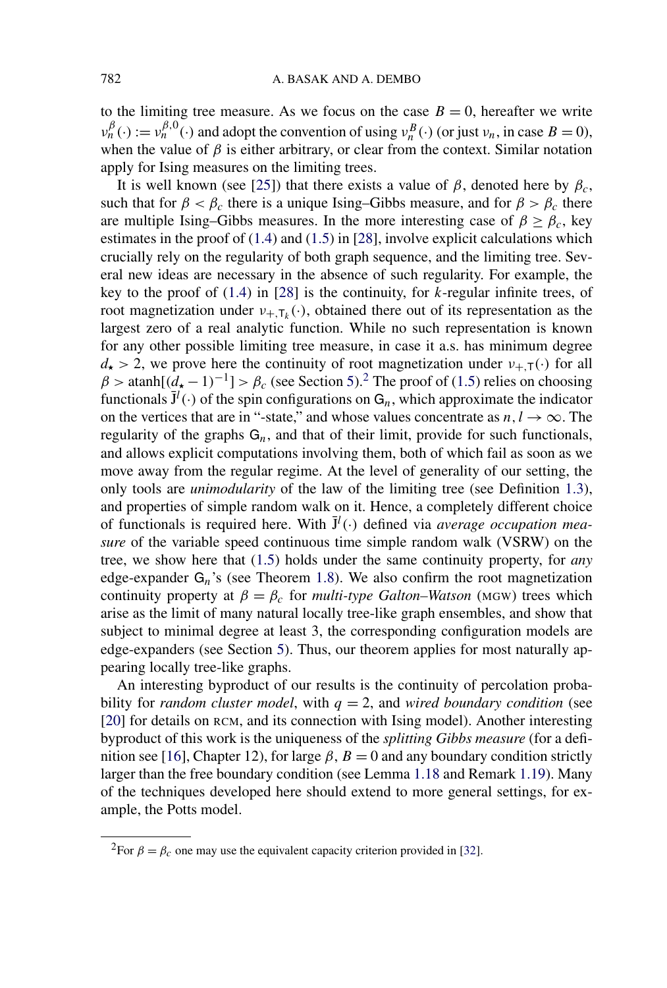to the limiting tree measure. As we focus on the case  $B = 0$ , hereafter we write  $\nu_n^{\beta}(\cdot) := \nu_n^{\beta,0}(\cdot)$  and adopt the convention of using  $\nu_n^B(\cdot)$  (or just  $\nu_n$ , in case  $B = 0$ ), when the value of  $\beta$  is either arbitrary, or clear from the context. Similar notation apply for Ising measures on the limiting trees.

It is well known (see [\[25\]](#page-43-0)) that there exists a value of  $\beta$ , denoted here by  $\beta_c$ , such that for  $\beta < \beta_c$  there is a unique Ising–Gibbs measure, and for  $\beta > \beta_c$  there are multiple Ising–Gibbs measures. In the more interesting case of  $\beta \ge \beta_c$ , key estimates in the proof of  $(1.4)$  and  $(1.5)$  in [\[28\]](#page-43-0), involve explicit calculations which crucially rely on the regularity of both graph sequence, and the limiting tree. Several new ideas are necessary in the absence of such regularity. For example, the key to the proof of [\(1.4\)](#page-1-0) in [\[28\]](#page-43-0) is the continuity, for *k*-regular infinite trees, of root magnetization under  $v_{+T_k}(\cdot)$ , obtained there out of its representation as the largest zero of a real analytic function. While no such representation is known for any other possible limiting tree measure, in case it a.s. has minimum degree  $d_{\star}$  > 2, we prove here the continuity of root magnetization under  $v_{+,\tau}(\cdot)$  for all  $\beta$  > atanh $[(d_{\star} - 1)^{-1}]$  >  $\beta_c$  (see Section [5\)](#page-34-0).<sup>2</sup> The proof of [\(1.5\)](#page-1-0) relies on choosing functionals  $\bar{J}^l(\cdot)$  of the spin configurations on  $G_n$ , which approximate the indicator on the vertices that are in "-state," and whose values concentrate as  $n, l \rightarrow \infty$ . The regularity of the graphs  $G_n$ , and that of their limit, provide for such functionals, and allows explicit computations involving them, both of which fail as soon as we move away from the regular regime. At the level of generality of our setting, the only tools are *unimodularity* of the law of the limiting tree (see Definition [1.3\)](#page-4-0), and properties of simple random walk on it. Hence, a completely different choice of functionals is required here. With  $\bar{J}^l(\cdot)$  defined via *average occupation measure* of the variable speed continuous time simple random walk (VSRW) on the tree, we show here that [\(1.5\)](#page-1-0) holds under the same continuity property, for *any* edge-expander G*n*'s (see Theorem [1.8\)](#page-6-0). We also confirm the root magnetization continuity property at  $\beta = \beta_c$  for *multi-type Galton–Watson* (MGW) trees which arise as the limit of many natural locally tree-like graph ensembles, and show that subject to minimal degree at least 3, the corresponding configuration models are edge-expanders (see Section [5\)](#page-34-0). Thus, our theorem applies for most naturally appearing locally tree-like graphs.

An interesting byproduct of our results is the continuity of percolation probability for *random cluster model*, with  $q = 2$ , and *wired boundary condition* (see [\[20\]](#page-43-0) for details on RCM, and its connection with Ising model). Another interesting byproduct of this work is the uniqueness of the *splitting Gibbs measure* (for a defi-nition see [\[16\]](#page-43-0), Chapter 12), for large  $\beta$ ,  $B = 0$  and any boundary condition strictly larger than the free boundary condition (see Lemma [1.18](#page-10-0) and Remark [1.19\)](#page-10-0). Many of the techniques developed here should extend to more general settings, for example, the Potts model.

<sup>&</sup>lt;sup>2</sup>For  $\beta = \beta_c$  one may use the equivalent capacity criterion provided in [\[32\]](#page-43-0).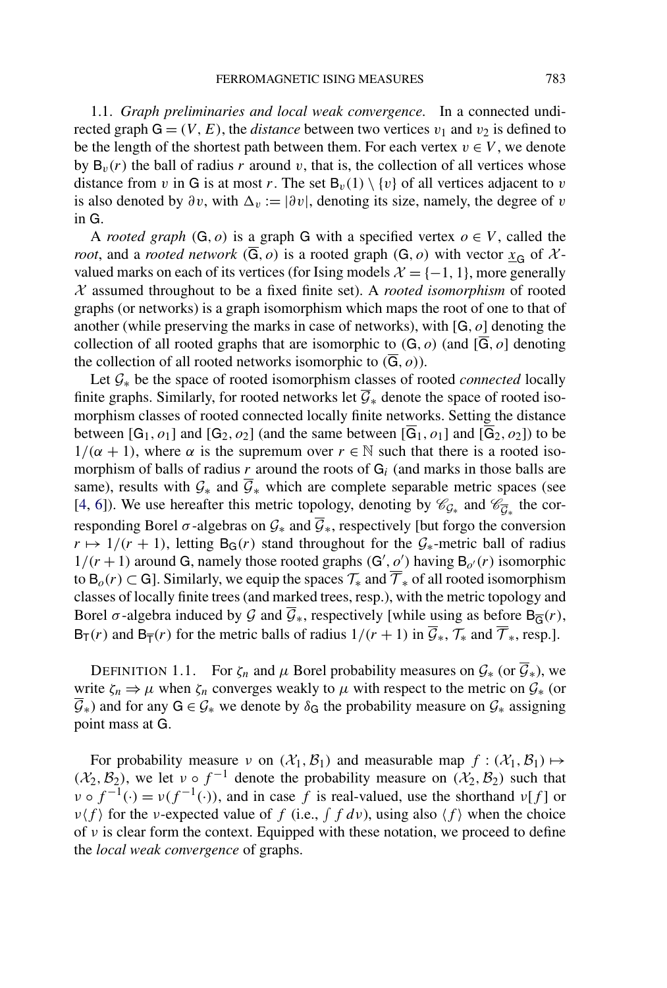1.1. *Graph preliminaries and local weak convergence*. In a connected undirected graph  $G = (V, E)$ , the *distance* between two vertices  $v_1$  and  $v_2$  is defined to be the length of the shortest path between them. For each vertex  $v \in V$ , we denote by  $B_v(r)$  the ball of radius r around v, that is, the collection of all vertices whose distance from *v* in G is at most *r*. The set  $B_v(1) \setminus \{v\}$  of all vertices adjacent to *v* is also denoted by  $\partial v$ , with  $\Delta v := |\partial v|$ , denoting its size, namely, the degree of *v* in G.

A *rooted graph*  $(G, o)$  is a graph G with a specified vertex  $o \in V$ , called the *root*, and a *rooted network*  $(\overline{G}, o)$  is a rooted graph  $(G, o)$  with vector  $x_G$  of  $\mathcal{X}$ valued marks on each of its vertices (for Ising models  $X = \{-1, 1\}$ , more generally X assumed throughout to be a fixed finite set). A *rooted isomorphism* of rooted graphs (or networks) is a graph isomorphism which maps the root of one to that of another (while preserving the marks in case of networks), with [G*,o*] denoting the collection of all rooted graphs that are isomorphic to  $(G, o)$  (and  $[\overline{G}, o]$  denoting the collection of all rooted networks isomorphic to  $(\overline{G}, o)$ ).

Let G<sup>∗</sup> be the space of rooted isomorphism classes of rooted *connected* locally finite graphs. Similarly, for rooted networks let  $\overline{G}_*$  denote the space of rooted isomorphism classes of rooted connected locally finite networks. Setting the distance between  $[G_1, o_1]$  and  $[G_2, o_2]$  (and the same between  $[\overline{G}_1, o_1]$  and  $[\overline{G}_2, o_2]$ ) to be  $1/(\alpha + 1)$ , where  $\alpha$  is the supremum over  $r \in \mathbb{N}$  such that there is a rooted isomorphism of balls of radius *r* around the roots of G*<sup>i</sup>* (and marks in those balls are same), results with  $G_*$  and  $\overline{G}_*$  which are complete separable metric spaces (see [\[4,](#page-42-0) [6\]](#page-42-0)). We use hereafter this metric topology, denoting by  $\mathcal{C}_{G<sub>∗</sub>}$  and  $\mathcal{C}_{\overline{G}_\star}$  the corresponding Borel  $\sigma$ -algebras on  $\mathcal{G}_*$  and  $\overline{\mathcal{G}}_*$ , respectively [but forgo the conversion  $r \mapsto 1/(r + 1)$ , letting B<sub>G</sub> $(r)$  stand throughout for the  $\mathcal{G}_{*}$ -metric ball of radius  $1/(r + 1)$  around G, namely those rooted graphs  $(G', o')$  having  $B_{o'}(r)$  isomorphic to B<sub>o</sub>(r) ⊂ G]. Similarly, we equip the spaces  $\mathcal{T}_{*}$  and  $\overline{\mathcal{T}}_{*}$  of all rooted isomorphism classes of locally finite trees (and marked trees, resp.), with the metric topology and Borel  $\sigma$ -algebra induced by  $\mathcal G$  and  $\overline{\mathcal G}_*$ , respectively [while using as before  $B_{\overline{G}}(r)$ ,  $B_T(r)$  and  $B_{\overline{T}}(r)$  for the metric balls of radius  $1/(r+1)$  in  $\overline{\mathcal{G}}_*, \mathcal{T}_*$  and  $\overline{\mathcal{T}}_*$ , resp.].

DEFINITION 1.1. For  $\zeta_n$  and  $\mu$  Borel probability measures on  $\mathcal{G}_*$  (or  $\overline{\mathcal{G}}_*$ ), we write  $\zeta_n \Rightarrow \mu$  when  $\zeta_n$  converges weakly to  $\mu$  with respect to the metric on  $\mathcal{G}_*$  (or  $\overline{G}_*$ ) and for any  $G \in \mathcal{G}_*$  we denote by  $\delta_G$  the probability measure on  $\mathcal{G}_*$  assigning point mass at G.

For probability measure *ν* on  $(\mathcal{X}_1, \mathcal{B}_1)$  and measurable map  $f : (\mathcal{X}_1, \mathcal{B}_1) \mapsto$  $(\mathcal{X}_2, \mathcal{B}_2)$ , we let  $v \circ f^{-1}$  denote the probability measure on  $(\mathcal{X}_2, \mathcal{B}_2)$  such that *ν*  $\circ$   $f^{-1}(\cdot) = v(f^{-1}(\cdot))$ , and in case *f* is real-valued, use the shorthand *v*[*f*] or *ν*(*f*) for the *ν*-expected value of *f* (i.e.,  $\int f d\nu$ ), using also  $\langle f \rangle$  when the choice of *ν* is clear form the context. Equipped with these notation, we proceed to define the *local weak convergence* of graphs.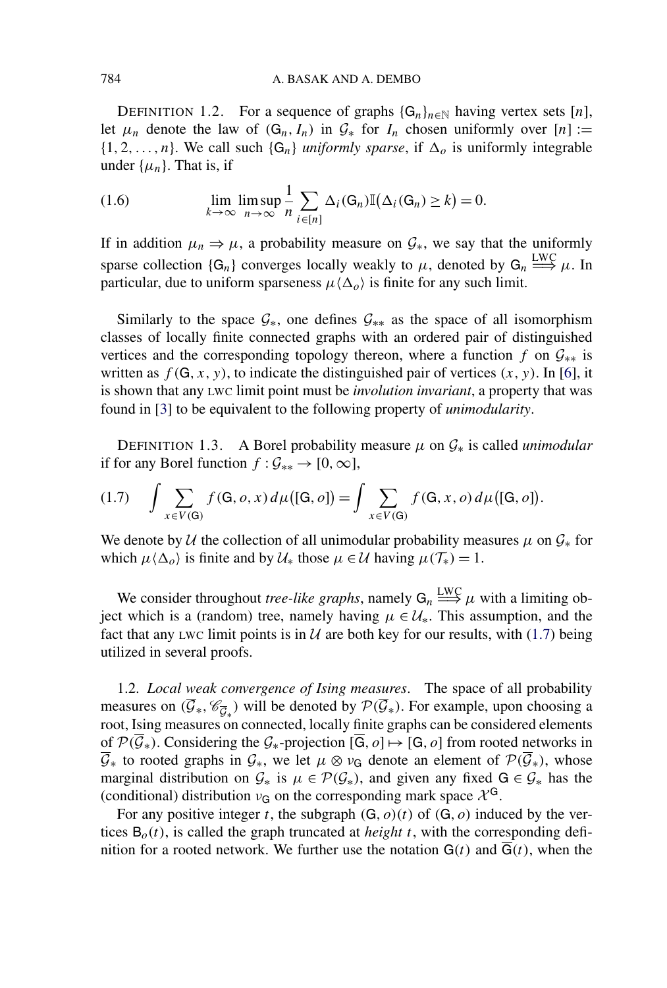<span id="page-4-0"></span>DEFINITION 1.2. For a sequence of graphs  $\{G_n\}_{n\in\mathbb{N}}$  having vertex sets [n], let  $\mu_n$  denote the law of  $(G_n, I_n)$  in  $\mathcal{G}_*$  for  $I_n$  chosen uniformly over  $[n] :=$  $\{1, 2, \ldots, n\}$ . We call such  $\{G_n\}$  *uniformly sparse*, if  $\Delta_o$  is uniformly integrable under  $\{\mu_n\}$ . That is, if

(1.6) 
$$
\lim_{k \to \infty} \limsup_{n \to \infty} \frac{1}{n} \sum_{i \in [n]} \Delta_i(G_n) \mathbb{I}(\Delta_i(G_n) \geq k) = 0.
$$

If in addition  $\mu_n \Rightarrow \mu$ , a probability measure on  $\mathcal{G}_*$ , we say that the uniformly sparse collection  $\{G_n\}$  converges locally weakly to  $\mu$ , denoted by  $G_n \stackrel{\text{LWC}}{\Longrightarrow} \mu$ . In particular, due to uniform sparseness  $\mu \langle \Delta_{\alpha} \rangle$  is finite for any such limit.

Similarly to the space  $\mathcal{G}_{*}$ , one defines  $\mathcal{G}_{**}$  as the space of all isomorphism classes of locally finite connected graphs with an ordered pair of distinguished vertices and the corresponding topology thereon, where a function *f* on  $\mathcal{G}_{**}$  is written as  $f(G, x, y)$ , to indicate the distinguished pair of vertices  $(x, y)$ . In [\[6\]](#page-42-0), it is shown that any LWC limit point must be *involution invariant*, a property that was found in [\[3\]](#page-42-0) to be equivalent to the following property of *unimodularity*.

DEFINITION 1.3. A Borel probability measure  $\mu$  on  $\mathcal{G}_*$  is called *unimodular* if for any Borel function  $f : \mathcal{G}_{**} \to [0, \infty]$ ,

$$
(1.7) \quad \int \sum_{x \in V(G)} f(G, o, x) d\mu([\mathsf{G}, o]) = \int \sum_{x \in V(\mathsf{G})} f(\mathsf{G}, x, o) d\mu([\mathsf{G}, o]).
$$

We denote by U the collection of all unimodular probability measures  $\mu$  on  $\mathcal{G}_*$  for which  $\mu \langle \Delta_o \rangle$  is finite and by  $\mathcal{U}_*$  those  $\mu \in \mathcal{U}$  having  $\mu(\mathcal{T}_*) = 1$ .

We consider throughout *tree-like graphs*, namely  $G_n \stackrel{\text{LWC}}{\Longrightarrow} \mu$  with a limiting object which is a (random) tree, namely having  $\mu \in \mathcal{U}_*$ . This assumption, and the fact that any LWC limit points is in  $U$  are both key for our results, with (1.7) being utilized in several proofs.

1.2. *Local weak convergence of Ising measures*. The space of all probability measures on  $(\overline{\mathcal{G}}_*, \mathcal{C}_{\overline{\mathcal{G}}_*})$  will be denoted by  $\mathcal{P}(\overline{\mathcal{G}}_*)$ . For example, upon choosing a root, Ising measures on connected, locally finite graphs can be considered elements of  $\mathcal{P}(\overline{\mathcal{G}}_*)$ . Considering the  $\mathcal{G}_*$ -projection  $[\overline{\mathsf{G}}, o] \mapsto [\mathsf{G}, o]$  from rooted networks in  $\overline{G}_*$  to rooted graphs in  $G_*,$  we let  $\mu \otimes \nu_G$  denote an element of  $\mathcal{P}(\overline{G}_*),$  whose marginal distribution on  $G_*$  is  $\mu \in \mathcal{P}(\mathcal{G}_*)$ , and given any fixed  $G \in \mathcal{G}_*$  has the (conditional) distribution  $v_G$  on the corresponding mark space  $\chi^G$ .

For any positive integer *t*, the subgraph  $(G, o)(t)$  of  $(G, o)$  induced by the vertices  $B<sub>o</sub>(t)$ , is called the graph truncated at *height t*, with the corresponding definition for a rooted network. We further use the notation  $G(t)$  and  $\overline{G}(t)$ , when the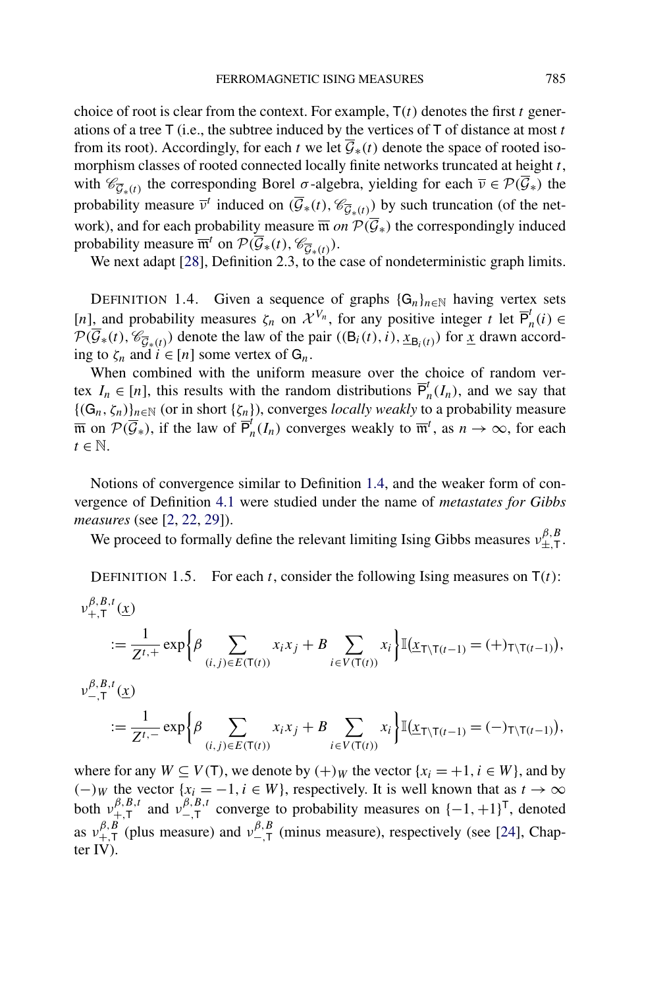<span id="page-5-0"></span>choice of root is clear from the context. For example, T*(t)* denotes the first *t* generations of a tree T (i.e., the subtree induced by the vertices of T of distance at most *t* from its root). Accordingly, for each *t* we let  $\overline{\mathcal{G}}_*(t)$  denote the space of rooted isomorphism classes of rooted connected locally finite networks truncated at height *t*, with  $\mathscr{C}_{\overline{G}_*(t)}$  the corresponding Borel  $\sigma$ -algebra, yielding for each  $\overline{\nu} \in \mathcal{P}(\overline{\mathcal{G}}_*)$  the probability measure  $\overline{v}^t$  induced on  $(\overline{\mathcal{G}}_*(t), \mathcal{C}_{\overline{\mathcal{G}}_*(t)})$  by such truncation (of the network), and for each probability measure  $\overline{m}$  *on*  $\mathcal{P}(\overline{\mathcal{G}}_*)$  the correspondingly induced probability measure  $\overline{\mathfrak{m}}^t$  on  $\mathcal{P}(\overline{\mathcal{G}}_*(t),\mathcal{C}_{\overline{\mathcal{G}}_*(t)}).$ 

We next adapt [\[28\]](#page-43-0), Definition 2.3, to the case of nondeterministic graph limits.

DEFINITION 1.4. Given a sequence of graphs  $\{G_n\}_{n\in\mathbb{N}}$  having vertex sets  $[n]$ , and probability measures  $\zeta_n$  on  $\mathcal{X}^{V_n}$ , for any positive integer *t* let  $\overline{P}_n^t(i) \in$  $\mathcal{P}(\mathcal{G}_{*}(t), \mathcal{C}_{\overline{\mathcal{G}}_{*}(t)})$  denote the law of the pair  $((\mathsf{B}_{i}(t), i), \underline{x}_{\mathsf{B}_{i}(t)})$  for <u>*x*</u> drawn according to  $\zeta_n$  and  $i \in [n]$  some vertex of  $G_n$ .

When combined with the uniform measure over the choice of random vertex  $I_n \in [n]$ , this results with the random distributions  $\overline{P}_n^t(I_n)$ , and we say that  ${(G_n, \zeta_n)}_{n \in \mathbb{N}}$  (or in short  ${\zeta_n}$ ), converges *locally weakly* to a probability measure  $\overline{\mathfrak{m}}$  on  $\mathcal{P}(\overline{\mathcal{G}}_*)$ , if the law of  $\overline{\mathsf{P}}_n^i(I_n)$  converges weakly to  $\overline{\mathfrak{m}}^i$ , as  $n \to \infty$ , for each  $t \in \mathbb{N}$ .

Notions of convergence similar to Definition 1.4, and the weaker form of convergence of Definition [4.1](#page-23-0) were studied under the name of *metastates for Gibbs measures* (see [\[2,](#page-42-0) [22,](#page-43-0) [29\]](#page-43-0)).

We proceed to formally define the relevant limiting Ising Gibbs measures  $v_{\pm,\text{T}}^{\beta,B}$ .

DEFINITION 1.5. For each *t*, consider the following Ising measures on  $T(t)$ :

$$
\begin{split} \nu_{+,T}^{\beta,B,t}(\underline{x}) \\ &:= \frac{1}{Z^{t,+}} \exp \bigg\{ \beta \sum_{(i,j) \in E(T(t))} x_i x_j + B \sum_{i \in V(T(t))} x_i \bigg\} \mathbb{I}(\underline{x}_{T \setminus T(t-1)} = (+)T \setminus T(t-1)), \\ \nu_{-,T}^{\beta,B,t}(\underline{x}) \\ &:= \frac{1}{Z^{t,-}} \exp \bigg\{ \beta \sum_{(i,j) \in E(T(t))} x_i x_j + B \sum_{i \in V(T(t))} x_i \bigg\} \mathbb{I}(\underline{x}_{T \setminus T(t-1)} = (-)T \setminus T(t-1)), \end{split}
$$

where for any  $W \subseteq V(T)$ , we denote by  $(+)_W$  the vector  $\{x_i = +1, i \in W\}$ , and by  $(-)$ *W* the vector {*x<sub>i</sub>* = −1*,i* ∈ *W*}, respectively. It is well known that as *t* → ∞ both  $v_{+,T}^{\beta,B,t}$  and  $v_{-,T}^{\beta,B,t}$  converge to probability measures on  $\{-1,+1\}^{T}$ , denoted as  $v_{+,T}^{\beta,B}$  (plus measure) and  $v_{-,T}^{\beta,B}$  (minus measure), respectively (see [\[24\]](#page-43-0), Chapter IV).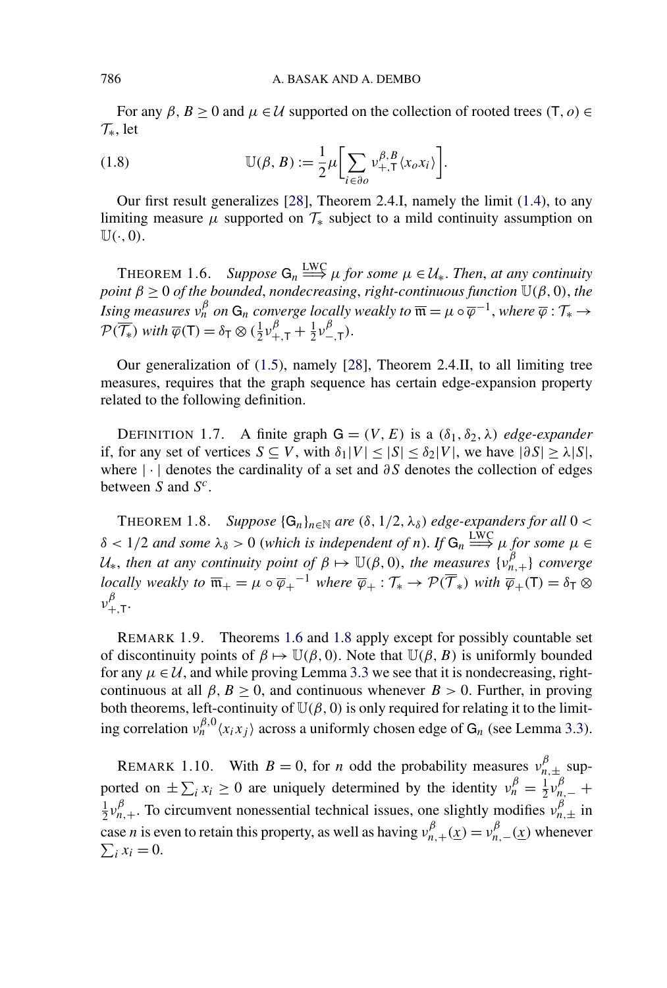For any  $\beta$ ,  $B \ge 0$  and  $\mu \in \mathcal{U}$  supported on the collection of rooted trees  $(T, o) \in$  $\mathcal{T}_{*}$ , let

(1.8) 
$$
\mathbb{U}(\beta, B) := \frac{1}{2} \mu \bigg[ \sum_{i \in \partial o} v_{+, \mathsf{T}}^{\beta, B} \langle x_o x_i \rangle \bigg].
$$

Our first result generalizes [\[28\]](#page-43-0), Theorem 2.4.I, namely the limit [\(1.4\)](#page-1-0), to any limiting measure  $\mu$  supported on  $\mathcal{T}_*$  subject to a mild continuity assumption on  $\mathbb{U}(\cdot, 0)$ .

**THEOREM 1.6.** *Suppose*  $G_n \longrightarrow^{\text{LWC}} \mu$  *for some*  $\mu \in \mathcal{U}_*$ *. Then, at any continuity point β* ≥ 0 *of the bounded*, *nondecreasing*, *right-continuous function* U*(β,* 0*)*, *the Ising measures*  $v_n^{\beta}$  *on*  $G_n$  *converge locally weakly to*  $\overline{\mathfrak{m}} = \mu \circ \overline{\varphi}^{-1}$ *, where*  $\overline{\varphi} : \mathcal{T}_* \to$  $\mathcal{P}(\overline{\mathcal{T}_{*}})$  *with*  $\overline{\varphi}(\mathsf{T}) = \delta_{\mathsf{T}} \otimes (\frac{1}{2} \nu_{+,\mathsf{T}}^{\beta} + \frac{1}{2} \nu_{-,\mathsf{T}}^{\beta}).$ 

Our generalization of [\(1.5\)](#page-1-0), namely [\[28\]](#page-43-0), Theorem 2.4.II, to all limiting tree measures, requires that the graph sequence has certain edge-expansion property related to the following definition.

DEFINITION 1.7. A finite graph  $G = (V, E)$  is a  $(\delta_1, \delta_2, \lambda)$  *edge-expander* if, for any set of vertices  $S \subseteq V$ , with  $\delta_1 |V| \leq |S| \leq \delta_2 |V|$ , we have  $|\partial S| \geq \lambda |S|$ , where |·| denotes the cardinality of a set and *∂S* denotes the collection of edges between *S* and *Sc*.

THEOREM 1.8. *Suppose*  $\{G_n\}_{n\in\mathbb{N}}$  *are*  $(\delta, 1/2, \lambda_{\delta})$  *edge-expanders for all*  $0 < \infty$  $\delta$  < 1/2 *and some*  $\lambda_{\delta}$  > 0 (*which is independent of n*). If  $G_n \stackrel{\text{LWC}}{\Longrightarrow} \mu$  for some  $\mu \in$  $U_*$ , *then at any continuity point of*  $\beta \mapsto \mathbb{U}(\beta, 0)$ , *the measures*  $\{v_{n,+}^{\beta}\}$  *converge locally weakly to*  $\overline{m}_+ = \mu \circ \overline{\varphi}_+^{-1}$  *where*  $\overline{\varphi}_+ : \mathcal{T}_* \to \mathcal{P}(\overline{\mathcal{T}}_*)$  *with*  $\overline{\varphi}_+ (\mathcal{T}) = \delta_{\mathcal{T}} \otimes$ *νβ* <sup>+</sup>*,*T.

REMARK 1.9. Theorems 1.6 and 1.8 apply except for possibly countable set of discontinuity points of  $\beta \mapsto \mathbb{U}(\beta, 0)$ . Note that  $\mathbb{U}(\beta, B)$  is uniformly bounded for any  $\mu \in \mathcal{U}$ , and while proving Lemma [3.3](#page-17-0) we see that it is nondecreasing, rightcontinuous at all  $\beta$ ,  $B \ge 0$ , and continuous whenever  $B > 0$ . Further, in proving both theorems, left-continuity of  $\mathbb{U}(\beta, 0)$  is only required for relating it to the limiting correlation  $v_n^{\beta,0}(x_ix_j)$  across a uniformly chosen edge of  $G_n$  (see Lemma [3.3\)](#page-17-0).

REMARK 1.10. With  $B = 0$ , for *n* odd the probability measures  $v_{n,\pm}^{\beta}$  supported on  $\pm \sum_i x_i \ge 0$  are uniquely determined by the identity  $v_n^{\beta} = \frac{1}{2} v_{n,-}^{\beta} +$  $\frac{1}{2}v_{n,+}^{\beta}$ . To circumvent nonessential technical issues, one slightly modifies  $v_{n,\pm}^{\beta}$  in case *n* is even to retain this property, as well as having  $v_{n,+}^{\beta}(\underline{x}) = v_{n,-}^{\beta}(\underline{x})$  whenever  $\sum_i x_i = 0.$ 

<span id="page-6-0"></span>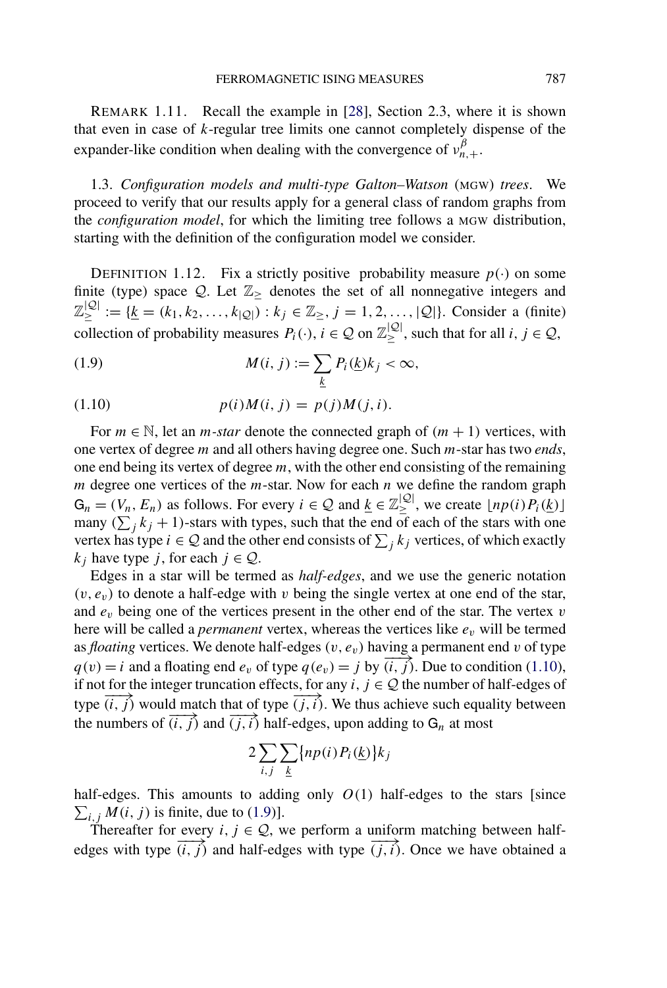<span id="page-7-0"></span>REMARK 1.11. Recall the example in [\[28\]](#page-43-0), Section 2.3, where it is shown that even in case of *k*-regular tree limits one cannot completely dispense of the expander-like condition when dealing with the convergence of  $v_{n,+}^{\beta}$ .

1.3. *Configuration models and multi-type Galton–Watson* (MGW) *trees*. We proceed to verify that our results apply for a general class of random graphs from the *configuration model*, for which the limiting tree follows a MGW distribution, starting with the definition of the configuration model we consider.

DEFINITION 1.12. Fix a strictly positive probability measure  $p(\cdot)$  on some finite (type) space  $Q$ . Let  $\mathbb{Z}_{\geq}$  denotes the set of all nonnegative integers and  $\mathbb{Z}^{|\mathcal{Q}|}_\geq := \{ \underline{k} = (k_1, k_2, \dots, k_{|\mathcal{Q}|}) : k_j \in \mathbb{Z}_\geq, j = 1, 2, \dots, |\mathcal{Q}|\}.$  Consider a (finite) collection of probability measures  $P_i(\cdot)$ ,  $i \in \mathcal{Q}$  on  $\mathbb{Z}_{\geq}^{|\mathcal{Q}|}$ , such that for all  $i, j \in \mathcal{Q}$ ,

(1.9) 
$$
M(i, j) := \sum_{\underline{k}} P_i(\underline{k}) k_j < \infty,
$$

(1.10) 
$$
p(i)M(i, j) = p(j)M(j, i).
$$

For  $m \in \mathbb{N}$ , let an *m*-star denote the connected graph of  $(m + 1)$  vertices, with one vertex of degree *m* and all others having degree one. Such *m*-star has two *ends*, one end being its vertex of degree *m*, with the other end consisting of the remaining *m* degree one vertices of the *m*-star. Now for each *n* we define the random graph  $G_n = (V_n, E_n)$  as follows. For every  $i \in \mathcal{Q}$  and  $\underline{k} \in \mathbb{Z}_{\geq}^{|\mathcal{Q}|}$ , we create  $\lfloor np(i)P_i(\underline{k}) \rfloor$ many  $(\sum_j k_j + 1)$ -stars with types, such that the end of each of the stars with one vertex has type  $i \in \mathcal{Q}$  and the other end consists of  $\sum_j k_j$  vertices, of which exactly *k<sub>j</sub>* have type *j*, for each  $j \in Q$ .

Edges in a star will be termed as *half-edges*, and we use the generic notation  $(v, e_v)$  to denote a half-edge with  $v$  being the single vertex at one end of the star, and *ev* being one of the vertices present in the other end of the star. The vertex *v* here will be called a *permanent* vertex, whereas the vertices like *ev* will be termed as *floating* vertices. We denote half-edges  $(v, e_v)$  having a permanent end  $v$  of type  $q(v) = i$  and a floating end  $e_v$  of type  $q(e_v) = j$  by  $\overrightarrow{(i, j)}$ . Due to condition (1.10), if not for the integer truncation effects, for any  $i, j \in \mathcal{Q}$  the number of half-edges of type  $(i, j)$  would match that of type  $(j, i)$ . We thus achieve such equality between the numbers of  $\overrightarrow{(i,j)}$  and  $\overrightarrow{(j,i)}$  half-edges, upon adding to G<sub>n</sub> at most

$$
2\sum_{i,j}\sum_{\underline{k}}\{np(i)P_i(\underline{k})\}k_j
$$

half-edges. This amounts to adding only  $O(1)$  half-edges to the stars [since  $\sum_{i,j} M(i,j)$  is finite, due to (1.9)].

Thereafter for every *i*,  $j \in Q$ , we perform a uniform matching between halfedges with type  $\overrightarrow{(i,j)}$  and half-edges with type  $\overrightarrow{(j,i)}$ . Once we have obtained a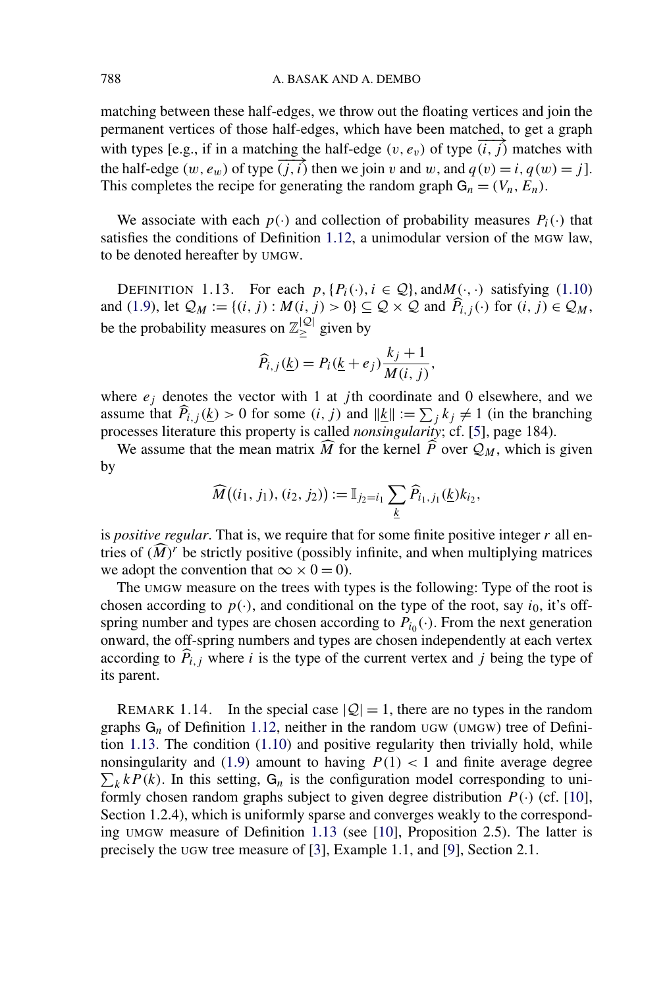<span id="page-8-0"></span>matching between these half-edges, we throw out the floating vertices and join the permanent vertices of those half-edges, which have been matched, to get a graph with types [e.g., if in a matching the half-edge  $(v, e_v)$  of type  $\overrightarrow{(i,j)}$  matches with the half-edge  $(w, e_w)$  of type  $\overrightarrow{(j,i)}$  then we join *v* and *w*, and  $q(v) = i, q(w) = j$ . This completes the recipe for generating the random graph  $G_n = (V_n, E_n)$ .

We associate with each  $p(\cdot)$  and collection of probability measures  $P_i(\cdot)$  that satisfies the conditions of Definition [1.12,](#page-7-0) a unimodular version of the MGW law, to be denoted hereafter by UMGW.

DEFINITION 1.13. For each  $p$ ,  $\{P_i(\cdot), i \in \mathcal{Q}\}\$ , and  $M(\cdot, \cdot)$  satisfying [\(1.10\)](#page-7-0) and [\(1.9\)](#page-7-0), let  $\mathcal{Q}_M := \{(i,j) : M(i,j) > 0\} \subseteq \mathcal{Q} \times \mathcal{Q}$  and  $\widehat{P}_{i,j}(\cdot)$  for  $(i,j) \in \mathcal{Q}_M$ , be the probability measures on  $\mathbb{Z}_\geq^{|{\mathcal{Q}}|}$  given by

$$
\widehat{P}_{i,j}(\underline{k}) = P_i(\underline{k} + e_j) \frac{k_j + 1}{M(i,j)},
$$

where  $e_j$  denotes the vector with 1 at *j*th coordinate and 0 elsewhere, and we assume that  $\widehat{P}_{i,j}(\underline{k}) > 0$  for some  $(i, j)$  and  $||\underline{k}|| := \sum_j k_j \neq 1$  (in the branching processes literature this property is called *nonsingularity*; cf. [\[5\]](#page-42-0), page 184).

We assume that the mean matrix  $\overline{M}$  for the kernel  $\overline{P}$  over  $\mathcal{Q}_M$ , which is given by

$$
\widehat{M}((i_1, j_1), (i_2, j_2)) := \mathbb{I}_{j_2 = i_1} \sum_{\underline{k}} \widehat{P}_{i_1, j_1}(\underline{k}) k_{i_2},
$$

is *positive regular*. That is, we require that for some finite positive integer *r* all entries of  $(M)^r$  be strictly positive (possibly infinite, and when multiplying matrices we adopt the convention that  $\infty \times 0 = 0$ ).

The UMGW measure on the trees with types is the following: Type of the root is chosen according to  $p(\cdot)$ , and conditional on the type of the root, say *i*<sub>0</sub>, it's offspring number and types are chosen according to  $P_{i0}(\cdot)$ . From the next generation onward, the off-spring numbers and types are chosen independently at each vertex according to  $\overline{P}_{i,j}$  where *i* is the type of the current vertex and *j* being the type of its parent.

REMARK 1.14. In the special case  $|Q| = 1$ , there are no types in the random graphs G<sub>n</sub> of Definition [1.12,](#page-7-0) neither in the random UGW (UMGW) tree of Definition 1.13. The condition [\(1.10\)](#page-7-0) and positive regularity then trivially hold, while  $\sum_k kP(k)$ . In this setting,  $G_n$  is the configuration model corresponding to uni-nonsingularity and [\(1.9\)](#page-7-0) amount to having  $P(1) < 1$  and finite average degree formly chosen random graphs subject to given degree distribution  $P(\cdot)$  (cf. [\[10\]](#page-42-0), Section 1.2.4), which is uniformly sparse and converges weakly to the corresponding UMGW measure of Definition 1.13 (see [\[10\]](#page-42-0), Proposition 2.5). The latter is precisely the UGW tree measure of [\[3\]](#page-42-0), Example 1.1, and [\[9\]](#page-42-0), Section 2.1.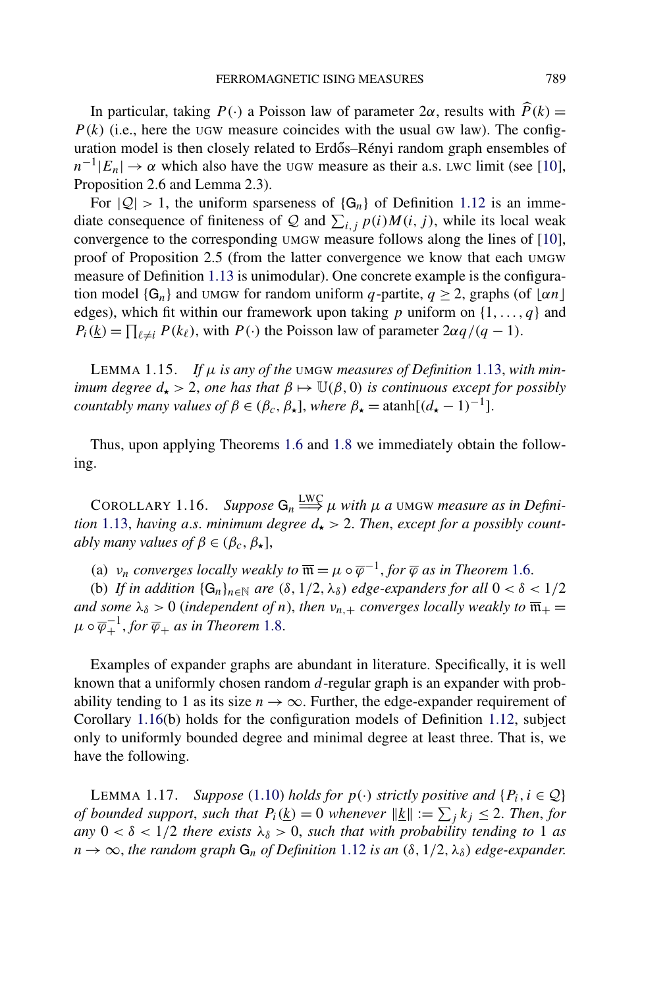<span id="page-9-0"></span>In particular, taking  $P(\cdot)$  a Poisson law of parameter  $2\alpha$ , results with  $\widehat{P}(k) =$  $P(k)$  (i.e., here the UGW measure coincides with the usual GW law). The configuration model is then closely related to Erdős–Rényi random graph ensembles of  $n^{-1}|E_n| \to \alpha$  which also have the UGW measure as their a.s. LWC limit (see [\[10\]](#page-42-0), Proposition 2.6 and Lemma 2.3).

For  $|Q| > 1$ , the uniform sparseness of  $\{G_n\}$  of Definition [1.12](#page-7-0) is an immediate consequence of finiteness of Q and  $\sum_{i,j} p(i)M(i,j)$ , while its local weak convergence to the corresponding UMGW measure follows along the lines of [\[10\]](#page-42-0), proof of Proposition 2.5 (from the latter convergence we know that each UMGW measure of Definition [1.13](#page-8-0) is unimodular). One concrete example is the configuration model  $\{G_n\}$  and UMGW for random uniform *q*-partite,  $q \ge 2$ , graphs (of  $\lfloor \alpha n \rfloor$ edges), which fit within our framework upon taking *p* uniform on {1*,...,q*} and  $P_i(\underline{k}) = \prod_{\ell \neq i} P(k_\ell)$ , with  $P(\cdot)$  the Poisson law of parameter  $2\alpha q/(q-1)$ .

LEMMA 1.15. *If μ is any of the* UMGW *measures of Definition* [1.13,](#page-8-0) *with minimum degree*  $d_{\star} > 2$ , *one has that*  $\beta \mapsto \mathbb{U}(\beta, 0)$  *is continuous except for possibly countably many values of*  $\beta \in (\beta_c, \beta_{\star}]$ , *where*  $\beta_{\star} = \operatorname{atanh}[(d_{\star} - 1)^{-1}]$ .

Thus, upon applying Theorems [1.6](#page-6-0) and [1.8](#page-6-0) we immediately obtain the following.

COROLLARY 1.16. *Suppose*  $G_n \stackrel{\text{LWC}}{\Longrightarrow} \mu$  *with*  $\mu$  *a* umgw *measure as in Definition* [1.13,](#page-8-0) *having a.s. minimum degree*  $d_{\star} > 2$ . *Then, except for a possibly countably many values of*  $\beta \in (\beta_c, \beta_{\star}],$ 

(a)  $v_n$  *converges locally weakly to*  $\overline{\mathfrak{m}} = \mu \circ \overline{\varphi}^{-1}$ , *for*  $\overline{\varphi}$  *as in Theorem* [1.6.](#page-6-0)

(b) *If in addition*  $\{G_n\}_{n\in\mathbb{N}}$  *are*  $(\delta, 1/2, \lambda_{\delta})$  *edge-expanders for all*  $0 < \delta < 1/2$ *and some*  $\lambda_{\delta} > 0$  (*independent of n*), *then*  $\nu_{n,+}$  *converges locally weakly to*  $\overline{\mathfrak{m}}_{+} =$  $\mu \circ \overline{\varphi}_+^{-1}$ , for  $\overline{\varphi}_+$  *as in Theorem* [1.8.](#page-6-0)

Examples of expander graphs are abundant in literature. Specifically, it is well known that a uniformly chosen random *d*-regular graph is an expander with probability tending to 1 as its size  $n \to \infty$ . Further, the edge-expander requirement of Corollary 1.16(b) holds for the configuration models of Definition [1.12,](#page-7-0) subject only to uniformly bounded degree and minimal degree at least three. That is, we have the following.

**LEMMA 1.17.** *Suppose* [\(1.10\)](#page-7-0) *holds for*  $p(\cdot)$  *strictly positive and*  $\{P_i, i \in \mathcal{Q}\}\$ *of bounded support, such that*  $P_i(\underline{k}) = 0$  *whenever*  $||\underline{k}|| := \sum_j k_j \leq 2$ . Then, for *any*  $0 < \delta < 1/2$  *there exists*  $\lambda_{\delta} > 0$ *, such that with probability tending to* 1 *as*  $n \rightarrow \infty$ , *the random graph*  $G_n$  *of Definition* [1.12](#page-7-0) *is an* ( $\delta$ , 1/2,  $\lambda_{\delta}$ ) *edge-expander.*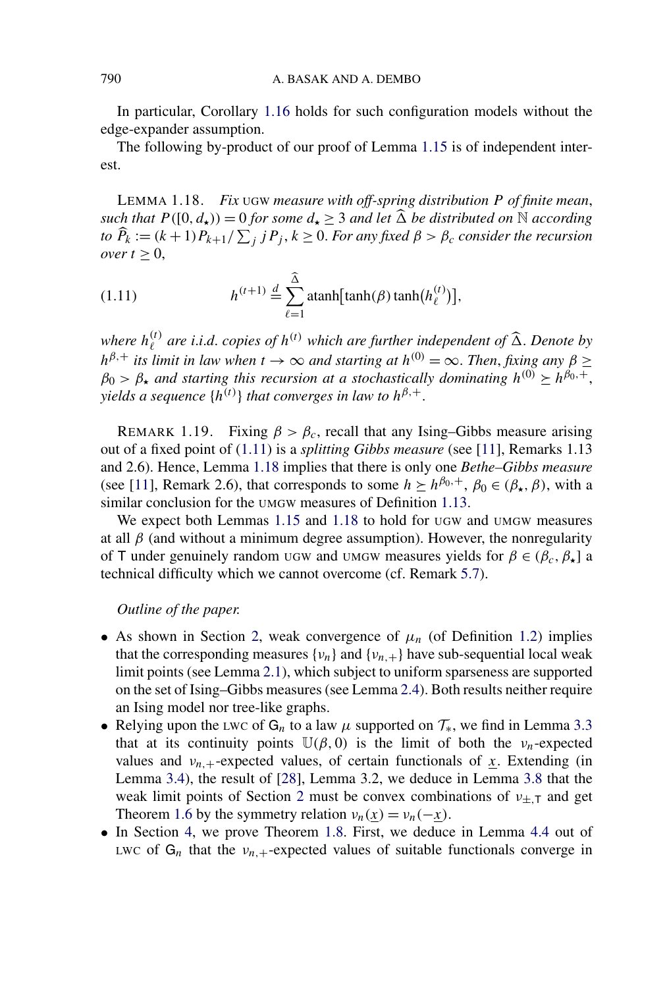In particular, Corollary [1.16](#page-9-0) holds for such configuration models without the edge-expander assumption.

The following by-product of our proof of Lemma [1.15](#page-9-0) is of independent interest.

LEMMA 1.18. *Fix* UGW *measure with off-spring distribution P of finite mean*, *such that*  $P([0, d<sub>**</sub>)) = 0$  *for some*  $d<sub>*</sub> \geq 3$  *and let*  $\widehat{\Delta}$  *be distributed on*  $\mathbb N$  *according to*  $\widehat{P}_k := (k+1)P_{k+1}/\sum_j jP_j, k \ge 0$ . For any fixed  $\beta > \beta_c$  consider the recursion *over*  $t > 0$ ,

(1.11) 
$$
h^{(t+1)} \stackrel{d}{=} \sum_{\ell=1}^{\widehat{\Delta}} \operatorname{atanh}[\tanh(\beta)\tanh(h_{\ell}^{(t)})],
$$

where  $h_{\ell}^{(t)}$  are i.i.d. copies of  $h^{(t)}$  which are further independent of  $\widehat{\Delta}$ . Denote by  $h^{\beta,+}$  *its limit in law when*  $t \to \infty$  *and starting at*  $h^{(0)} = \infty$ . *Then, fixing any*  $\beta \geq$  $\beta_0 > \beta_*$  *and starting this recursion at a stochastically dominating*  $h^{(0)} \geq h^{\beta_0,+}$ *, yields a sequence*  $\{h^{(t)}\}$  *that converges in law to*  $h^{\beta,+}$ .

REMARK 1.19. Fixing  $\beta > \beta_c$ , recall that any Ising–Gibbs measure arising out of a fixed point of (1.11) is a *splitting Gibbs measure* (see [\[11\]](#page-42-0), Remarks 1.13 and 2.6). Hence, Lemma 1.18 implies that there is only one *Bethe–Gibbs measure* (see [\[11\]](#page-42-0), Remark 2.6), that corresponds to some  $h \succeq h^{\beta_0, +}$ ,  $\beta_0 \in (\beta_{\star}, \beta)$ , with a similar conclusion for the UMGW measures of Definition [1.13.](#page-8-0)

We expect both Lemmas [1.15](#page-9-0) and 1.18 to hold for UGW and UMGW measures at all  $\beta$  (and without a minimum degree assumption). However, the nonregularity of T under genuinely random UGW and UMGW measures yields for  $\beta \in (\beta_c, \beta_{\star}]$  a technical difficulty which we cannot overcome (cf. Remark [5.7\)](#page-38-0).

*Outline of the paper.*

- As shown in Section [2,](#page-11-0) weak convergence of  $\mu_n$  (of Definition [1.2\)](#page-4-0) implies that the corresponding measures  $\{v_n\}$  and  $\{v_{n,+}\}$  have sub-sequential local weak limit points (see Lemma [2.1\)](#page-11-0), which subject to uniform sparseness are supported on the set of Ising–Gibbs measures (see Lemma [2.4\)](#page-13-0). Both results neither require an Ising model nor tree-like graphs.
- Relying upon the LWC of  $G_n$  to a law  $\mu$  supported on  $\mathcal{T}_*$ , we find in Lemma [3.3](#page-17-0) that at its continuity points  $\mathbb{U}(\beta, 0)$  is the limit of both the *ν<sub>n</sub>*-expected values and  $v_{n,+}$ -expected values, of certain functionals of  $x$ . Extending (in Lemma [3.4\)](#page-19-0), the result of [\[28\]](#page-43-0), Lemma 3.2, we deduce in Lemma [3.8](#page-22-0) that the weak limit points of Section [2](#page-11-0) must be convex combinations of *ν*±*,*<sup>T</sup> and get Theorem [1.6](#page-6-0) by the symmetry relation  $v_n(x) = v_n(-x)$ .
- In Section [4,](#page-23-0) we prove Theorem [1.8.](#page-6-0) First, we deduce in Lemma [4.4](#page-26-0) out of LWC of  $G_n$  that the  $v_{n,+}$ -expected values of suitable functionals converge in

<span id="page-10-0"></span>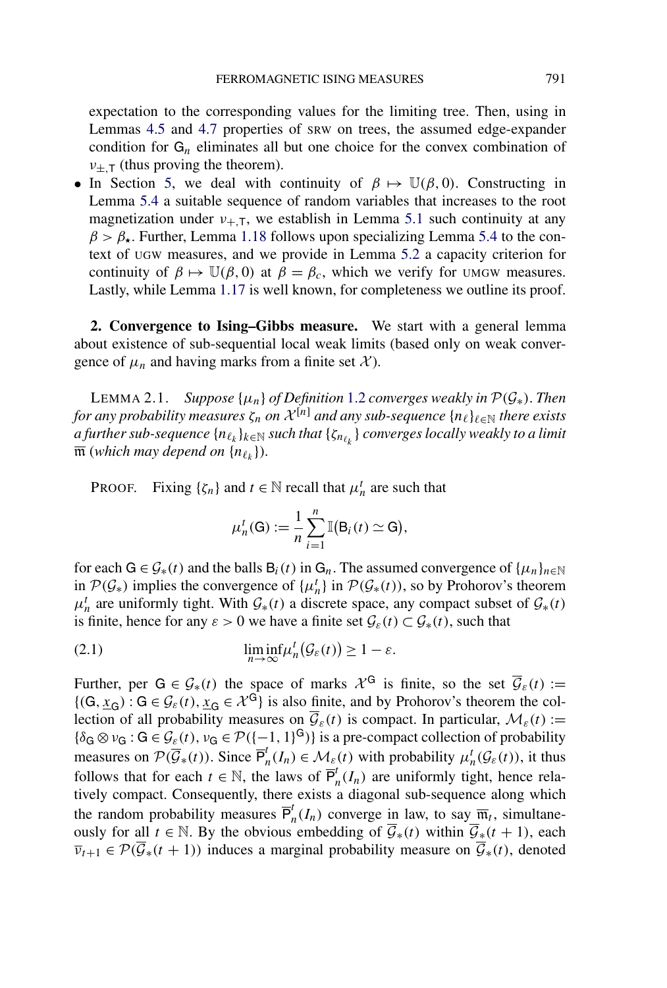<span id="page-11-0"></span>expectation to the corresponding values for the limiting tree. Then, using in Lemmas [4.5](#page-28-0) and [4.7](#page-29-0) properties of SRW on trees, the assumed edge-expander condition for  $G_n$  eliminates all but one choice for the convex combination of  $v_{\pm, T}$  (thus proving the theorem).

• In Section [5,](#page-34-0) we deal with continuity of  $\beta \mapsto \mathbb{U}(\beta, 0)$ . Constructing in Lemma [5.4](#page-36-0) a suitable sequence of random variables that increases to the root magnetization under  $v_{+T}$ , we establish in Lemma [5.1](#page-34-0) such continuity at any  $\beta > \beta_{\star}$ . Further, Lemma [1.18](#page-10-0) follows upon specializing Lemma [5.4](#page-36-0) to the context of UGW measures, and we provide in Lemma [5.2](#page-34-0) a capacity criterion for continuity of  $\beta \mapsto \mathbb{U}(\beta, 0)$  at  $\beta = \beta_c$ , which we verify for UMGW measures. Lastly, while Lemma [1.17](#page-9-0) is well known, for completeness we outline its proof.

**2. Convergence to Ising–Gibbs measure.** We start with a general lemma about existence of sub-sequential local weak limits (based only on weak convergence of  $\mu_n$  and having marks from a finite set  $\mathcal{X}$ ).

LEMMA 2.1. *Suppose*  $\{\mu_n\}$  *of Definition* [1.2](#page-4-0) *converges weakly in*  $\mathcal{P}(\mathcal{G}_*)$ *. Then for any probability measures*  $\zeta_n$  *on*  $\mathcal{X}^{[n]}$  *and any sub-sequence*  $\{n_\ell\}_{\ell \in \mathbb{N}}$  *there exists a further sub-sequence* { $n_{\ell_k}$ } *k*∈ℕ *such that* { $\zeta_{n_{\ell_k}}$ } *converges locally weakly to a limit*  $\overline{\mathfrak{m}}$  (*which may depend on*  $\{n_{\ell_k}\}$ ).

PROOF. Fixing  $\{\zeta_n\}$  and  $t \in \mathbb{N}$  recall that  $\mu_n^t$  are such that

$$
\mu_n^t(\mathsf{G}) := \frac{1}{n} \sum_{i=1}^n \mathbb{I}(\mathsf{B}_i(t) \simeq \mathsf{G}),
$$

for each  $G \in \mathcal{G}_*(t)$  and the balls  $B_i(t)$  in  $G_n$ . The assumed convergence of  $\{\mu_n\}_{n \in \mathbb{N}}$ in  $\mathcal{P}(\mathcal{G}_*)$  implies the convergence of  $\{\mu_n^t\}$  in  $\mathcal{P}(\mathcal{G}_*(t))$ , so by Prohorov's theorem  $\mu_n^t$  are uniformly tight. With  $\mathcal{G}_*(t)$  a discrete space, any compact subset of  $\mathcal{G}_*(t)$ is finite, hence for any  $\varepsilon > 0$  we have a finite set  $\mathcal{G}_{\varepsilon}(t) \subset \mathcal{G}_{*}(t)$ , such that

(2.1) 
$$
\liminf_{n \to \infty} \mu_n^t(\mathcal{G}_{\varepsilon}(t)) \geq 1 - \varepsilon.
$$

Further, per  $G \in \mathcal{G}_*(t)$  the space of marks  $\mathcal{X}^G$  is finite, so the set  $\overline{\mathcal{G}}_{\varepsilon}(t) :=$  ${(G, \underline{x}_G) : G \in \mathcal{G}_{\varepsilon}(t), \underline{x}_G \in \mathcal{X}^G}$  is also finite, and by Prohorov's theorem the collection of all probability measures on  $\overline{\mathcal{G}}_{\varepsilon}(t)$  is compact. In particular,  $\mathcal{M}_{\varepsilon}(t) :=$  ${\delta_G \otimes \nu_G : G \in \mathcal{G}_{\varepsilon}(t), \nu_G \in \mathcal{P}([-1, 1]^G)}$  is a pre-compact collection of probability measures on  $\mathcal{P}(\overline{\mathcal{G}}_*(t))$ . Since  $\overline{P}^t_n(I_n) \in \mathcal{M}_{\varepsilon}(t)$  with probability  $\mu^t_n(\mathcal{G}_{\varepsilon}(t))$ , it thus follows that for each  $t \in \mathbb{N}$ , the laws of  $\overline{P}_n^t(I_n)$  are uniformly tight, hence relatively compact. Consequently, there exists a diagonal sub-sequence along which the random probability measures  $\overline{P}_n^t(I_n)$  converge in law, to say  $\overline{m}_t$ , simultaneously for all *t* ∈ N. By the obvious embedding of  $\overline{\mathcal{G}}_*(t)$  within  $\overline{\mathcal{G}}_*(t+1)$ , each  $\overline{v}_{t+1} \in \mathcal{P}(\overline{\mathcal{G}}_*(t+1))$  induces a marginal probability measure on  $\overline{\mathcal{G}}_*(t)$ , denoted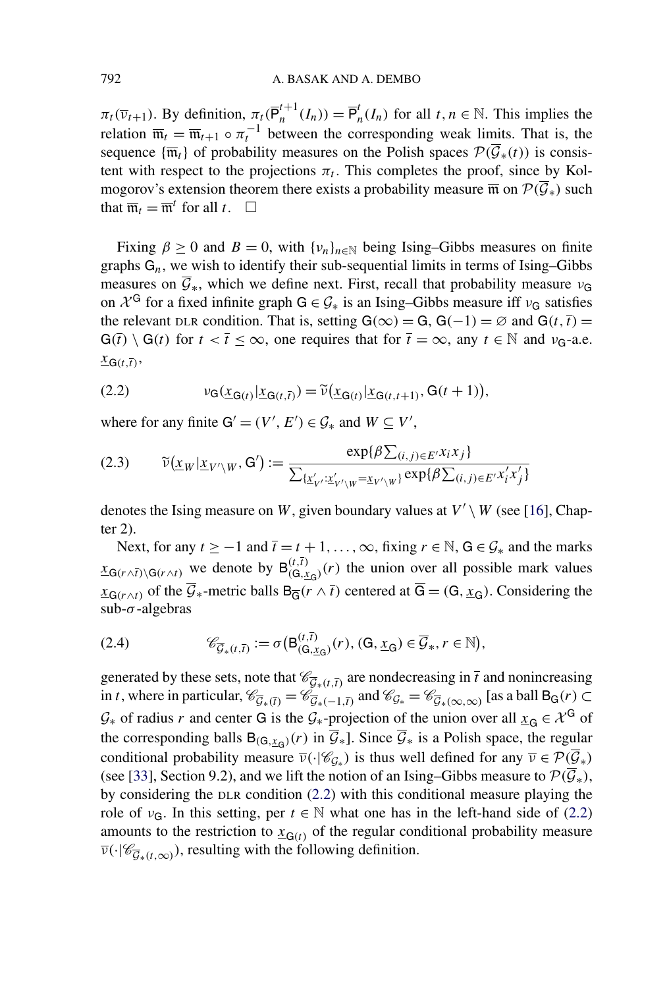<span id="page-12-0"></span> $\pi_t(\overline{\nu}_{t+1})$ . By definition,  $\pi_t(\overline{P}_n^{t+1}(I_n)) = \overline{P}_n^t(I_n)$  for all  $t, n \in \mathbb{N}$ . This implies the relation  $\overline{\mathfrak{m}}_t = \overline{\mathfrak{m}}_{t+1} \circ \pi_t^{-1}$  between the corresponding weak limits. That is, the sequence  $\{\overline{\mathfrak{m}}_t\}$  of probability measures on the Polish spaces  $\mathcal{P}(\overline{\mathcal{G}}_*(t))$  is consistent with respect to the projections  $\pi_t$ . This completes the proof, since by Kolmogorov's extension theorem there exists a probability measure  $\overline{m}$  on  $\mathcal{P}(\overline{\mathcal{G}}_*)$  such that  $\overline{\mathfrak{m}}_t = \overline{\mathfrak{m}}^t$  for all  $t$ .  $\Box$ 

Fixing  $\beta \ge 0$  and  $B = 0$ , with  $\{v_n\}_{n \in \mathbb{N}}$  being Ising–Gibbs measures on finite graphs  $G_n$ , we wish to identify their sub-sequential limits in terms of Ising–Gibbs measures on  $\overline{G}_*$ , which we define next. First, recall that probability measure  $v_G$ on  $\mathcal{X}^G$  for a fixed infinite graph  $G \in \mathcal{G}_*$  is an Ising–Gibbs measure iff  $v_G$  satisfies the relevant DLR condition. That is, setting  $G(\infty) = G$ ,  $G(-1) = \emptyset$  and  $G(t, \overline{t}) =$  $G(\overline{t}) \setminus G(t)$  for  $t < \overline{t} \le \infty$ , one requires that for  $\overline{t} = \infty$ , any  $t \in \mathbb{N}$  and  $\nu_{G}$ -a.e.  $\frac{X_{\text{G}(t,\overline{t})},$ 

(2.2) 
$$
\nu_G(\underline{x}_{G(t)}|\underline{x}_{G(t,\overline{t})}) = \widetilde{\nu}(\underline{x}_{G(t)}|\underline{x}_{G(t,t+1)}, G(t+1)),
$$

where for any finite  $G' = (V', E') \in \mathcal{G}_*$  and  $W \subseteq V'$ ,

$$
(2.3) \qquad \widetilde{\nu}(\underline{x}_W|\underline{x}_{V'\setminus W}, \mathbf{G}') := \frac{\exp\{\beta \sum_{(i,j)\in E'} x_i x_j\}}{\sum_{\{\underline{x}'_{V'}: \underline{x}'_{V'\setminus W} = \underline{x}_{V'\setminus W}\}} \exp\{\beta \sum_{(i,j)\in E'} x'_i x'_j\}}
$$

denotes the Ising measure on *W*, given boundary values at  $V' \setminus W$  (see [\[16\]](#page-43-0), Chapter 2).

Next, for any  $t \ge -1$  and  $\overline{t} = t + 1, \ldots, \infty$ , fixing  $r \in \mathbb{N}$ ,  $G \in \mathcal{G}_*$  and the marks  $\frac{dX_{G(r\wedge \bar{t})}}{G(r\wedge \bar{t})}$  we denote by  $B_{(G, x_G)}^{(t, \bar{t})}(r)$  the union over all possible mark values  $x_{G(r\wedge t)}$  of the  $\overline{G}_*$ -metric balls  $B_{\overline{G}}(r\wedge \overline{t})$  centered at  $\overline{G} = (G, x_G)$ . Considering the sub-*σ* -algebras

(2.4) 
$$
\mathscr{C}_{\overline{\mathcal{G}}_*(t,\overline{t})} := \sigma\big(\mathsf{B}_{(\mathsf{G},\underline{x}_{\mathsf{G}})}^{(t,\overline{t})}(r), (\mathsf{G},\underline{x}_{\mathsf{G}}) \in \overline{\mathcal{G}}_*, r \in \mathbb{N}\big),
$$

generated by these sets, note that  $\mathcal{C}_{\overline{G}_*(t,\overline{t})}$  are nondecreasing in  $\overline{t}$  and nonincreasing in *t*, where in particular,  $\mathcal{C}_{\overline{\mathcal{G}}_*(t)} = \mathcal{C}_{\overline{\mathcal{G}}_*(-1,\overline{t})}$  and  $\mathcal{C}_{\mathcal{G}_*} = \mathcal{C}_{\overline{\mathcal{G}}_*(\infty,\infty)}$  [as a ball  $B_G(r) \subset$  $G_*$  of radius *r* and center G is the  $G_*$ -projection of the union over all  $x_G \in \mathcal{X}^G$  of the corresponding balls  $B_{(G,x_0)}(r)$  in  $\overline{\mathcal{G}}_*$ ]. Since  $\overline{\mathcal{G}}_*$  is a Polish space, the regular conditional probability measure  $\overline{\nu}(\cdot|\mathscr{C}_{\mathcal{G}_*})$  is thus well defined for any  $\overline{\nu} \in \mathcal{P}(\overline{\mathcal{G}}_*)$ (see [\[33\]](#page-43-0), Section 9.2), and we lift the notion of an Ising–Gibbs measure to  $\mathcal{P}(\overline{\mathcal{G}}_*)$ , by considering the DLR condition (2.2) with this conditional measure playing the role of  $v_G$ . In this setting, per  $t \in \mathbb{N}$  what one has in the left-hand side of (2.2) amounts to the restriction to  $\mathbf{x}_{\mathbf{G}(t)}$  of the regular conditional probability measure  $\overline{\nu}(\cdot|\mathscr{C}_{\overline{G}_*(t,\infty)})$ , resulting with the following definition.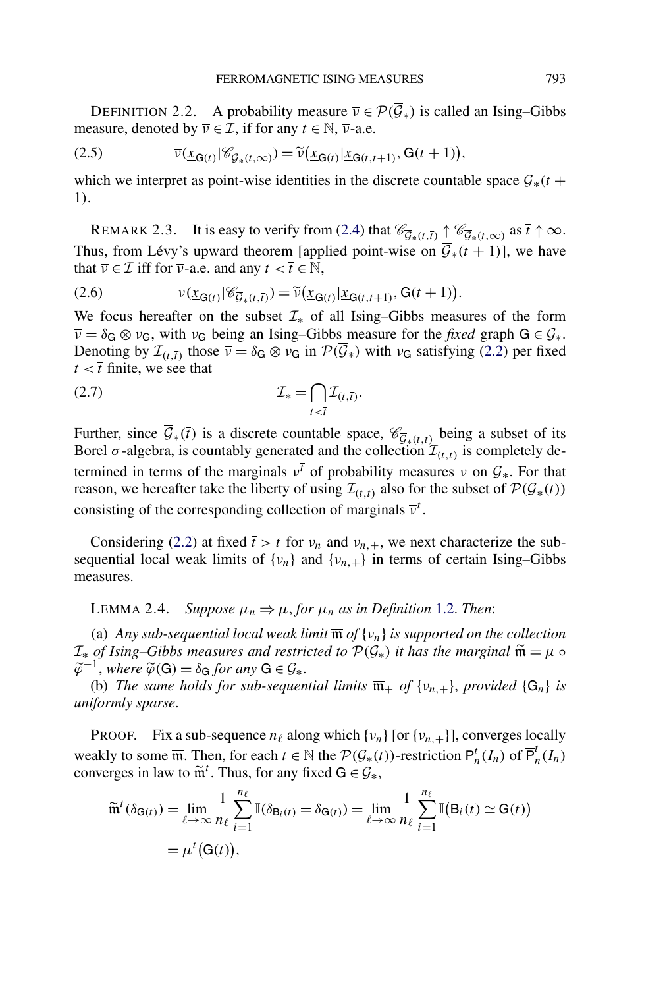<span id="page-13-0"></span>DEFINITION 2.2. A probability measure  $\overline{v} \in \mathcal{P}(\overline{\mathcal{G}}_*)$  is called an Ising–Gibbs measure, denoted by  $\overline{v} \in \mathcal{I}$ , if for any  $t \in \mathbb{N}$ ,  $\overline{v}$ -a.e.

(2.5) 
$$
\overline{\nu}(\underline{x}_{G(t)}|\mathscr{C}_{\overline{G}_{*}(t,\infty)}) = \widetilde{\nu}(\underline{x}_{G(t)}|\underline{x}_{G(t,t+1)}, G(t+1)),
$$

which we interpret as point-wise identities in the discrete countable space  $\overline{\mathcal{G}}_*(t+$ 1*)*.

REMARK 2.3. It is easy to verify from [\(2.4\)](#page-12-0) that  $\mathscr{C}_{\overline{G}_*(t,\overline{t})} \uparrow \mathscr{C}_{\overline{G}_*(t,\infty)}$  as  $\overline{t} \uparrow \infty$ . Thus, from Lévy's upward theorem [applied point-wise on  $\overline{\mathcal{G}}_*(t+1)$ ], we have that  $\overline{v} \in \mathcal{I}$  iff for  $\overline{v}$ -a.e. and any  $t < \overline{t} \in \mathbb{N}$ ,

(2.6) 
$$
\overline{\nu}(\underline{x}_{G(t)}|\mathscr{C}_{\overline{\mathcal{G}}_*(t,\overline{t})})=\widetilde{\nu}(\underline{x}_{G(t)}|\underline{x}_{G(t,t+1)},G(t+1)).
$$

We focus hereafter on the subset  $\mathcal{I}_{*}$  of all Ising–Gibbs measures of the form  $\overline{\nu} = \delta_G \otimes \nu_G$ , with  $\nu_G$  being an Ising–Gibbs measure for the *fixed* graph  $G \in \mathcal{G}_*$ . Denoting by  $\mathcal{I}_{(t,\bar{t})}$  those  $\overline{v} = \delta_{\bar{G}} \otimes v_{\bar{G}}$  in  $\mathcal{P}(\overline{\mathcal{G}}_*)$  with  $v_{\bar{G}}$  satisfying [\(2.2\)](#page-12-0) per fixed  $t < \overline{t}$  finite, we see that

$$
\mathcal{I}_{*} = \bigcap_{t < \overline{t}} \mathcal{I}_{(t,\overline{t})}.
$$

Further, since  $\overline{\mathcal{G}}_*(\overline{t})$  is a discrete countable space,  $\mathcal{C}_{\overline{\mathcal{G}}_*(t,\overline{t})}$  being a subset of its Borel  $\sigma$ -algebra, is countably generated and the collection  $\mathcal{I}_{(t,\bar{t})}$  is completely determined in terms of the marginals  $\overline{v}$ <sup>*t*</sup> of probability measures  $\overline{v}$  on  $\overline{G}_*$ . For that reason, we hereafter take the liberty of using  $\mathcal{I}_{(t,\bar{t})}$  also for the subset of  $\mathcal{P}(\overline{\mathcal{G}}_*(\overline{t}))$ consisting of the corresponding collection of marginals  $\overline{v}^{\overline{t}}$ .

Considering [\(2.2\)](#page-12-0) at fixed  $\bar{t} > t$  for  $v_n$  and  $v_{n,+}$ , we next characterize the subsequential local weak limits of  $\{v_n\}$  and  $\{v_{n,+}\}$  in terms of certain Ising–Gibbs measures.

LEMMA 2.4. *Suppose*  $μ_n ⇒ μ$ , *for*  $μ_n$  *as in Definition* [1.2.](#page-4-0) *Then*:

(a) *Any sub-sequential local weak limit*  $\overline{m}$  *of*  $\{v_n\}$  *is supported on the collection*  $\mathcal{I}_*$  *of Ising–Gibbs measures and restricted to*  $\mathcal{P}(\mathcal{G}_*)$  *it has the marginal*  $\tilde{\mathfrak{m}} = \mu \circ \mathfrak{p}$  $\widetilde{\varphi}^{-1}$ , *where*  $\widetilde{\varphi}(\mathsf{G}) = \delta_{\mathsf{G}}$  *for any*  $\mathsf{G} \in \mathcal{G}_*$ .

(b) *The same holds for sub-sequential limits*  $\overline{\mathfrak{m}}_+$  *of*  $\{v_{n,+}\}\$ *, provided*  $\{G_n\}$  *is uniformly sparse*.

**PROOF.** Fix a sub-sequence  $n_\ell$  along which  $\{v_n\}$  [or  $\{v_{n,+}\}\$ ], converges locally weakly to some  $\overline{m}$ . Then, for each  $t \in \mathbb{N}$  the  $\mathcal{P}(\mathcal{G}_{*}(t))$ -restriction  $\mathsf{P}_n^t(I_n)$  of  $\overline{\mathsf{P}}_n^t(I_n)$ converges in law to  $\widetilde{m}^t$ . Thus, for any fixed  $G \in \mathcal{G}_*$ ,

$$
\widetilde{\mathfrak{m}}^{t}(\delta_{\mathsf{G}(t)}) = \lim_{\ell \to \infty} \frac{1}{n_{\ell}} \sum_{i=1}^{n_{\ell}} \mathbb{I}(\delta_{\mathsf{B}_{i}(t)} = \delta_{\mathsf{G}(t)}) = \lim_{\ell \to \infty} \frac{1}{n_{\ell}} \sum_{i=1}^{n_{\ell}} \mathbb{I}(\mathsf{B}_{i}(t) \simeq \mathsf{G}(t))
$$

$$
= \mu^{t}(\mathsf{G}(t)),
$$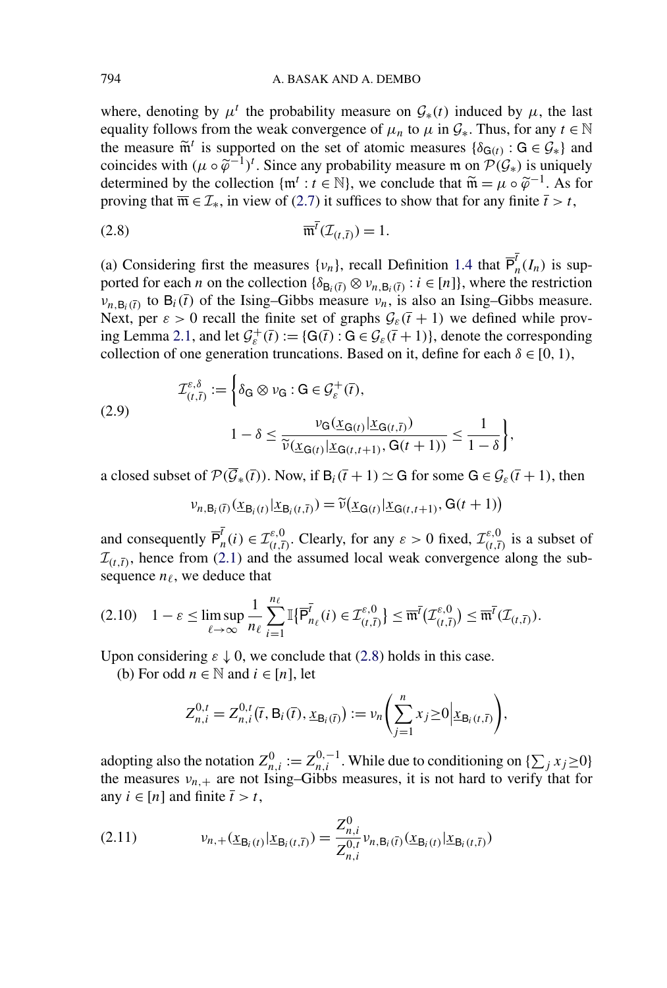<span id="page-14-0"></span>where, denoting by  $\mu^t$  the probability measure on  $\mathcal{G}_*(t)$  induced by  $\mu$ , the last equality follows from the weak convergence of  $\mu_n$  to  $\mu$  in  $\mathcal{G}_*$ . Thus, for any  $t \in \mathbb{N}$ the measure  $\tilde{m}^t$  is supported on the set of atomic measures { $\delta_{G(t)}$  :  $G \in \mathcal{G}_{*}$ } and coincides with  $(\mu \circ \tilde{\varphi}^{-1})^t$ . Since any probability measure m on  $\mathcal{P}(\mathcal{G}_*)$  is uniquely determined by the collection  $\{\mathfrak{m}^t : t \in \mathbb{N}\}\)$ , we conclude that  $\widetilde{\mathfrak{m}} = \mu \circ \widetilde{\varphi}^{-1}$ . As for proving that  $\overline{\mathfrak{m}} \in \mathcal{I}_*$ , in view of [\(2.7\)](#page-13-0) it suffices to show that for any finite  $\overline{t} > t$ ,

$$
\overline{\mathfrak{m}}^{\overline{t}}(\mathcal{I}_{(t,\overline{t})}) = 1.
$$

(a) Considering first the measures  $\{v_n\}$ , recall Definition [1.4](#page-5-0) that  $\overline{P}_n^{\overline{t}}(I_n)$  is supported for each *n* on the collection  $\{\delta_{\mathbf{B}_i(\overline{t})} \otimes v_{n,\mathbf{B}_i(\overline{t})} : i \in [n]\}$ , where the restriction  $v_{n,B_i(\bar{t})}$  to  $B_i(\bar{t})$  of the Ising–Gibbs measure  $v_n$ , is also an Ising–Gibbs measure. Next, per  $\varepsilon > 0$  recall the finite set of graphs  $\mathcal{G}_{\varepsilon}(\overline{t} + 1)$  we defined while prov-ing Lemma [2.1,](#page-11-0) and let  $\mathcal{G}_{\varepsilon}^+(\bar{t}) := \{ G(\bar{t}) : G \in \mathcal{G}_{\varepsilon}(\bar{t}+1) \}$ , denote the corresponding collection of one generation truncations. Based on it, define for each  $\delta \in [0, 1)$ ,

(2.9) 
$$
\mathcal{I}_{(t,\overline{t})}^{\varepsilon,\delta} := \left\{ \delta_{\mathsf{G}} \otimes \nu_{\mathsf{G}} : \mathsf{G} \in \mathcal{G}_{\varepsilon}^{+}(\overline{t}), \right\} \\ 1 - \delta \leq \frac{\nu_{\mathsf{G}}(\underline{x}_{\mathsf{G}(t)} | \underline{x}_{\mathsf{G}(t,\overline{t})})}{\widetilde{\nu}(\underline{x}_{\mathsf{G}(t)} | \underline{x}_{\mathsf{G}(t,t+1)}, \mathsf{G}(t+1))} \leq \frac{1}{1-\delta} \right\},
$$

a closed subset of  $\mathcal{P}(\overline{\mathcal{G}}_*(\overline{t}))$ . Now, if  $B_i(\overline{t} + 1) \simeq G$  for some  $G \in \mathcal{G}_{\varepsilon}(\overline{t} + 1)$ , then

$$
\nu_{n,\mathsf{B}_i(\bar{t})}(\underline{x}_{\mathsf{B}_i(t)}|\underline{x}_{\mathsf{B}_i(t,\bar{t})})=\widetilde{\nu}(\underline{x}_{\mathsf{G}(t)}|\underline{x}_{\mathsf{G}(t,t+1)},\mathsf{G}(t+1))
$$

and consequently  $\overline{P}_n^{\overline{t}}(i) \in \mathcal{I}_{(t,\overline{t})}^{\varepsilon,0}$ . Clearly, for any  $\varepsilon > 0$  fixed,  $\mathcal{I}_{(t,\overline{t})}^{\varepsilon,0}$  is a subset of  $\mathcal{I}_{(t,\bar{t})}$ , hence from [\(2.1\)](#page-11-0) and the assumed local weak convergence along the subsequence  $n_\ell$ , we deduce that

$$
(2.10) \quad 1 - \varepsilon \leq \limsup_{\ell \to \infty} \frac{1}{n_{\ell}} \sum_{i=1}^{n_{\ell}} \mathbb{I}\{\overline{\mathsf{P}}_{n_{\ell}}^{\overline{\mathsf{I}}}(i) \in \mathcal{I}_{(t,\overline{t})}^{\varepsilon,0}\} \leq \overline{\mathfrak{m}}^{\overline{\mathsf{I}}}\big(\mathcal{I}_{(t,\overline{t})}^{\varepsilon,0}\big) \leq \overline{\mathfrak{m}}^{\overline{\mathsf{I}}}\big(\mathcal{I}_{(t,\overline{t})}\big).
$$

Upon considering  $\varepsilon \downarrow 0$ , we conclude that (2.8) holds in this case.

(b) For odd  $n \in \mathbb{N}$  and  $i \in [n]$ , let

$$
Z_{n,i}^{0,t} = Z_{n,i}^{0,t}(\bar{t}, B_i(\bar{t}), \underline{x}_{B_i(\bar{t})}) := \nu_n \left( \sum_{j=1}^n x_j \ge 0 \Big| \underline{x}_{B_i(t,\bar{t})} \right),
$$

adopting also the notation  $Z_{n,i}^0 := Z_{n,i}^{0,-1}$ . While due to conditioning on  $\{\sum_j x_j \ge 0\}$ the measures  $v_{n,+}$  are not Ising–Gibbs measures, it is not hard to verify that for any  $i \in [n]$  and finite  $\overline{t} > t$ ,

(2.11) 
$$
v_{n,+}(\underline{x}_{B_i(t)}|\underline{x}_{B_i(t,\overline{t})}) = \frac{Z_{n,i}^0}{Z_{n,i}^{0,t}} v_{n,B_i(\overline{t})}(\underline{x}_{B_i(t)}|\underline{x}_{B_i(t,\overline{t})})
$$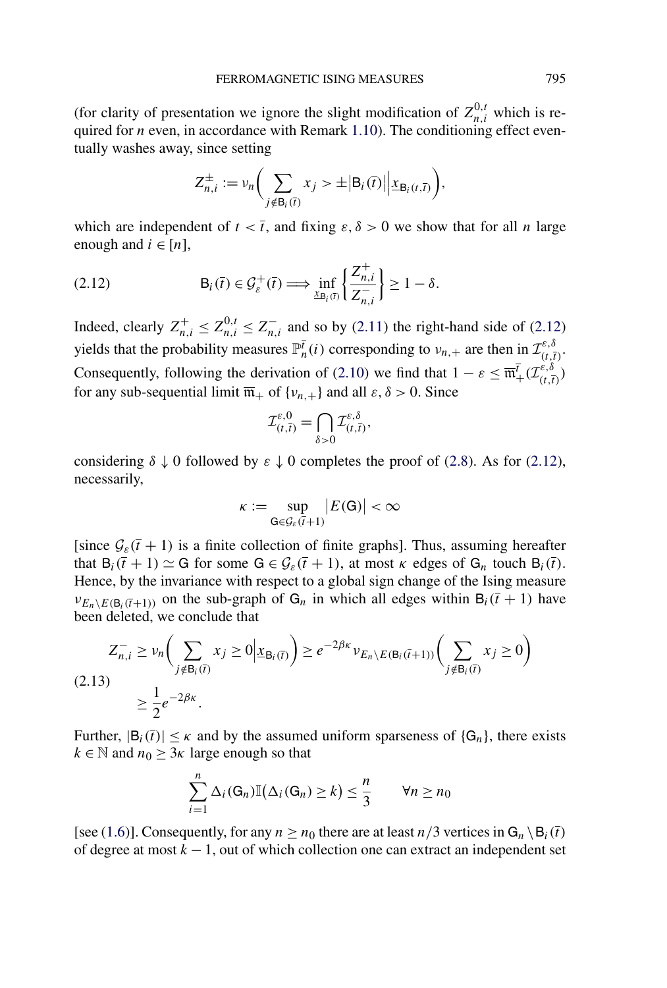<span id="page-15-0"></span>(for clarity of presentation we ignore the slight modification of  $Z_{n,i}^{0,t}$  which is required for *n* even, in accordance with Remark [1.10\)](#page-6-0). The conditioning effect eventually washes away, since setting

$$
Z_{n,i}^{\pm} := \nu_n \bigg( \sum_{j \notin B_i(\bar{t})} x_j > \pm \big| B_i(\bar{t}) \big| \big| \underline{x}_{B_i(t,\bar{t})} \bigg),
$$

which are independent of  $t < \overline{t}$ , and fixing  $\varepsilon, \delta > 0$  we show that for all *n* large enough and  $i \in [n]$ ,

(2.12) 
$$
\mathsf{B}_{i}(\overline{t}) \in \mathcal{G}_{\varepsilon}^{+}(\overline{t}) \Longrightarrow \inf_{\underline{x}_{\mathsf{B}_{i}}(\overline{t})} \left\{ \frac{Z_{n,i}^{+}}{Z_{n,i}^{-}} \right\} \geq 1 - \delta.
$$

Indeed, clearly  $Z_{n,i}^{+} \leq Z_{n,i}^{0,t} \leq Z_{n,i}^{-}$  and so by [\(2.11\)](#page-14-0) the right-hand side of (2.12) yields that the probability measures  $\mathbb{P}_n^{\bar{t}}(i)$  corresponding to  $v_{n,+}$  are then in  $\mathcal{I}_{(t,\bar{t})}^{\varepsilon,\delta}$ . Consequently, following the derivation of [\(2.10\)](#page-14-0) we find that  $1 - \varepsilon \leq \overline{\mathfrak{m}}^{\overline{t}}_+(\mathcal{I}_{(t,\overline{t})}^{\varepsilon,\delta})$ for any sub-sequential limit  $\overline{\mathfrak{m}}_+$  of  $\{v_{n,+}\}\$  and all  $\varepsilon, \delta > 0$ . Since

$$
\mathcal{I}_{(t,\overline{t})}^{\varepsilon,0}=\bigcap_{\delta>0}\mathcal{I}_{(t,\overline{t})}^{\varepsilon,\delta},
$$

considering  $\delta \downarrow 0$  followed by  $\varepsilon \downarrow 0$  completes the proof of [\(2.8\)](#page-14-0). As for (2.12), necessarily,

$$
\kappa:=\sup_{\mathsf{G}\in\mathcal{G}_{\varepsilon}(\bar{t}+1)}\big|E(\mathsf{G})\big|<\infty
$$

[since  $\mathcal{G}_{\varepsilon}(\bar{t} + 1)$  is a finite collection of finite graphs]. Thus, assuming hereafter that  $B_i(\bar{t} + 1) \simeq G$  for some  $G \in \mathcal{G}_{\varepsilon}(\bar{t} + 1)$ , at most  $\kappa$  edges of  $G_n$  touch  $B_i(\bar{t})$ . Hence, by the invariance with respect to a global sign change of the Ising measure  $v_{E_n \setminus E(B_i(\bar{t}+1))}$  on the sub-graph of  $G_n$  in which all edges within  $B_i(\bar{t} + 1)$  have been deleted, we conclude that

$$
Z_{n,i}^- \ge \nu_n\bigg(\sum_{j \notin \mathsf{B}_i(\overline{t})} x_j \ge 0 \Big| \underline{x}_{\mathsf{B}_i(\overline{t})}\bigg) \ge e^{-2\beta \kappa} \nu_{E_n \setminus E(\mathsf{B}_i(\overline{t}+1))} \bigg(\sum_{j \notin \mathsf{B}_i(\overline{t})} x_j \ge 0\bigg)
$$
  
(2.13)  

$$
\ge \frac{1}{2} e^{-2\beta \kappa}.
$$

Further,  $|B_i(\bar{t})| \leq \kappa$  and by the assumed uniform sparseness of  $\{G_n\}$ , there exists  $k \in \mathbb{N}$  and  $n_0 \geq 3\kappa$  large enough so that

$$
\sum_{i=1}^{n} \Delta_i(G_n) \mathbb{I}(\Delta_i(G_n) \ge k) \le \frac{n}{3} \qquad \forall n \ge n_0
$$

[see [\(1.6\)](#page-4-0)]. Consequently, for any  $n \ge n_0$  there are at least  $n/3$  vertices in  $G_n \setminus B_i(\bar{t})$ of degree at most *k* − 1, out of which collection one can extract an independent set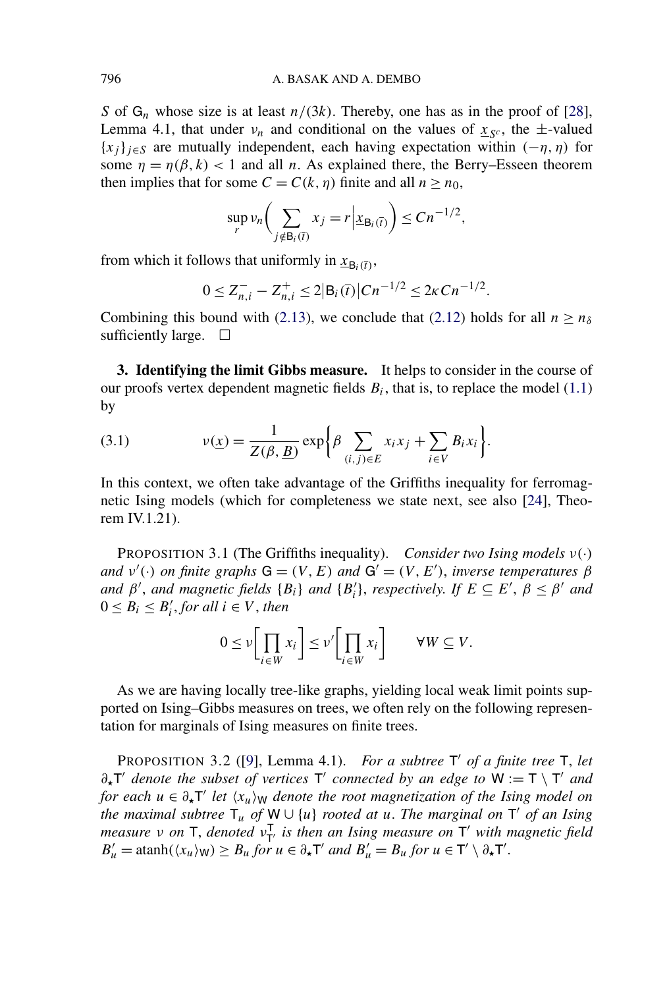<span id="page-16-0"></span>*S* of  $G_n$  whose size is at least  $n/(3k)$ . Thereby, one has as in the proof of [\[28\]](#page-43-0), Lemma 4.1, that under  $v_n$  and conditional on the values of  $x_{sc}$ , the  $\pm$ -valued  ${x_j}$ <sub> $j \in S$ </sub> are mutually independent, each having expectation within  $(-\eta, \eta)$  for some  $\eta = \eta(\beta, k)$  < 1 and all *n*. As explained there, the Berry–Esseen theorem then implies that for some  $C = C(k, \eta)$  finite and all  $n \ge n_0$ ,

$$
\sup_{r} \nu_n\bigg(\sum_{j \notin \mathsf{B}_i(\overline{t})} x_j = r \Big| \underline{x}_{\mathsf{B}_i(\overline{t})}\bigg) \le Cn^{-1/2},
$$

from which it follows that uniformly in  $x_{B_i(\bar{t})}$ ,

$$
0 \leq Z_{n,i}^- - Z_{n,i}^+ \leq 2|\mathsf{B}_i(\overline{t})|Cn^{-1/2} \leq 2\kappa Cn^{-1/2}.
$$

Combining this bound with [\(2.13\)](#page-15-0), we conclude that [\(2.12\)](#page-15-0) holds for all  $n \ge n_\delta$ sufficiently large.  $\Box$ 

**3. Identifying the limit Gibbs measure.** It helps to consider in the course of our proofs vertex dependent magnetic fields  $B_i$ , that is, to replace the model [\(1.1\)](#page-0-0) by

(3.1) 
$$
v(\underline{x}) = \frac{1}{Z(\beta, \underline{B})} \exp \bigg\{ \beta \sum_{(i,j) \in E} x_i x_j + \sum_{i \in V} B_i x_i \bigg\}.
$$

In this context, we often take advantage of the Griffiths inequality for ferromagnetic Ising models (which for completeness we state next, see also [\[24\]](#page-43-0), Theorem IV.1.21).

PROPOSITION 3.1 (The Griffiths inequality). *Consider two Ising models ν(*·*) and*  $v'(\cdot)$  *on finite graphs*  $G = (V, E)$  *and*  $G' = (V, E')$ *, inverse temperatures*  $\beta$ *and*  $\beta'$ , *and* magnetic fields  $\{B_i\}$  *and*  $\{B_i'\}$ , *respectively. If*  $E \subseteq E'$ ,  $\beta \leq \beta'$  *and*  $0 \leq B_i \leq B'_i$ , for all  $i \in V$ , then

$$
0 \le \nu \left[ \prod_{i \in W} x_i \right] \le \nu' \left[ \prod_{i \in W} x_i \right] \qquad \forall W \subseteq V.
$$

As we are having locally tree-like graphs, yielding local weak limit points supported on Ising–Gibbs measures on trees, we often rely on the following representation for marginals of Ising measures on finite trees.

**PROPOSITION 3.2** ([\[9\]](#page-42-0), Lemma 4.1). *For a subtree*  $T'$  *of a finite tree*  $T$ *, let*  $∂<sub>x</sub>$ *T' denote the subset of vertices* T' *connected by an edge to*  $W := T \setminus T'$  *and for each*  $u \in \partial_{\star} T'$  *let*  $\langle x_u \rangle_W$  *denote the root magnetization of the Ising model on the maximal subtree*  $T_u$  *of*  $W \cup \{u\}$  *rooted at u. The marginal on*  $T'$  *of an Ising measure ν on* **T**, *denoted ν*<sub>T</sub><sup>*i*</sup> *is then an Ising measure on* **T**<sup>*'*</sup> *with magnetic field*  $B'_u = \operatorname{atanh}(\langle x_u \rangle_W) \ge B_u$  *for*  $u \in \partial_\star T'$  *and*  $B'_u = B_u$  *for*  $u \in T' \setminus \partial_\star T'$ .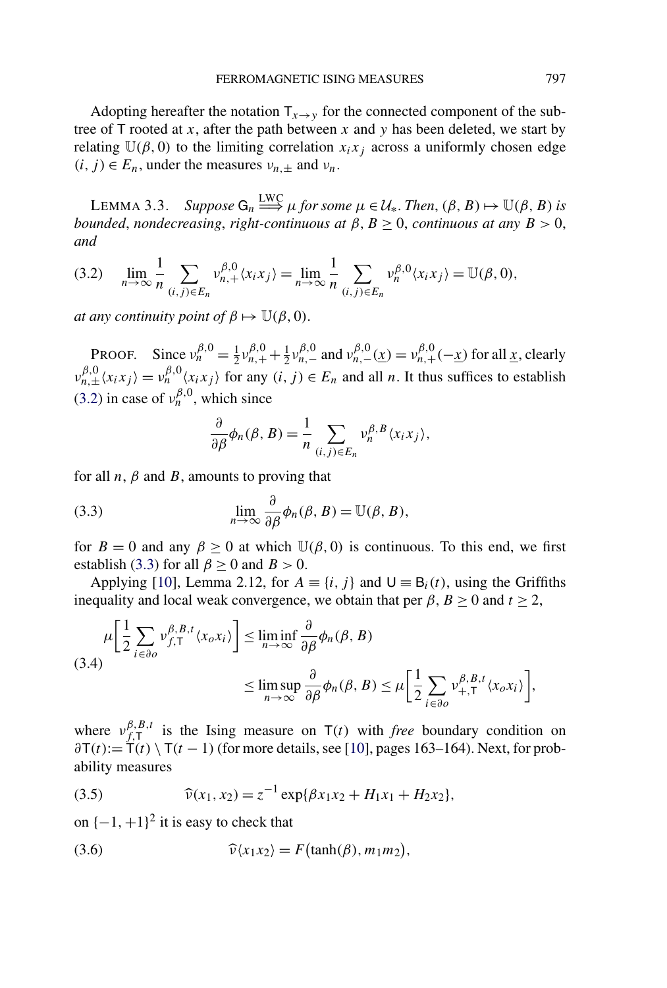<span id="page-17-0"></span>Adopting hereafter the notation  $T_{x\to y}$  for the connected component of the subtree of  $\mathsf T$  rooted at *x*, after the path between *x* and *y* has been deleted, we start by relating  $U(\beta, 0)$  to the limiting correlation  $x_i x_j$  across a uniformly chosen edge  $(i, j) \in E_n$ , under the measures  $v_{n,\pm}$  and  $v_n$ .

LEMMA 3.3. *Suppose*  $G_n \stackrel{\text{LWC}}{\Longrightarrow} \mu$  for some  $\mu \in \mathcal{U}_*$ . Then,  $(\beta, B) \mapsto \mathbb{U}(\beta, B)$  is *bounded, nondecreasing, right-continuous at*  $\beta$ ,  $B \ge 0$ , *continuous at any*  $B > 0$ , *and*

$$
(3.2) \quad \lim_{n\to\infty}\frac{1}{n}\sum_{(i,j)\in E_n}\nu_{n,+}^{\beta,0}\langle x_ix_j\rangle = \lim_{n\to\infty}\frac{1}{n}\sum_{(i,j)\in E_n}\nu_n^{\beta,0}\langle x_ix_j\rangle = \mathbb{U}(\beta,0),
$$

*at any continuity point of*  $\beta \mapsto \mathbb{U}(\beta, 0)$ .

**PROOF.** Since  $v_n^{\beta,0} = \frac{1}{2}v_{n,+}^{\beta,0} + \frac{1}{2}v_{n,-}^{\beta,0}$  and  $v_{n,-}^{\beta,0}(\underline{x}) = v_{n,+}^{\beta,0}(-\underline{x})$  for all <u>x</u>, clearly  $v_{n,\pm}^{\beta,0}(x_ix_j) = v_n^{\beta,0}(x_ix_j)$  for any  $(i,j) \in E_n$  and all *n*. It thus suffices to establish (3.2) in case of  $v_n^{\beta,0}$ , which since

$$
\frac{\partial}{\partial \beta} \phi_n(\beta, B) = \frac{1}{n} \sum_{(i,j) \in E_n} v_n^{\beta, B} \langle x_i x_j \rangle,
$$

for all  $n$ ,  $\beta$  and  $\beta$ , amounts to proving that

(3.3) 
$$
\lim_{n \to \infty} \frac{\partial}{\partial \beta} \phi_n(\beta, B) = \mathbb{U}(\beta, B),
$$

for  $B = 0$  and any  $\beta \ge 0$  at which  $\mathbb{U}(\beta, 0)$  is continuous. To this end, we first establish (3.3) for all  $\beta \ge 0$  and  $B > 0$ .

Applying [\[10\]](#page-42-0), Lemma 2.12, for  $A = \{i, j\}$  and  $U = B_i(t)$ , using the Griffiths inequality and local weak convergence, we obtain that per  $\beta$ ,  $B \ge 0$  and  $t \ge 2$ ,

$$
\mu \left[ \frac{1}{2} \sum_{i \in \partial o} \nu_{f,\mathsf{T}}^{\beta,B,t} \langle x_o x_i \rangle \right] \le \liminf_{n \to \infty} \frac{\partial}{\partial \beta} \phi_n(\beta, B)
$$
\n
$$
\le \limsup_{n \to \infty} \frac{\partial}{\partial \beta} \phi_n(\beta, B) \le \mu \left[ \frac{1}{2} \sum_{i \in \partial o} \nu_{+,\mathsf{T}}^{\beta,B,t} \langle x_o x_i \rangle \right],
$$

where  $v_{f,\mathsf{T}}^{\beta,B,t}$  is the Ising measure on  $\mathsf{T}(t)$  with *free* boundary condition on  $\frac{\partial \mathsf{T}(t)}{\partial t} = \mathsf{T}(t) \setminus \mathsf{T}(t-1)$  (for more details, see [\[10\]](#page-42-0), pages 163–164). Next, for probability measures

(3.5) 
$$
\widehat{\nu}(x_1, x_2) = z^{-1} \exp{\{\beta x_1 x_2 + H_1 x_1 + H_2 x_2\}},
$$

on  $\{-1, +1\}^2$  it is easy to check that

(3.6) 
$$
\widehat{\nu}\langle x_1x_2\rangle = F(\tanh(\beta), m_1m_2),
$$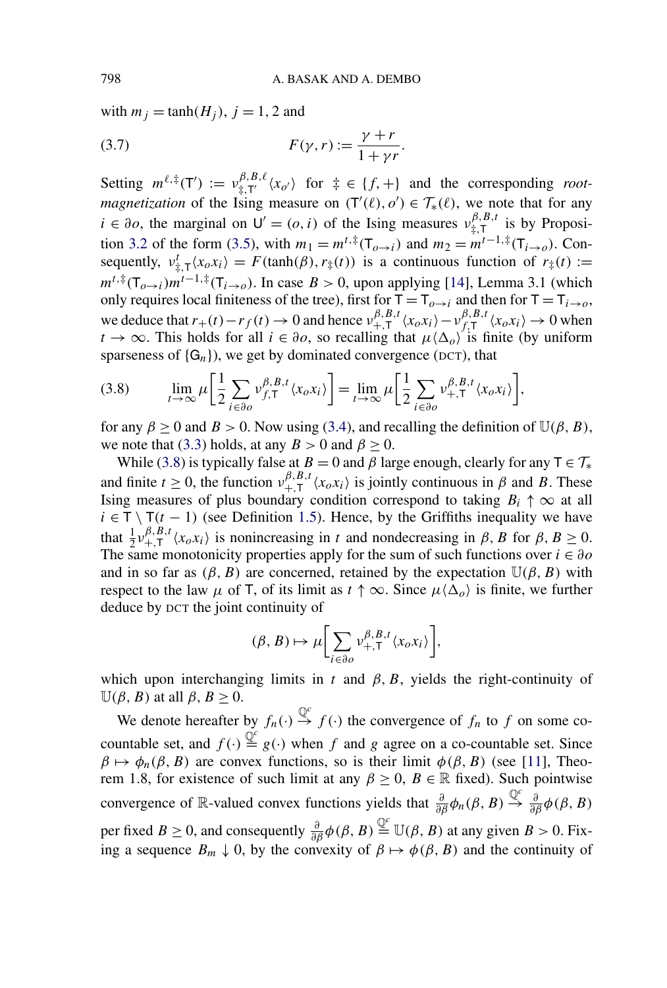<span id="page-18-0"></span>with  $m_j = \tanh(H_j)$ ,  $j = 1, 2$  and

$$
(3.7) \tF(\gamma, r) := \frac{\gamma + r}{1 + \gamma r}.
$$

Setting  $m^{\ell, \ddagger}(\mathsf{T}') := v^{\beta, B, \ell}_{\ddagger, \mathsf{T}'}(x_{o'})$  for  $\ddagger \in \{f, +\}$  and the corresponding *rootmagnetization* of the Ising measure on  $(T'(\ell), o') \in \mathcal{T}_{*}(\ell)$ , we note that for any  $i \in \partial$ *o*, the marginal on  $U' = (o, i)$  of the Ising measures  $v_{\ddagger, T}^{\beta, B, t}$  is by Proposi-tion [3.2](#page-16-0) of the form [\(3.5\)](#page-17-0), with  $m_1 = m^{t, \ddagger}(\mathsf{T}_{o \to i})$  and  $m_2 = m^{t-1, \ddagger}(\mathsf{T}_{i \to o})$ . Consequently,  $v^t_{\frac{1}{+},\mathsf{T}}\langle x_o x_i \rangle = F(\tanh(\beta), r_{\frac{1}{+}}(t))$  is a continuous function of  $r_{\frac{1}{+}}(t) :=$  $m^{t, \ddagger}(\mathsf{T}_{o \rightarrow i})m^{t-1, \ddagger}(\mathsf{T}_{i \rightarrow o})$ . In case  $B > 0$ , upon applying [\[14\]](#page-43-0), Lemma 3.1 (which only requires local finiteness of the tree), first for  $T = T_{\rho \to i}$  and then for  $T = T_{i \to \rho}$ , we deduce that  $r_+(t) - r_f(t) \to 0$  and hence  $v_{+,T}^{\beta,B,t} \langle x_o x_i \rangle - v_{f,T}^{\beta,B,t} \langle x_o x_i \rangle \to 0$  when  $t \to \infty$ . This holds for all  $i \in \partial$ *o*, so recalling that  $\mu \langle \Delta_o \rangle$  is finite (by uniform sparseness of  $\{G_n\}$ , we get by dominated convergence (DCT), that

$$
(3.8)\qquad \lim_{t\to\infty}\mu\bigg[\frac{1}{2}\sum_{i\in\partial o}v_{f,T}^{\beta,B,t}\langle x_o x_i\rangle\bigg]=\lim_{t\to\infty}\mu\bigg[\frac{1}{2}\sum_{i\in\partial o}v_{+,T}^{\beta,B,t}\langle x_o x_i\rangle\bigg],
$$

for any  $\beta \ge 0$  and  $B > 0$ . Now using [\(3.4\)](#page-17-0), and recalling the definition of  $\mathbb{U}(\beta, B)$ , we note that [\(3.3\)](#page-17-0) holds, at any  $B > 0$  and  $\beta \ge 0$ .

While (3.8) is typically false at *B* = 0 and *β* large enough, clearly for any  $T \in \mathcal{T}_{*}$ and finite  $t \ge 0$ , the function  $v_{+,T}^{\beta,B,t} \langle x_o x_i \rangle$  is jointly continuous in  $\beta$  and  $B$ . These Ising measures of plus boundary condition correspond to taking  $B_i \uparrow \infty$  at all  $i \in \mathsf{T} \setminus \mathsf{T}(t-1)$  (see Definition [1.5\)](#page-5-0). Hence, by the Griffiths inequality we have that  $\frac{1}{2}v_{+,T}^{\beta,B,t}\langle x_o x_i \rangle$  is nonincreasing in *t* and nondecreasing in  $\beta$ , *B* for  $\beta$ ,  $B \ge 0$ . The same monotonicity properties apply for the sum of such functions over  $i \in \partial$ o and in so far as  $(\beta, B)$  are concerned, retained by the expectation  $\mathbb{U}(\beta, B)$  with respect to the law  $\mu$  of T, of its limit as  $t \uparrow \infty$ . Since  $\mu \langle \Delta_{\rho} \rangle$  is finite, we further deduce by DCT the joint continuity of

$$
(\beta, B) \mapsto \mu \bigg[ \sum_{i \in \partial o} \nu_{+, \mathsf{T}}^{\beta, B, t} \langle x_o x_i \rangle \bigg],
$$

which upon interchanging limits in  $t$  and  $\beta$ ,  $B$ , yields the right-continuity of  $\mathbb{U}(\beta, B)$  at all  $\beta, B \geq 0$ .

We denote hereafter by  $f_n(\cdot) \stackrel{\mathbb{Q}^c}{\to} f(\cdot)$  the convergence of  $f_n$  to  $f$  on some cocountable set, and  $f(\cdot) \stackrel{\mathbb{Q}^c}{=} g(\cdot)$  when *f* and *g* agree on a co-countable set. Since  $\beta \mapsto \phi_n(\beta, B)$  are convex functions, so is their limit  $\phi(\beta, B)$  (see [\[11\]](#page-42-0), Theorem 1.8, for existence of such limit at any  $\beta \ge 0$ ,  $B \in \mathbb{R}$  fixed). Such pointwise convergence of R-valued convex functions yields that  $\frac{\partial}{\partial \beta}\phi_n(\beta, B) \stackrel{\mathbb{Q}^c}{\rightarrow} \frac{\partial}{\partial \beta}\phi(\beta, B)$ per fixed *B*  $\geq$  0, and consequently  $\frac{\partial}{\partial \beta} \phi(\beta, B) \stackrel{\mathbb{Q}^c}{=} \mathbb{U}(\beta, B)$  at any given *B* > 0. Fixing a sequence  $B_m \downarrow 0$ , by the convexity of  $\beta \mapsto \phi(\beta, B)$  and the continuity of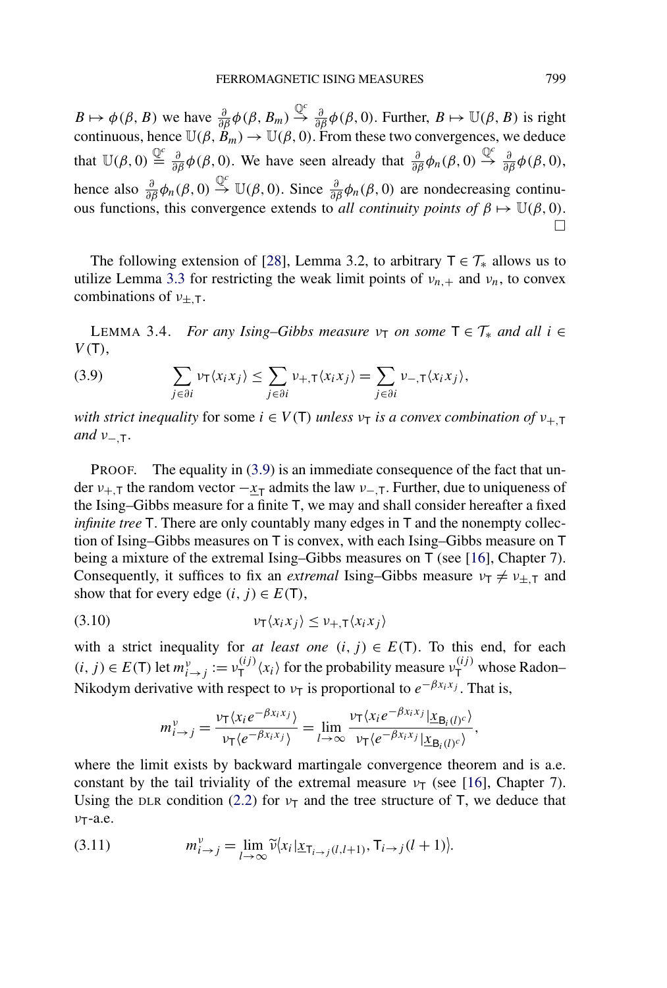<span id="page-19-0"></span>*B*  $\mapsto \phi(\beta, B)$  we have  $\frac{\partial}{\partial \beta}\phi(\beta, B_m) \stackrel{\mathbb{Q}^c}{\rightarrow} \frac{\partial}{\partial \beta}\phi(\beta, 0)$ . Further,  $B \mapsto \mathbb{U}(\beta, B)$  is right continuous, hence  $\mathbb{U}(\beta, B_m) \to \mathbb{U}(\beta, 0)$ . From these two convergences, we deduce that  $\mathbb{U}(\beta,0) \stackrel{\mathbb{Q}^c}{\equiv} \frac{\partial}{\partial \beta} \phi(\beta,0)$ . We have seen already that  $\frac{\partial}{\partial \beta} \phi_n(\beta,0) \stackrel{\mathbb{Q}^c}{\Rightarrow} \frac{\partial}{\partial \beta} \phi(\beta,0)$ , hence also  $\frac{\partial}{\partial \beta} \phi_n(\beta, 0) \stackrel{\mathbb{Q}^c}{\rightarrow} \mathbb{U}(\beta, 0)$ . Since  $\frac{\partial}{\partial \beta} \phi_n(\beta, 0)$  are nondecreasing continuous functions, this convergence extends to *all continuity points of*  $\beta \mapsto \mathbb{U}(\beta, 0)$ .  $\Box$ 

The following extension of [\[28\]](#page-43-0), Lemma 3.2, to arbitrary  $T \in \mathcal{T}_{*}$  allows us to utilize Lemma [3.3](#page-17-0) for restricting the weak limit points of  $v_{n,+}$  and  $v_n$ , to convex combinations of *ν*±*,*T.

LEMMA 3.4. *For any Ising–Gibbs measure*  $\nu$ <sub>T</sub> *on some*  $T \in \mathcal{T}_{*}$  *and all*  $i \in$ *V (*T*)*,

(3.9) 
$$
\sum_{j \in \partial i} \nu_{\mathsf{T}} \langle x_i x_j \rangle \leq \sum_{j \in \partial i} \nu_{+,\mathsf{T}} \langle x_i x_j \rangle = \sum_{j \in \partial i} \nu_{-,\mathsf{T}} \langle x_i x_j \rangle,
$$

*with strict inequality* for some  $i \in V(T)$  *unless*  $v_T$  *is a convex combination of*  $v_{+T}$ *and ν*−*,*T.

PROOF. The equality in (3.9) is an immediate consequence of the fact that under  $v_{+,\text{T}}$  the random vector  $-x_{\text{T}}$  admits the law  $v_{-,\text{T}}$ . Further, due to uniqueness of the Ising–Gibbs measure for a finite T, we may and shall consider hereafter a fixed *infinite tree* T. There are only countably many edges in T and the nonempty collection of Ising–Gibbs measures on T is convex, with each Ising–Gibbs measure on T being a mixture of the extremal Ising–Gibbs measures on T (see [\[16\]](#page-43-0), Chapter 7). Consequently, it suffices to fix an *extremal* Ising–Gibbs measure  $v_T \neq v_{\pm,T}$  and show that for every edge  $(i, j) \in E(T)$ ,

$$
(3.10) \t\t\t v_T\langle x_i x_j \rangle \le v_{+,T}\langle x_i x_j \rangle
$$

with a strict inequality for *at least one*  $(i, j) \in E(T)$ . To this end, for each  $(i, j) \in E(T)$  let  $m_{i \to j}^{\nu} := \nu_{T}^{(ij)} \langle x_i \rangle$  for the probability measure  $\nu_{T}^{(ij)}$  whose Radon– Nikodym derivative with respect to  $\nu$ <sub>T</sub> is proportional to  $e^{-\beta x_i x_j}$ . That is,

$$
m_{i\to j}^{\nu} = \frac{\nu_{\mathsf{T}}\langle x_i e^{-\beta x_i x_j}\rangle}{\nu_{\mathsf{T}}\langle e^{-\beta x_i x_j}\rangle} = \lim_{l\to\infty} \frac{\nu_{\mathsf{T}}\langle x_i e^{-\beta x_i x_j} | \underline{x}_{\mathsf{B}_i(l)^c}\rangle}{\nu_{\mathsf{T}}\langle e^{-\beta x_i x_j} | \underline{x}_{\mathsf{B}_i(l)^c}\rangle},
$$

where the limit exists by backward martingale convergence theorem and is a.e. constant by the tail triviality of the extremal measure  $\nu$ <sub>T</sub> (see [\[16\]](#page-43-0), Chapter 7). Using the DLR condition [\(2.2\)](#page-12-0) for  $v<sub>T</sub>$  and the tree structure of T, we deduce that *ν*T-a.e.

(3.11) 
$$
m_{i \to j}^{\nu} = \lim_{l \to \infty} \widetilde{\nu}(x_i | \underline{x}_{\tau_{i \to j}(l, l+1)}, \tau_{i \to j}(l+1)).
$$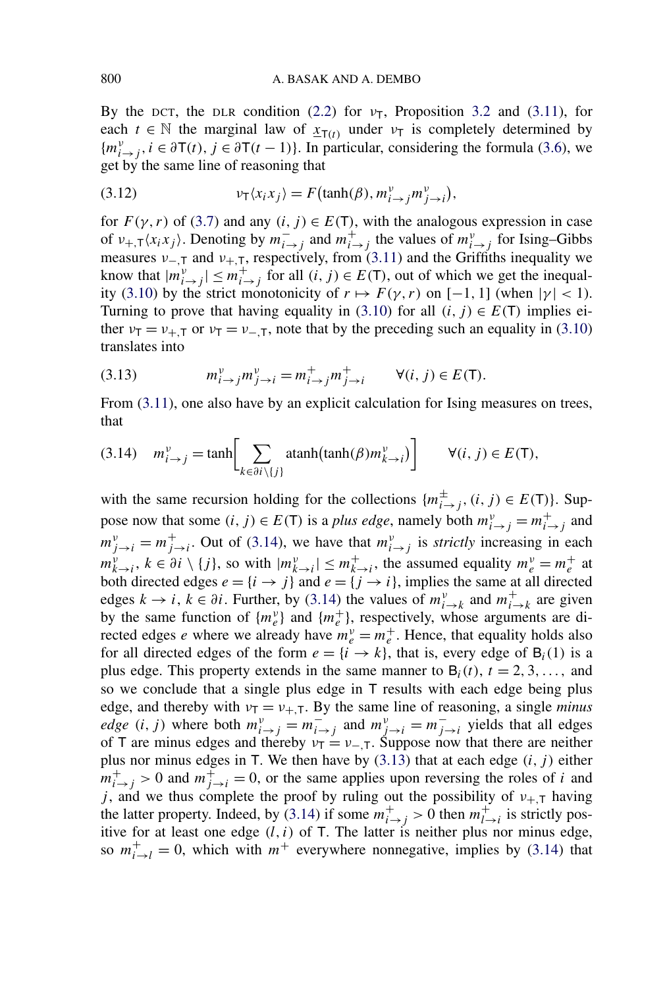<span id="page-20-0"></span>By the DCT, the DLR condition [\(2.2\)](#page-12-0) for  $v<sub>T</sub>$ , Proposition [3.2](#page-16-0) and [\(3.11\)](#page-19-0), for each  $t \in \mathbb{N}$  the marginal law of  $x_{T(t)}$  under  $v_T$  is completely determined by  ${m_{i \to j}^{\nu}}$ ,  $i \in \partial T(t)$ ,  $j \in \partial T(t-1)$ . In particular, considering the formula [\(3.6\)](#page-17-0), we get by the same line of reasoning that

(3.12) 
$$
\nu_{\mathsf{T}}\langle x_i x_j \rangle = F(\tanh(\beta), m_{i \to j}^{\nu} m_{j \to i}^{\nu}),
$$

for  $F(\gamma, r)$  of [\(3.7\)](#page-18-0) and any  $(i, j) \in E(T)$ , with the analogous expression in case of  $v_{+,\tau}\langle x_ix_j\rangle$ . Denoting by  $m_{i\to j}^-$  and  $m_{i\to j}^+$  the values of  $m_{i\to j}^v$  for Ising–Gibbs measures  $v_{-,\bar{T}}$  and  $v_{+,\bar{T}}$ , respectively, from [\(3.11\)](#page-19-0) and the Griffiths inequality we know that  $|m_{i\to j}^{\nu}| \leq m_{i\to j}^+$  for all  $(i, j) \in E(T)$ , out of which we get the inequal-ity [\(3.10\)](#page-19-0) by the strict monotonicity of  $r \mapsto F(\gamma, r)$  on [−1, 1] (when  $|\gamma| < 1$ ). Turning to prove that having equality in [\(3.10\)](#page-19-0) for all  $(i, j) \in E(T)$  implies either  $\nu_{\text{T}} = \nu_{+,\text{T}}$  or  $\nu_{\text{T}} = \nu_{-,\text{T}}$ , note that by the preceding such an equality in [\(3.10\)](#page-19-0) translates into

(3.13) 
$$
m_{i \to j}^{\nu} m_{j \to i}^{\nu} = m_{i \to j}^{+} m_{j \to i}^{+} \qquad \forall (i, j) \in E(\mathsf{T}).
$$

From  $(3.11)$ , one also have by an explicit calculation for Ising measures on trees, that

$$
(3.14) \t m_{i \to j}^{\nu} = \tanh\left[\sum_{k \in \partial i \setminus \{j\}} \operatorname{atanh}(\tanh(\beta)m_{k \to i}^{\nu})\right] \t \forall (i, j) \in E(\mathsf{T}),
$$

with the same recursion holding for the collections  ${m_{i \to j}^{\pm}, (i, j) \in E(T)}$ . Suppose now that some  $(i, j) \in E(T)$  is a *plus edge*, namely both  $m_{i \to j}^{\nu} = m_{i \to j}^{+}$  and  $m_{j\to i}^{\nu} = m_{j\to i}^+$ . Out of (3.14), we have that  $m_{i\to j}^{\nu}$  is *strictly* increasing in each  $m_{k\to i}^{\nu}$ ,  $k \in \partial i \setminus \{j\}$ , so with  $|m_{k\to i}^{\nu}| \le m_{k\to i}^+$ , the assumed equality  $m_e^{\nu} = m_e^+$  at both directed edges  $e = \{i \rightarrow j\}$  and  $e = \{j \rightarrow i\}$ , implies the same at all directed edges  $k \to i$ ,  $k \in \partial i$ . Further, by (3.14) the values of  $m_{i \to k}^{\nu}$  and  $m_{i \to k}^{+}$  are given by the same function of  $\{m_e^v\}$  and  $\{m_e^+\}$ , respectively, whose arguments are directed edges *e* where we already have  $m_e^v = m_e^+$ . Hence, that equality holds also for all directed edges of the form  $e = \{i \rightarrow k\}$ , that is, every edge of  $B_i(1)$  is a plus edge. This property extends in the same manner to  $B_i(t)$ ,  $t = 2, 3, \ldots$ , and so we conclude that a single plus edge in T results with each edge being plus edge, and thereby with  $v_T = v_{+,T}$ . By the same line of reasoning, a single *minus edge* (*i, j*) where both  $m_{i \to j}^{\nu} = m_{i \to j}^-$  and  $m_{j \to i}^{\nu} = m_{j \to i}^-$  yields that all edges of T are minus edges and thereby  $v_T = v_{-T}$ . Suppose now that there are neither plus nor minus edges in T. We then have by  $(3.13)$  that at each edge  $(i, j)$  either  $m^+_{i \to j} > 0$  and  $m^+_{j \to i} = 0$ , or the same applies upon reversing the roles of *i* and *j*, and we thus complete the proof by ruling out the possibility of  $v_{+,\text{T}}$  having the latter property. Indeed, by (3.14) if some  $m^+_{i \to j} > 0$  then  $m^+_{i \to i}$  is strictly positive for at least one edge  $(l, i)$  of T. The latter is neither plus nor minus edge, so  $m_{i\to l}^+ = 0$ , which with  $m^+$  everywhere nonnegative, implies by (3.14) that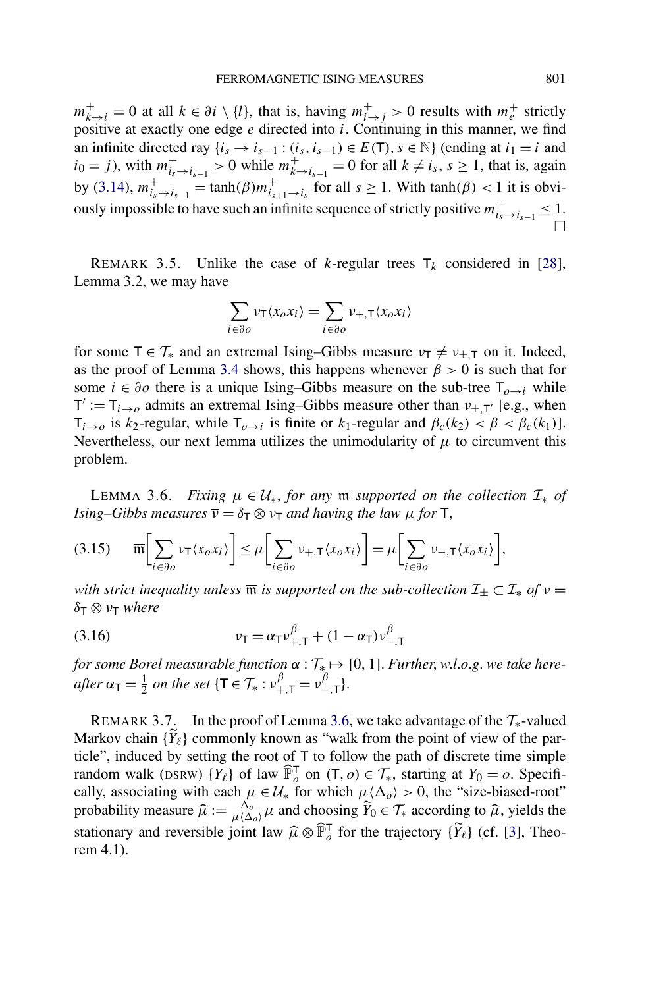<span id="page-21-0"></span> $m_{k\to i}^+ = 0$  at all  $k \in \partial i \setminus \{l\}$ , that is, having  $m_{i\to j}^+ > 0$  results with  $m_e^+$  strictly positive at exactly one edge *e* directed into *i*. Continuing in this manner, we find an infinite directed ray  $\{i_s \rightarrow i_{s-1} : (i_s, i_{s-1}) \in E(T), s \in \mathbb{N}\}\$  (ending at  $i_1 = i$  and *i*<sub>0</sub> = *j*), with  $m^+_{i_s \to i_{s-1}} > 0$  while  $m^+_{k \to i_{s-1}} = 0$  for all  $k \neq i_s$ , *s* ≥ 1, that is, again by [\(3.14\)](#page-20-0),  $m^+_{i_s \to i_{s-1}} = \tanh(\beta) m^+_{i_{s+1} \to i_s}$  for all  $s \ge 1$ . With  $\tanh(\beta) < 1$  it is obviously impossible to have such an infinite sequence of strictly positive  $m_{i_s \to i_{s-1}}^+ \leq 1$ .  $\Box$ 

REMARK 3.5. Unlike the case of *k*-regular trees  $T_k$  considered in [\[28\]](#page-43-0), Lemma 3.2, we may have

$$
\sum_{i \in \partial o} v_{\mathsf{T}} \langle x_o x_i \rangle = \sum_{i \in \partial o} v_{+,\mathsf{T}} \langle x_o x_i \rangle
$$

for some  $T \in \mathcal{T}_{*}$  and an extremal Ising–Gibbs measure  $\nu_{\tau} \neq \nu_{\pm,\tau}$  on it. Indeed, as the proof of Lemma [3.4](#page-19-0) shows, this happens whenever  $\beta > 0$  is such that for some  $i \in \partial$ *o* there is a unique Ising–Gibbs measure on the sub-tree  $\mathsf{T}_{o \to i}$  while  $T' := T_{i \to o}$  admits an extremal Ising–Gibbs measure other than  $v_{\pm,T'}$  [e.g., when  $T_{i\rightarrow o}$  is *k*<sub>2</sub>-regular, while  $T_{o\rightarrow i}$  is finite or *k*<sub>1</sub>-regular and  $\beta_c(k_2) < \beta < \beta_c(k_1)$ ]. Nevertheless, our next lemma utilizes the unimodularity of  $\mu$  to circumvent this problem.

LEMMA 3.6. *Fixing*  $\mu \in \mathcal{U}_*$ , for any  $\overline{\mathfrak{m}}$  supported on the collection  $\mathcal{I}_*$  of *Ising–Gibbs measures*  $\overline{v} = \delta_{\overline{1}} \otimes v_{\overline{1}}$  *and having the law*  $\mu$  *for*  $\overline{1}$ ,

$$
(3.15) \qquad \overline{\mathfrak{m}}\bigg[\sum_{i\in\partial o}\nu_{\mathsf{T}}\langle x_o x_i\rangle\bigg] \leq \mu\bigg[\sum_{i\in\partial o}\nu_{+,\mathsf{T}}\langle x_o x_i\rangle\bigg] = \mu\bigg[\sum_{i\in\partial o}\nu_{-,\mathsf{T}}\langle x_o x_i\rangle\bigg],
$$

*with strict inequality unless*  $\overline{\mathfrak{m}}$  *is supported on the sub-collection*  $\mathcal{I}_{\pm} \subset \mathcal{I}_{*}$  *of*  $\overline{\nu}$  = *δ*<sup>T</sup> ⊗ *ν*<sup>T</sup> *where*

(3.16) 
$$
v_T = \alpha_T v_{+,T}^{\beta} + (1 - \alpha_T) v_{-,T}^{\beta}
$$

*for some Borel measurable function*  $\alpha : \mathcal{T}_{*} \mapsto [0, 1]$ *. Further, w.l.o.g. we take here-* $\alpha$ <sub>T</sub> =  $\frac{1}{2}$  *on the set* { $\tau \in \mathcal{T}_{*}: \nu_{+,\tau}^{\beta} = \nu_{-,\tau}^{\beta}$ }.

REMARK 3.7. In the proof of Lemma 3.6, we take advantage of the  $\mathcal{T}_{*}$ -valued Markov chain  $\{Y_{\ell}\}\$ commonly known as "walk from the point of view of the particle", induced by setting the root of T to follow the path of discrete time simple random walk (DSRW)  $\{Y_{\ell}\}\$  of law  $\widehat{\mathbb{P}}_{o}^{\mathsf{T}}$  on  $(\mathsf{T}, o) \in \mathcal{T}_{*}$ , starting at  $Y_0 = o$ . Specifically, associating with each  $\mu \in \mathcal{U}_*$  for which  $\mu \langle \Delta_o \rangle > 0$ , the "size-biased-root" probability measure  $\hat{\mu} := \frac{\Delta_{\theta}}{\mu \langle \Delta_{\theta} \rangle} \mu$  and choosing  $\widetilde{Y}_0 \in \mathcal{T}_{*}$  according to  $\hat{\mu}$ , yields the stationary and reversible joint law  $\widehat{\mu} \otimes \widehat{\mathbb{P}}_{o}^{\mathsf{T}}$  for the trajectory  $\{\widetilde{Y}_{\ell}\}\$  (cf. [\[3\]](#page-42-0), Theorem 4.1).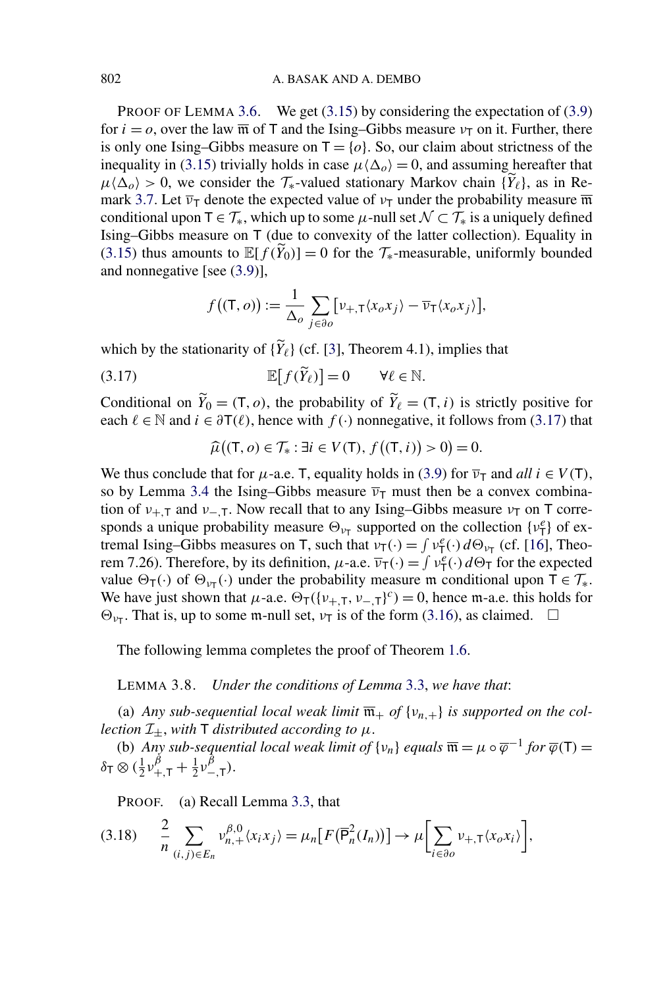<span id="page-22-0"></span>PROOF OF LEMMA [3.6.](#page-21-0) We get [\(3.15\)](#page-21-0) by considering the expectation of [\(3.9\)](#page-19-0) for  $i = 0$ , over the law  $\overline{\mathfrak{m}}$  of T and the Ising–Gibbs measure  $v_{\overline{1}}$  on it. Further, there is only one Ising–Gibbs measure on  $T = \{o\}$ . So, our claim about strictness of the inequality in [\(3.15\)](#page-21-0) trivially holds in case  $\mu \langle \Delta_{\rho} \rangle = 0$ , and assuming hereafter that  $\mu \langle \Delta_o \rangle > 0$ , we consider the  $\mathcal{T}_{*}$ -valued stationary Markov chain  $\{Y_{\ell}\}\$ , as in Re-mark [3.7.](#page-21-0) Let  $\overline{v}_T$  denote the expected value of  $v_T$  under the probability measure  $\overline{m}$ conditional upon  $T \in \mathcal{T}_*$ , which up to some  $\mu$ -null set  $\mathcal{N} \subset \mathcal{T}_*$  is a uniquely defined Ising–Gibbs measure on T (due to convexity of the latter collection). Equality in [\(3.15\)](#page-21-0) thus amounts to  $\mathbb{E}[f(\tilde{Y}_0)] = 0$  for the  $\mathcal{T}_{*}$ -measurable, uniformly bounded and nonnegative [see [\(3.9\)](#page-19-0)],

$$
f((\mathsf{T}, o)) := \frac{1}{\Delta_o} \sum_{j \in \partial o} \left[ \nu_{+,\mathsf{T}} \langle x_o x_j \rangle - \overline{\nu}_{\mathsf{T}} \langle x_o x_j \rangle \right],
$$

which by the stationarity of  $\{Y_{\ell}\}\$  (cf. [\[3\]](#page-42-0), Theorem 4.1), implies that

(3.17)  $\mathbb{E}[f(\widetilde{Y}_{\ell})] = 0 \quad \forall \ell \in \mathbb{N}.$ 

Conditional on  $\tilde{Y}_0 = (T, o)$ , the probability of  $\tilde{Y}_\ell = (T, i)$  is strictly positive for each  $\ell \in \mathbb{N}$  and  $i \in \partial \mathsf{T}(\ell)$ , hence with  $f(\cdot)$  nonnegative, it follows from (3.17) that

$$
\widehat{\mu}((\mathsf{T}, o) \in \mathcal{T}_* : \exists i \in V(\mathsf{T}), f((\mathsf{T}, i)) > 0) = 0.
$$

We thus conclude that for  $\mu$ -a.e. T, equality holds in [\(3.9\)](#page-19-0) for  $\overline{v}_T$  and *all*  $i \in V(T)$ , so by Lemma [3.4](#page-19-0) the Ising–Gibbs measure  $\bar{v}_T$  must then be a convex combination of  $v_{+,\text{T}}$  and  $v_{-,\text{T}}$ . Now recall that to any Ising–Gibbs measure  $v_{\text{T}}$  on T corresponds a unique probability measure  $\Theta_{\nu_{\text{T}}}$  supported on the collection  $\{\nu_{\text{T}}^e\}$  of extremal Ising–Gibbs measures on T, such that  $v_T(\cdot) = \int v_T^e(\cdot) d\Theta_{v_T}$  (cf. [\[16\]](#page-43-0), Theorem 7.26). Therefore, by its definition,  $\mu$ -a.e.  $\overline{v}_T(\cdot) = \int v_T^e(\cdot) d\Theta_T$  for the expected value  $\Theta_T(\cdot)$  of  $\Theta_{\nu_T}(\cdot)$  under the probability measure m conditional upon  $T \in \mathcal{T}_{*}$ . We have just shown that  $\mu$ -a.e.  $\Theta_T(\{\nu_{+,T}, \nu_{-,T}\}^c) = 0$ , hence m-a.e. this holds for  $\Theta_{\nu_{\overline{1}}}$ . That is, up to some m-null set,  $\nu_{\overline{1}}$  is of the form [\(3.16\)](#page-21-0), as claimed.  $\Box$ 

The following lemma completes the proof of Theorem [1.6.](#page-6-0)

LEMMA 3.8. *Under the conditions of Lemma* [3.3,](#page-17-0) *we have that*:

(a) *Any sub-sequential local weak limit*  $\overline{\mathfrak{m}}_+$  *of*  $\{v_{n,+}\}\$  *is supported on the collection*  $\mathcal{I}_{\pm}$ , *with*  $\mathsf{T}$  *distributed according to*  $\mu$ .

(b) *Any sub-sequential local weak limit of*  $\{v_n\}$  *equals*  $\overline{\mathfrak{m}} = \mu \circ \overline{\varphi}^{-1}$  *for*  $\overline{\varphi}(\mathsf{T}) =$  $\delta \tau \otimes (\frac{1}{2} \nu^{\beta}_{+, \mathsf{T}} + \frac{1}{2} \nu^{\beta}_{-, \mathsf{T}}).$ 

PROOF. (a) Recall Lemma [3.3,](#page-17-0) that

$$
(3.18) \quad \frac{2}{n} \sum_{(i,j)\in E_n} v_{n,+}^{\beta,0} \langle x_i x_j \rangle = \mu_n \big[ F(\overline{\mathsf{P}}_n^2(I_n)) \big] \to \mu \bigg[ \sum_{i \in \partial o} v_{+, \mathsf{T}} \langle x_o x_i \rangle \bigg],
$$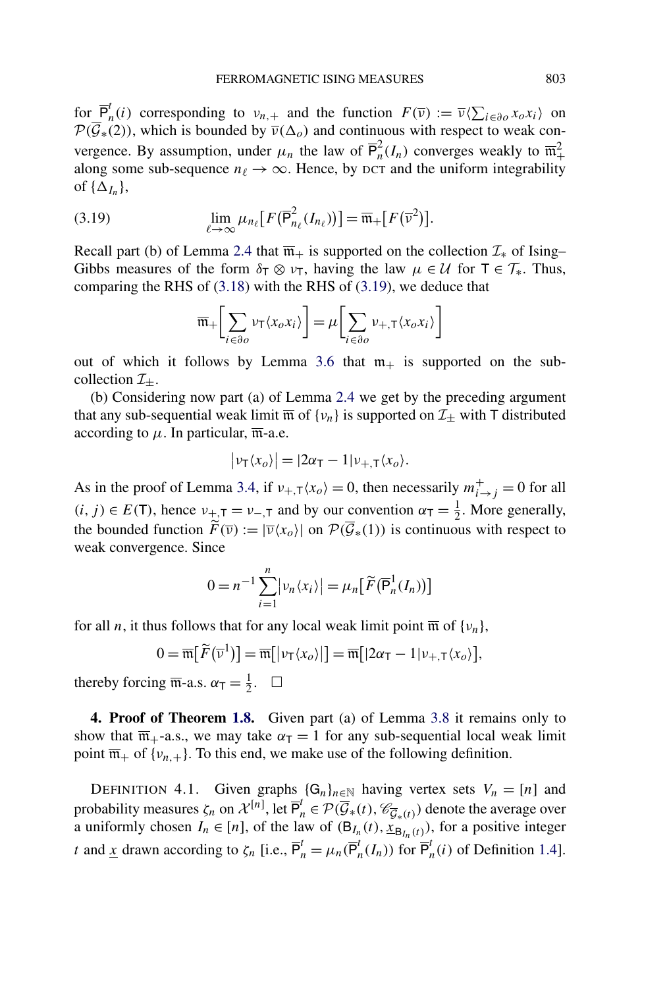<span id="page-23-0"></span>for  $\overline{P}_n^t(i)$  corresponding to  $v_{n,+}$  and the function  $F(\overline{v}) := \overline{v} \langle \sum_{i \in \partial o} x_o x_i \rangle$  on  $\mathcal{P}(\overline{\mathcal{G}}_*(2))$ , which is bounded by  $\overline{v}(\Delta_o)$  and continuous with respect to weak convergence. By assumption, under  $\mu_n$  the law of  $\overline{P}_n^2(I_n)$  converges weakly to  $\overline{m}_+^2$ along some sub-sequence  $n_\ell \to \infty$ . Hence, by DCT and the uniform integrability of  $\{\Delta_{I_n}\},\$ 

(3.19) 
$$
\lim_{\ell \to \infty} \mu_{n_{\ell}} [F(\overline{\mathsf{P}}_{n_{\ell}}^2(I_{n_{\ell}}))] = \overline{\mathfrak{m}}_+[F(\overline{\mathsf{v}}^2)].
$$

Recall part (b) of Lemma [2.4](#page-13-0) that  $\overline{m}_+$  is supported on the collection  $\mathcal{I}_*$  of Ising– Gibbs measures of the form  $\delta_T \otimes \nu_T$ , having the law  $\mu \in \mathcal{U}$  for  $T \in \mathcal{T}_*$ . Thus, comparing the RHS of [\(3.18\)](#page-22-0) with the RHS of (3.19), we deduce that

$$
\overline{\mathfrak{m}}_{+}\bigg[\sum_{i\in\partial o}\nu_{\mathsf{T}}\langle x_o x_i\rangle\bigg]=\mu\bigg[\sum_{i\in\partial o}\nu_{+,\mathsf{T}}\langle x_o x_i\rangle\bigg]
$$

out of which it follows by Lemma [3.6](#page-21-0) that  $m_+$  is supported on the subcollection  $\mathcal{I}_{\pm}$ .

(b) Considering now part (a) of Lemma [2.4](#page-13-0) we get by the preceding argument that any sub-sequential weak limit  $\overline{m}$  of  $\{v_n\}$  is supported on  $\mathcal{I}_\pm$  with T distributed according to  $\mu$ . In particular,  $\overline{m}$ -a.e.

$$
\big|\nu_{\mathsf{T}}\langle x_o\rangle\big|=|2\alpha_{\mathsf{T}}-1|\nu_{+,\mathsf{T}}\langle x_o\rangle.
$$

As in the proof of Lemma [3.4,](#page-19-0) if  $v_{+,T} \langle x_o \rangle = 0$ , then necessarily  $m_{i \to j}^+ = 0$  for all  $(i, j) \in E(T)$ , hence  $v_{\pm, T} = v_{-\pm}$  and by our convention  $\alpha_T = \frac{1}{2}$ . More generally, the bounded function  $\widetilde{F}(\overline{v}) := |\overline{v}\langle x_0 \rangle|$  on  $\mathcal{P}(\overline{\mathcal{G}}_*(1))$  is continuous with respect to weak convergence. Since

$$
0 = n^{-1} \sum_{i=1}^{n} |\nu_n \langle x_i \rangle| = \mu_n \big[ \widetilde{F}(\overline{\mathsf{P}}_n^1(I_n)) \big]
$$

for all *n*, it thus follows that for any local weak limit point  $\overline{m}$  of  $\{v_n\}$ ,

$$
0 = \overline{\mathfrak{m}}[\widetilde{F}(\overline{\nu}^1)] = \overline{\mathfrak{m}}[|\nu_{\mathsf{T}}\langle x_o\rangle|] = \overline{\mathfrak{m}}[|2\alpha_{\mathsf{T}}-1|\nu_{+,\mathsf{T}}\langle x_o\rangle],
$$

thereby forcing  $\overline{\mathfrak{m}}$ -a.s.  $\alpha_{\mathsf{T}} = \frac{1}{2}$ .  $\Box$ 

**4. Proof of Theorem [1.8.](#page-6-0)** Given part (a) of Lemma [3.8](#page-22-0) it remains only to show that  $\overline{m}_{+}$ -a.s., we may take  $\alpha_{\overline{1}} = 1$  for any sub-sequential local weak limit point  $\overline{\mathfrak{m}}_+$  of  $\{v_{n,+}\}\$ . To this end, we make use of the following definition.

DEFINITION 4.1. Given graphs  $\{G_n\}_{n\in\mathbb{N}}$  having vertex sets  $V_n = [n]$  and probability measures  $\zeta_n$  on  $\mathcal{X}^{[n]}$ , let  $\overline{P}_n^t \in \mathcal{P}(\overline{\mathcal{G}}_*(t), \mathcal{C}_{\overline{\mathcal{G}}_*(t)})$  denote the average over a uniformly chosen  $I_n \in [n]$ , of the law of  $(B_{I_n}(t), \tilde{x}_{B_{I_n}(t)})$ , for a positive integer *t* and <u>*x*</u> drawn according to  $\zeta_n$  [i.e.,  $\overline{P}_n^t = \mu_n(\overline{P}_n^t(I_n))$  for  $\overline{P}_n^t(i)$  of Definition [1.4\]](#page-5-0).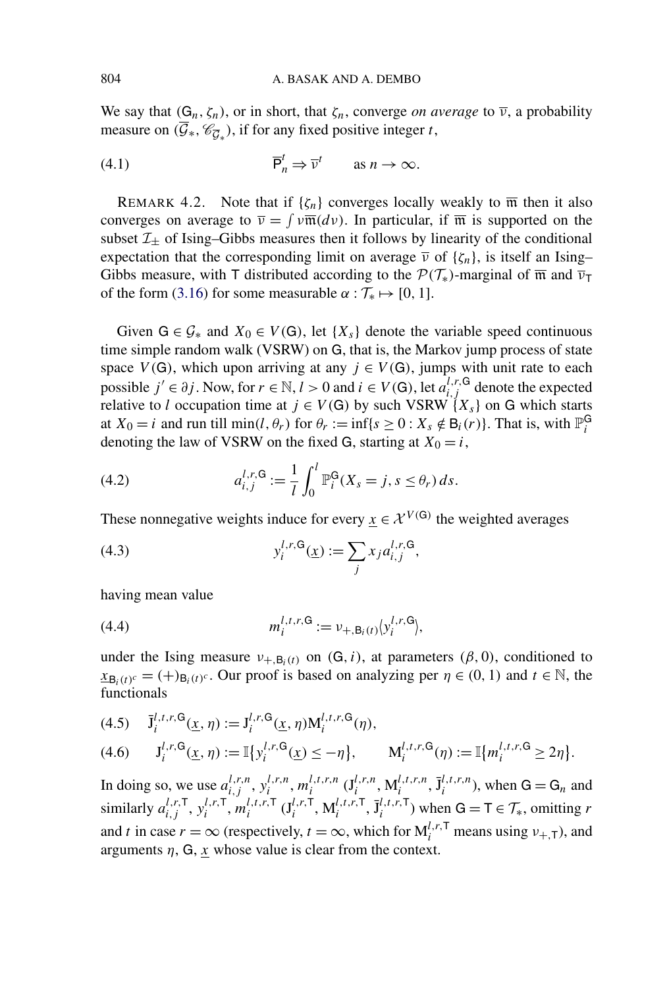<span id="page-24-0"></span>We say that  $(G_n, \zeta_n)$ , or in short, that  $\zeta_n$ , converge *on average* to  $\overline{\nu}$ , a probability measure on  $(\overline{\mathcal{G}}_*, \mathcal{C}_{\overline{\mathcal{G}}_*})$ , if for any fixed positive integer *t*,

(4.1) 
$$
\overline{\mathsf{P}}_n^t \Rightarrow \overline{\mathsf{v}}^t \qquad \text{as } n \to \infty.
$$

REMARK 4.2. Note that if  $\{\zeta_n\}$  converges locally weakly to  $\overline{m}$  then it also converges on average to  $\overline{v} = \int v \overline{\mathfrak{m}}(dv)$ . In particular, if  $\overline{\mathfrak{m}}$  is supported on the subset  $\mathcal{I}_{\pm}$  of Ising–Gibbs measures then it follows by linearity of the conditional expectation that the corresponding limit on average  $\bar{v}$  of  $\{\zeta_n\}$ , is itself an Ising– Gibbs measure, with T distributed according to the  $\mathcal{P}(\mathcal{T}_{*})$ -marginal of  $\overline{\mathfrak{m}}$  and  $\overline{\nu}_{\mathsf{T}}$ of the form [\(3.16\)](#page-21-0) for some measurable  $\alpha : \mathcal{T}_{*} \mapsto [0, 1].$ 

Given  $G \in \mathcal{G}_*$  and  $X_0 \in V(G)$ , let  $\{X_s\}$  denote the variable speed continuous time simple random walk (VSRW) on G, that is, the Markov jump process of state space  $V(G)$ , which upon arriving at any  $j \in V(G)$ , jumps with unit rate to each possible *j'* ∈  $\partial j$ . Now, for  $r \in \mathbb{N}, l > 0$  and  $i \in V(G)$ , let  $a_{i,j}^{l,r,G}$  denote the expected relative to *l* occupation time at  $j \in V(G)$  by such VSRW  $\{X_s\}$  on G which starts at  $X_0 = i$  and run till min $(l, \theta_r)$  for  $\theta_r := \inf\{s \ge 0 : X_s \notin \mathsf{B}_i(r)\}\)$ . That is, with  $\mathbb{P}_i^{\mathsf{G}}$ denoting the law of VSRW on the fixed G, starting at  $X_0 = i$ ,

(4.2) 
$$
a_{i,j}^{l,r,\mathsf{G}} := \frac{1}{l} \int_0^l \mathbb{P}_i^{\mathsf{G}}(X_s = j, s \leq \theta_r) \, ds.
$$

These nonnegative weights induce for every  $x \in \mathcal{X}^{V(G)}$  the weighted averages

(4.3) 
$$
y_i^{l,r,\mathsf{G}}(\underline{x}) := \sum_j x_j a_{i,j}^{l,r,\mathsf{G}},
$$

having mean value

(4.4) 
$$
m_i^{l,t,r,\mathsf{G}} := \nu_{+,\mathsf{B}_i(t)}(y_i^{l,r,\mathsf{G}}),
$$

under the Ising measure  $v_{+,B_i(t)}$  on  $(G, i)$ , at parameters  $(\beta, 0)$ , conditioned to  $x_{\mathbf{B}_i(t)^c} = (+)_{\mathbf{B}_i(t)^c}$ . Our proof is based on analyzing per  $\eta \in (0, 1)$  and  $t \in \mathbb{N}$ , the functionals

$$
(4.5) \quad \bar{\mathbf{J}}_i^{l,t,r,\mathbf{G}}(\underline{x},\eta) := \mathbf{J}_i^{l,r,\mathbf{G}}(\underline{x},\eta)\mathbf{M}_i^{l,t,r,\mathbf{G}}(\eta),
$$
\n
$$
(4.6) \quad \mathbf{J}_i^{l,r,\mathbf{G}}(\underline{x},\eta) := \mathbb{I}\{\mathbf{y}_i^{l,r,\mathbf{G}}(\underline{x}) \leq -\eta\}, \quad \mathbf{M}_i^{l,t,r,\mathbf{G}}(\eta) := \mathbb{I}\{m_i^{l,t,r,\mathbf{G}} \geq 2\eta\}.
$$

In doing so, we use  $a_{i,j}^{l,r,n}$ ,  $y_i^{l,r,n}$ ,  $m_i^{l,t,r,n}$   $(\mathbf{J}_i^{l,r,n}, \mathbf{M}_i^{l,t,r,n}, \mathbf{J}_i^{l,t,r,n})$ , when  $\mathsf{G} = \mathsf{G}_n$  and similarly  $a_{i,j}^{l,r,\mathsf{T}}, y_i^{l,r,\mathsf{T}}, m_i^{l,t,r,\mathsf{T}}$  ( $\mathbf{J}_i^{l,r,\mathsf{T}}, \mathbf{M}_i^{l,t,r,\mathsf{T}}, \mathbf{J}_i^{l,t,r,\mathsf{T}}$ ) when  $\mathsf{G} = \mathsf{T} \in \mathcal{T}_*$ , omitting *r* and *t* in case  $r = \infty$  (respectively,  $t = \infty$ , which for  $M_i^{l,r,T}$  means using  $v_{+,T}$ ), and arguments  $\eta$ , G, *x* whose value is clear from the context.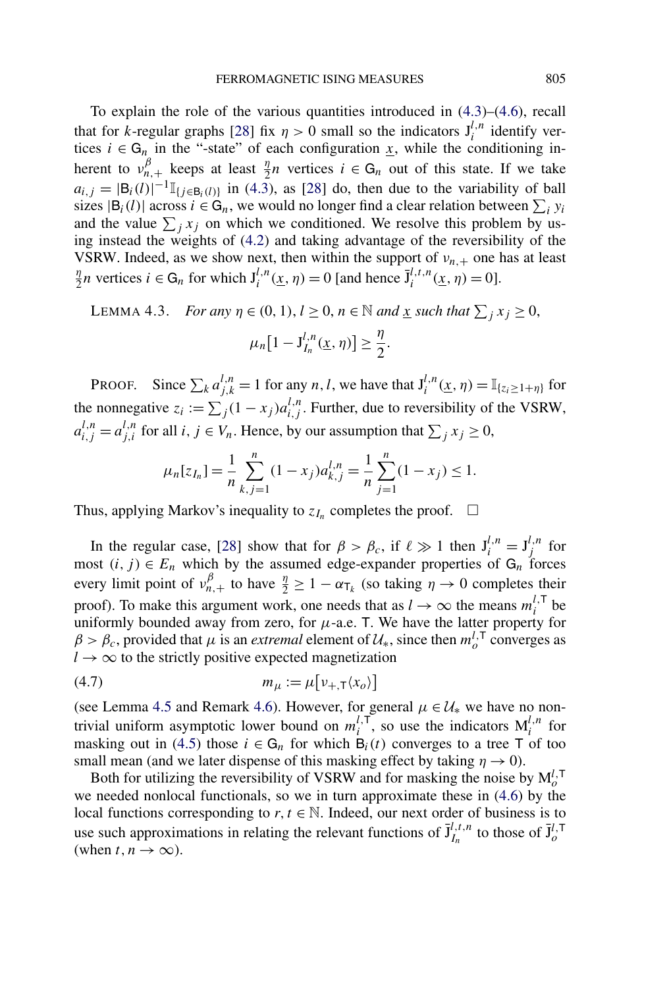<span id="page-25-0"></span>To explain the role of the various quantities introduced in [\(4.3\)](#page-24-0)–[\(4.6\)](#page-24-0), recall that for *k*-regular graphs [\[28\]](#page-43-0) fix  $\eta > 0$  small so the indicators  $J_i^{l,n}$  identify vertices  $i \in G_n$  in the "-state" of each configuration <u>x</u>, while the conditioning inherent to  $v_{n,+}^{\beta}$  keeps at least  $\frac{\eta}{2}n$  vertices  $i \in G_n$  out of this state. If we take  $a_{i,j} = |B_i(l)|^{-1} \mathbb{I}_{\{j \in B_i(l)\}}$  in [\(4.3\)](#page-24-0), as [\[28\]](#page-43-0) do, then due to the variability of ball sizes  $|B_i(l)|$  across  $i \in G_n$ , we would no longer find a clear relation between  $\sum_i y_i$ and the value  $\sum_j x_j$  on which we conditioned. We resolve this problem by using instead the weights of [\(4.2\)](#page-24-0) and taking advantage of the reversibility of the VSRW. Indeed, as we show next, then within the support of  $v_{n,+}$  one has at least *n*<sub>2</sub>*n* vertices *i*  $\in$  G<sub>*n*</sub> for which  $J_i^{l,n}(\underline{x}, \eta) = 0$  [and hence  $\bar{J}_i^{l,t,n}(\underline{x}, \eta) = 0$ ].

LEMMA 4.3. *For any*  $\eta \in (0, 1)$ ,  $l \ge 0$ ,  $n \in \mathbb{N}$  and <u>x</u> such that  $\sum_j x_j \ge 0$ ,

$$
\mu_n[1-J_{I_n}^{l,n}(\underline{x},\eta)]\geq \frac{\eta}{2}.
$$

PROOF. Since  $\sum_{k} a_{j,k}^{l,n} = 1$  for any *n*, *l*, we have that  $J_i^{l,n}(\underline{x}, \eta) = \mathbb{I}_{\{z_i \geq 1 + \eta\}}$  for the nonnegative  $z_i := \sum_j (1 - x_j) a_{i,j}^{l,n}$ . Further, due to reversibility of the VSRW,  $a_{i,j}^{l,n} = a_{j,i}^{l,n}$  for all *i*,  $j \in V_n$ . Hence, by our assumption that  $\sum_j x_j \ge 0$ ,

$$
\mu_n[z_{I_n}] = \frac{1}{n} \sum_{k,j=1}^n (1-x_j) a_{k,j}^{l,n} = \frac{1}{n} \sum_{j=1}^n (1-x_j) \le 1.
$$

Thus, applying Markov's inequality to  $z_{I_n}$  completes the proof.  $\Box$ 

In the regular case, [\[28\]](#page-43-0) show that for  $\beta > \beta_c$ , if  $\ell \gg 1$  then  $J_i^{l,n} = J_j^{l,n}$  for most  $(i, j) \in E_n$  which by the assumed edge-expander properties of  $G_n$  forces every limit point of  $v_{n,+}^{\beta}$  to have  $\frac{\eta}{2} \ge 1 - \alpha_{\tau_k}$  (so taking  $\eta \to 0$  completes their proof). To make this argument work, one needs that as  $l \to \infty$  the means  $m_i^{l, \mathsf{T}}$  be uniformly bounded away from zero, for  $\mu$ -a.e. T. We have the latter property for  $\beta > \beta_c$ , provided that *μ* is an *extremal* element of  $\mathcal{U}_*$ , since then  $m_o^{l,\mathsf{T}}$  converges as  $l \rightarrow \infty$  to the strictly positive expected magnetization

$$
(4.7) \t m_{\mu} := \mu \big[ \nu_{+,\mathsf{T}} \langle x_o \rangle \big]
$$

(see Lemma [4.5](#page-28-0) and Remark [4.6\)](#page-28-0). However, for general  $\mu \in \mathcal{U}_{*}$  we have no nontrivial uniform asymptotic lower bound on  $m_i^{l,\mathsf{T}}$ , so use the indicators  $M_i^{l,n}$  for masking out in [\(4.5\)](#page-24-0) those  $i \in G_n$  for which  $B_i(t)$  converges to a tree T of too small mean (and we later dispense of this masking effect by taking  $\eta \to 0$ ).

Both for utilizing the reversibility of VSRW and for masking the noise by  $M_o^{l, T}$ we needed nonlocal functionals, so we in turn approximate these in [\(4.6\)](#page-24-0) by the local functions corresponding to  $r, t \in \mathbb{N}$ . Indeed, our next order of business is to use such approximations in relating the relevant functions of  $\bar{J}_{I_n}^{l,t,n}$  to those of  $\bar{J}_{o}^{l,\tau}$ (when  $t, n \to \infty$ ).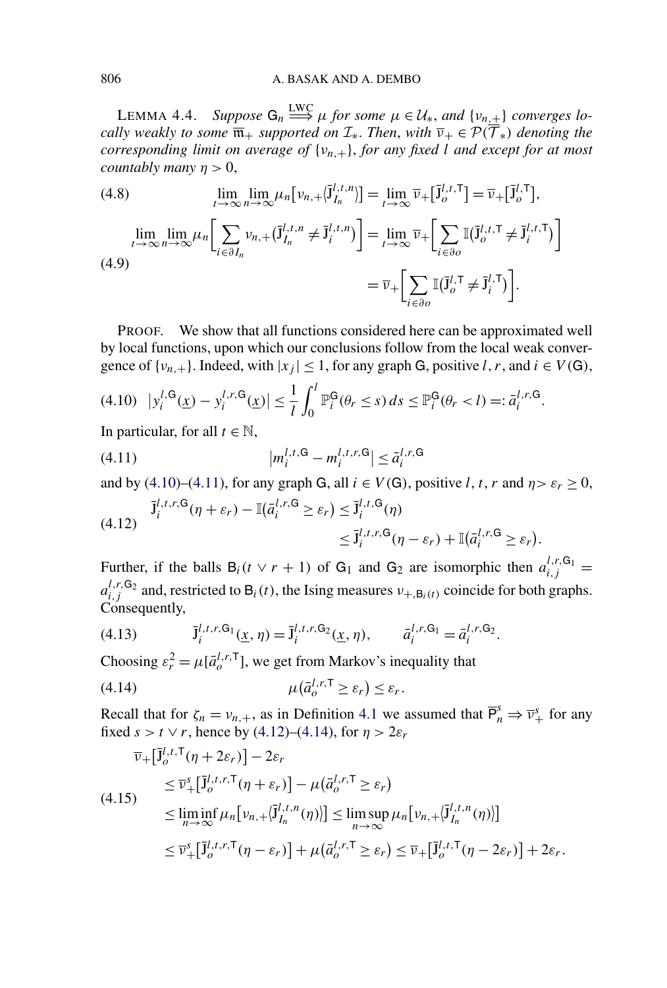<span id="page-26-0"></span>LEMMA 4.4. *Suppose*  $G_n \stackrel{\text{LWC}}{\Longrightarrow} \mu$  *for some*  $\mu \in \mathcal{U}_*$ , and  $\{v_{n,\pm}\}\$  *converges locally weakly to some*  $\overline{\mathfrak{m}}_+$  *supported on*  $\mathcal{I}_*$ *. Then, with*  $\overline{\nu}_+ \in \mathcal{P}(\overline{\mathcal{T}}_*)$  *denoting the corresponding limit on average of* {*νn,*+}, *for any fixed l and except for at most countably many*  $n > 0$ ,

(4.8)  
\n
$$
\lim_{t \to \infty} \lim_{n \to \infty} \mu_n \big[ \nu_{n,+} (\bar{J}_{I_n}^{l,t,n}) \big] = \lim_{t \to \infty} \bar{\nu}_+ [\bar{J}_o^{l,t,T}] = \bar{\nu}_+ [\bar{J}_o^{l,T}],
$$
\n
$$
\lim_{t \to \infty} \lim_{n \to \infty} \mu_n \bigg[ \sum_{i \in \partial I_n} \nu_{n,+} (\bar{J}_{I_n}^{l,t,n} \neq \bar{J}_i^{l,t,n}) \bigg] = \lim_{t \to \infty} \bar{\nu}_+ \bigg[ \sum_{i \in \partial o} \mathbb{I} (\bar{J}_o^{l,t,T} \neq \bar{J}_i^{l,t,T}) \bigg]
$$
\n
$$
= \bar{\nu}_+ \bigg[ \sum_{i \in \partial o} \mathbb{I} (\bar{J}_o^{l,T} \neq \bar{J}_i^{l,T}) \bigg].
$$

PROOF. We show that all functions considered here can be approximated well by local functions, upon which our conclusions follow from the local weak convergence of  $\{v_{n,+}\}\$ . Indeed, with  $|x_i| \leq 1$ , for any graph G, positive *l*, *r*, and  $i \in V(G)$ ,

$$
(4.10) \quad \left| y_i^{l,\mathsf{G}}(\underline{x}) - y_i^{l,r,\mathsf{G}}(\underline{x}) \right| \le \frac{1}{l} \int_0^l \mathbb{P}_i^{\mathsf{G}}(\theta_r \le s) \, ds \le \mathbb{P}_i^{\mathsf{G}}(\theta_r < l) =: \bar{a}_i^{l,r,\mathsf{G}}.
$$

In particular, for all  $t \in \mathbb{N}$ ,

(4.11) 
$$
|m_i^{l,t,\mathsf{G}} - m_i^{l,t,r,\mathsf{G}}| \leq \bar{a}_i^{l,r,\mathsf{G}}
$$

and by (4.10)–(4.11), for any graph G, all  $i \in V(G)$ , positive *l*, *t*, *r* and  $\eta > \varepsilon_r \ge 0$ ,

$$
\overline{\mathbf{J}}_i^{l,t,r,\mathbf{G}}(\eta+\varepsilon_r) - \mathbb{I}(\overline{a}_i^{l,r,\mathbf{G}} \ge \varepsilon_r) \le \overline{\mathbf{J}}_i^{l,t,\mathbf{G}}(\eta) \le \overline{\mathbf{J}}_i^{l,t,r,\mathbf{G}}(\eta-\varepsilon_r) + \mathbb{I}(\overline{a}_i^{l,r,\mathbf{G}} \ge \varepsilon_r).
$$

Further, if the balls  $B_i(t \vee r + 1)$  of  $G_1$  and  $G_2$  are isomorphic then  $a_{i,j}^{l,r,G_1} =$  $a_{i,j}^{l,r,\mathsf{G}_2}$  and, restricted to  $\mathsf{B}_i(t)$ , the Ising measures  $v_{+,\mathsf{B}_i(t)}$  coincide for both graphs. Consequently,

(4.13) 
$$
\bar{J}_i^{l,t,r,\mathsf{G}_1}(\underline{x},\eta) = \bar{J}_i^{l,t,r,\mathsf{G}_2}(\underline{x},\eta), \qquad \bar{a}_i^{l,r,\mathsf{G}_1} = \bar{a}_i^{l,r,\mathsf{G}_2}.
$$

Choosing  $\varepsilon_r^2 = \mu[\bar{a}_o^{l,r,\mathsf{T}}]$ , we get from Markov's inequality that

$$
\mu(\bar{a}_o^{l,r,\mathsf{T}} \ge \varepsilon_r) \le \varepsilon_r.
$$

Recall that for  $\zeta_n = v_{n,+}$ , as in Definition [4.1](#page-23-0) we assumed that  $\overline{P}_n^s \Rightarrow \overline{v}_+^s$  for any fixed *s* > *t* ∨ *r*, hence by (4.12)–(4.14), for  $\eta$  > 2 $\varepsilon$ <sub>*r*</sub>

$$
\overline{\nu}_{+}[\overline{\mathbf{j}}_{o}^{l,t,T}(\eta+2\varepsilon_{r})]-2\varepsilon_{r}
$$
\n
$$
\leq \overline{\nu}_{+}^{s}[\overline{\mathbf{j}}_{o}^{l,t,r,T}(\eta+\varepsilon_{r})]-\mu(\overline{a}_{o}^{l,r,T}\geq\varepsilon_{r})
$$
\n
$$
\leq \liminf_{n\to\infty}\mu_{n}[\nu_{n,+}(\overline{\mathbf{j}}_{I_{n}}^{l,t,n}(\eta))]\leq \limsup_{n\to\infty}\mu_{n}[\nu_{n,+}(\overline{\mathbf{j}}_{I_{n}}^{l,t,n}(\eta))]
$$
\n
$$
\leq \overline{\nu}_{+}^{s}[\overline{\mathbf{j}}_{o}^{l,t,r,T}(\eta-\varepsilon_{r})]+\mu(\overline{a}_{o}^{l,r,T}\geq\varepsilon_{r})\leq \overline{\nu}_{+}[\overline{\mathbf{j}}_{o}^{l,t,T}(\eta-2\varepsilon_{r})]+2\varepsilon_{r}.
$$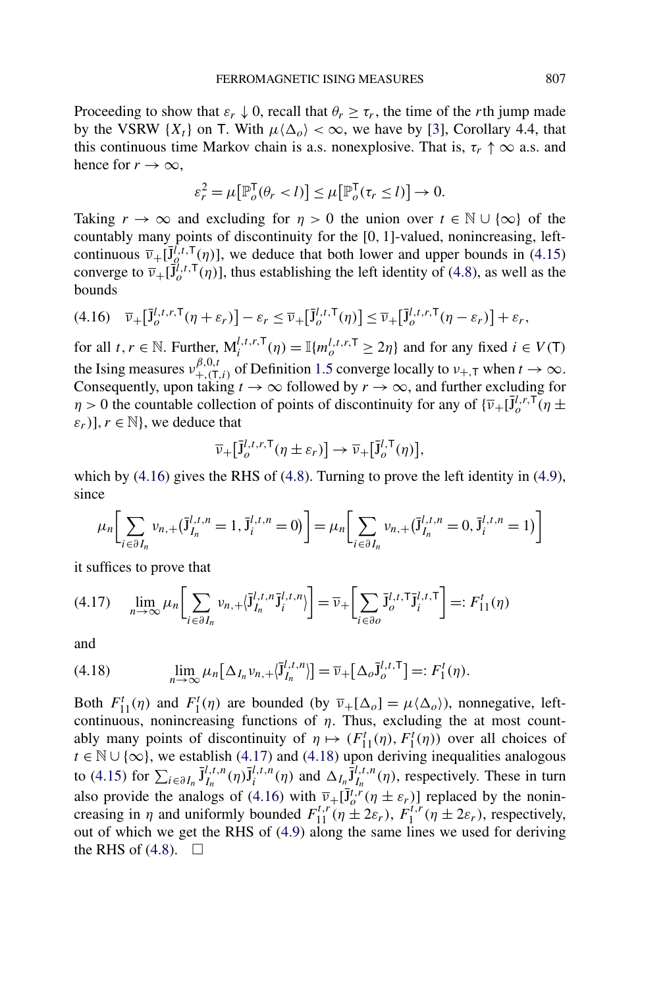Proceeding to show that  $\varepsilon_r \downarrow 0$ , recall that  $\theta_r \geq \tau_r$ , the time of the *r*th jump made by the VSRW  $\{X_t\}$  on T. With  $\mu \langle \Delta_o \rangle < \infty$ , we have by [\[3\]](#page-42-0), Corollary 4.4, that this continuous time Markov chain is a.s. nonexplosive. That is,  $\tau_r \uparrow \infty$  a.s. and hence for  $r \to \infty$ ,

$$
\varepsilon_r^2 = \mu \big[ \mathbb{P}_o^{\mathsf{T}}(\theta_r < l) \big] \le \mu \big[ \mathbb{P}_o^{\mathsf{T}}(\tau_r \le l) \big] \to 0.
$$

Taking  $r \to \infty$  and excluding for  $\eta > 0$  the union over  $t \in \mathbb{N} \cup \{\infty\}$  of the countably many points of discontinuity for the [0*,* 1]-valued, nonincreasing, leftcontinuous  $\overline{v}_+[\overline{J}_{Q}^{\overline{f},t,T}(\eta)]$ , we deduce that both lower and upper bounds in [\(4.15\)](#page-26-0) converge to  $\overline{\nu}_+[\overline{J}^{i,t,T}_{o}(\eta)]$ , thus establishing the left identity of [\(4.8\)](#page-26-0), as well as the bounds

$$
(4.16)\quad \overline{\nu}_{+}\left[\overline{\mathbf{J}}_{o}^{l,t,r,\mathsf{T}}(\eta+\varepsilon_{r})\right]-\varepsilon_{r}\leq \overline{\nu}_{+}\left[\overline{\mathbf{J}}_{o}^{l,t,\mathsf{T}}(\eta)\right]\leq \overline{\nu}_{+}\left[\overline{\mathbf{J}}_{o}^{l,t,r,\mathsf{T}}(\eta-\varepsilon_{r})\right]+\varepsilon_{r},
$$

for all  $t, r \in \mathbb{N}$ . Further,  $M_i^{l,t,r,T}(\eta) = \mathbb{I}\lbrace m_o^{l,t,r,T} \geq 2\eta \rbrace$  and for any fixed  $i \in V(T)$ the Ising measures  $v^{(\beta,0,t)}_{+,\tau,0}$  of Definition [1.5](#page-5-0) converge locally to  $v_{+,\tau}$  when  $t \to \infty$ . Consequently, upon taking  $t \to \infty$  followed by  $r \to \infty$ , and further excluding for *η* > 0 the countable collection of points of discontinuity for any of  $\{\overline{v} + [\overline{J}^{\overline{l},r},\overline{T}(\eta \pm \overline{T}^{\overline{l},r},\overline{T}(\eta \pm \overline{T}^{\overline{l},r},\overline{T}(\eta \pm \overline{T}^{\overline{l},r},\overline{T}(\eta \pm \overline{T}^{\overline{l},r},\overline{T}(\eta \pm \overline{T}^{\overline{l},r},\overline{T}(\eta \pm \overline{T}^{\over$  $\varepsilon_r$ )],  $r \in \mathbb{N}$ , we deduce that

$$
\overline{\nu}_{+}[\overline{J}_{o}^{l,t,r,T}(\eta \pm \varepsilon_{r})] \to \overline{\nu}_{+}[\overline{J}_{o}^{l,T}(\eta)],
$$

which by  $(4.16)$  gives the RHS of  $(4.8)$ . Turning to prove the left identity in  $(4.9)$ , since

$$
\mu_n \bigg[ \sum_{i \in \partial I_n} v_{n,+} (\bar{J}_{I_n}^{l,t,n} = 1, \bar{J}_i^{l,t,n} = 0) \bigg] = \mu_n \bigg[ \sum_{i \in \partial I_n} v_{n,+} (\bar{J}_{I_n}^{l,t,n} = 0, \bar{J}_i^{l,t,n} = 1) \bigg]
$$

it suffices to prove that

$$
(4.17) \quad \lim_{n \to \infty} \mu_n \bigg[ \sum_{i \in \partial I_n} v_{n,+} \langle \overline{J}_{I_n}^{l,t,n} \overline{J}_i^{l,t,n} \rangle \bigg] = \overline{\nu}_+ \bigg[ \sum_{i \in \partial \mathcal{O}} \overline{J}_{\mathcal{O}}^{l,t,\mathsf{T}} \overline{J}_i^{l,t,\mathsf{T}} \bigg] =: F_{11}^t(\eta)
$$

and

$$
(4.18) \qquad \lim_{n \to \infty} \mu_n \big[ \Delta_{I_n} v_{n,+} \langle \bar{J}^{l,t,n}_{I_n} \rangle \big] = \overline{\nu}_+ \big[ \Delta_o \bar{J}^{l,t,T}_o \big] =: F_1^t(\eta).
$$

Both  $F'_{11}(\eta)$  and  $F'_{1}(\eta)$  are bounded (by  $\overline{v}_{+}[\Delta_{o}] = \mu \langle \Delta_{o} \rangle$ ), nonnegative, leftcontinuous, nonincreasing functions of  $\eta$ . Thus, excluding the at most countably many points of discontinuity of  $\eta \mapsto (F_{11}^t(\eta), F_1^t(\eta))$  over all choices of  $t \in \mathbb{N} \cup \{\infty\}$ , we establish (4.17) and (4.18) upon deriving inequalities analogous to [\(4.15\)](#page-26-0) for  $\sum_{i \in \partial I_n} \overline{J}^{l,t,n}_{I_n}(\eta) \overline{J}^{l,t,n}_{i}(\eta)$  and  $\Delta_{I_n} \overline{J}^{l,t,n}_{I_n}(\eta)$ , respectively. These in turn also provide the analogs of (4.16) with  $\overline{v}_+ [\overline{J}^t_{o} \overline{r}(\eta \pm \varepsilon_r)]$  replaced by the nonincreasing in *η* and uniformly bounded  $F_{11}^{t,r}(\eta \pm 2\varepsilon_r)$ ,  $F_1^{t,r}(\eta \pm 2\varepsilon_r)$ , respectively, out of which we get the RHS of [\(4.9\)](#page-26-0) along the same lines we used for deriving the RHS of  $(4.8)$ .  $\Box$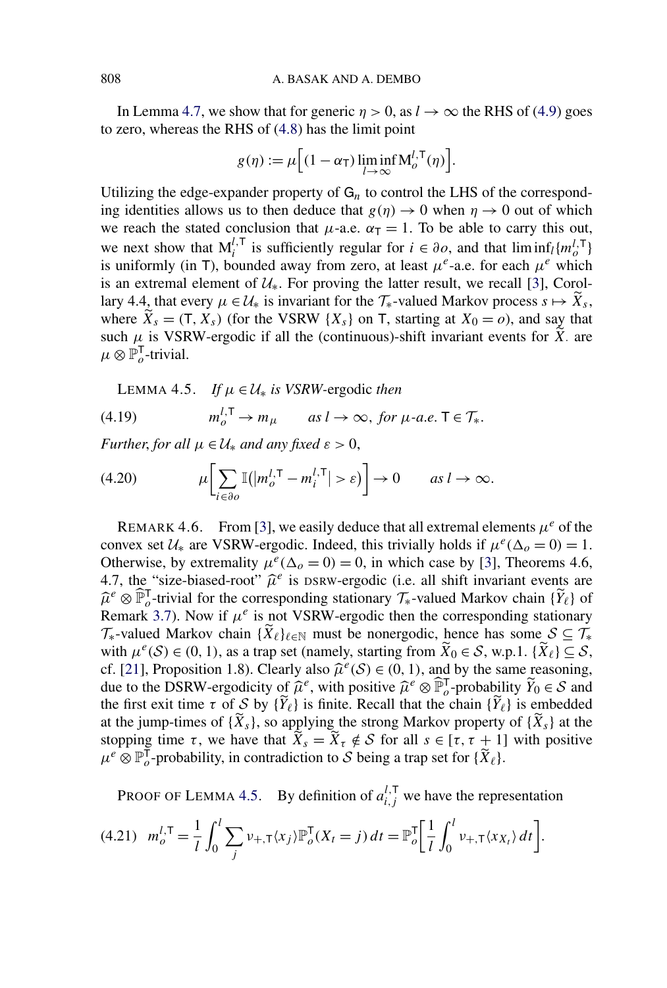In Lemma [4.7,](#page-29-0) we show that for generic  $\eta > 0$ , as  $l \to \infty$  the RHS of [\(4.9\)](#page-26-0) goes to zero, whereas the RHS of [\(4.8\)](#page-26-0) has the limit point

$$
g(\eta) := \mu \Big[ (1 - \alpha_{\mathsf{T}}) \liminf_{l \to \infty} \mathsf{M}_{o}^{l, \mathsf{T}}(\eta) \Big].
$$

Utilizing the edge-expander property of  $G_n$  to control the LHS of the corresponding identities allows us to then deduce that  $g(\eta) \to 0$  when  $\eta \to 0$  out of which we reach the stated conclusion that  $\mu$ -a.e.  $\alpha_T = 1$ . To be able to carry this out, we next show that  $M_i^{l, T}$  is sufficiently regular for  $i \in \partial \mathcal{O}$ , and that  $\liminf_l \{m_o^{l, T}\}\$ is uniformly (in T), bounded away from zero, at least  $\mu^e$ -a.e. for each  $\mu^e$  which is an extremal element of  $U_*$ . For proving the latter result, we recall [\[3\]](#page-42-0), Corollary 4.4, that every  $\mu \in \mathcal{U}_*$  is invariant for the  $\mathcal{T}_*$ -valued Markov process  $s \mapsto \widetilde{X}_s$ , where  $\widetilde{X}_s = (T, X_s)$  (for the VSRW  $\{X_s\}$  on T, starting at  $X_0 = o$ ), and say that such  $\mu$  is VSRW-ergodic if all the (continuous)-shift invariant events for  $\tilde{X}$  are  $\mu \otimes \mathbb{P}_{o}^{\mathsf{T}}$ -trivial.

LEMMA 4.5. *If*  $\mu \in \mathcal{U}_*$  *is VSRW*-ergodic *then* 

(4.19) 
$$
m_o^{l, \mathsf{T}} \to m_\mu \quad \text{as } l \to \infty, \text{ for } \mu\text{-a.e. } \mathsf{T} \in \mathcal{T}_*.
$$

*Further, for all*  $\mu \in \mathcal{U}_*$  *and any fixed*  $\varepsilon > 0$ ,

(4.20) 
$$
\mu \bigg[ \sum_{i \in \partial o} \mathbb{I}(|m_o^{l, \mathsf{T}} - m_i^{l, \mathsf{T}}| > \varepsilon) \bigg] \to 0 \quad \text{as } l \to \infty.
$$

REMARK 4.6. From [\[3\]](#page-42-0), we easily deduce that all extremal elements  $\mu^e$  of the convex set  $U_*$  are VSRW-ergodic. Indeed, this trivially holds if  $\mu^e(\Delta_0 = 0) = 1$ . Otherwise, by extremality  $\mu^e(\Delta_o = 0) = 0$ , in which case by [\[3\]](#page-42-0), Theorems 4.6, 4.7, the "size-biased-root"  $\hat{\mu}^e$  is DSRW-ergodic (i.e. all shift invariant events are  $\hat{\mu}^e \otimes \hat{\mathbb{P}}_o^{\mathsf{T}}$ -trivial for the corresponding stationary  $\mathcal{T}_*$ -valued Markov chain {*Y*<sub>*e*</sub>} of Remark [3.7\)](#page-21-0). Now if  $\mu^e$  is not VSRW-ergodic then the corresponding stationary  $\mathcal{T}_{*}$ -valued Markov chain  $\{\widetilde{X}_{\ell}\}_{\ell \in \mathbb{N}}$  must be nonergodic, hence has some  $S \subseteq \mathcal{T}_{*}$ with  $\mu^{e}(S) \in (0, 1)$ , as a trap set (namely, starting from  $\widetilde{X}_0 \in S$ , w.p.1.  $\{\widetilde{X}_\ell\} \subseteq S$ , cf. [\[21\]](#page-43-0), Proposition 1.8). Clearly also  $\hat{\mu}^e(\mathcal{S}) \in (0, 1)$ , and by the same reasoning, due to the DSRW-ergodicity of  $\hat{\mu}^e$ , with positive  $\hat{\mu}^e \otimes \hat{\mathbb{P}}$ <sub>*o*</sub>-probability  $\tilde{Y}_0 \in \mathcal{S}$  and the first exit time  $\tau$  of S by  $\{Y_{\ell}\}\$  is finite. Recall that the chain  $\{Y_{\ell}\}\$ is embedded at the jump-times of  $\{X_s\}$ , so applying the strong Markov property of  $\{X_s\}$  at the stopping time  $\tau$ , we have that  $\overline{X}_s = \overline{X}_{\tau} \notin S$  for all  $s \in [\tau, \tau + 1]$  with positive  $\mu^e \otimes \mathbb{P}_o^{\dagger}$ -probability, in contradiction to S being a trap set for  $\{\widetilde{X}_e\}.$ 

PROOF OF LEMMA 4.5. By definition of  $a_{i,j}^{l,\mathsf{T}}$  we have the representation

$$
(4.21) \t m_o^{l,\mathsf{T}} = \frac{1}{l} \int_0^l \sum_j \nu_{+,\mathsf{T}} \langle x_j \rangle \mathbb{P}_o^{\mathsf{T}}(X_t = j) dt = \mathbb{P}_o^{\mathsf{T}} \bigg[ \frac{1}{l} \int_0^l \nu_{+,\mathsf{T}} \langle x_{X_l} \rangle dt \bigg].
$$

<span id="page-28-0"></span>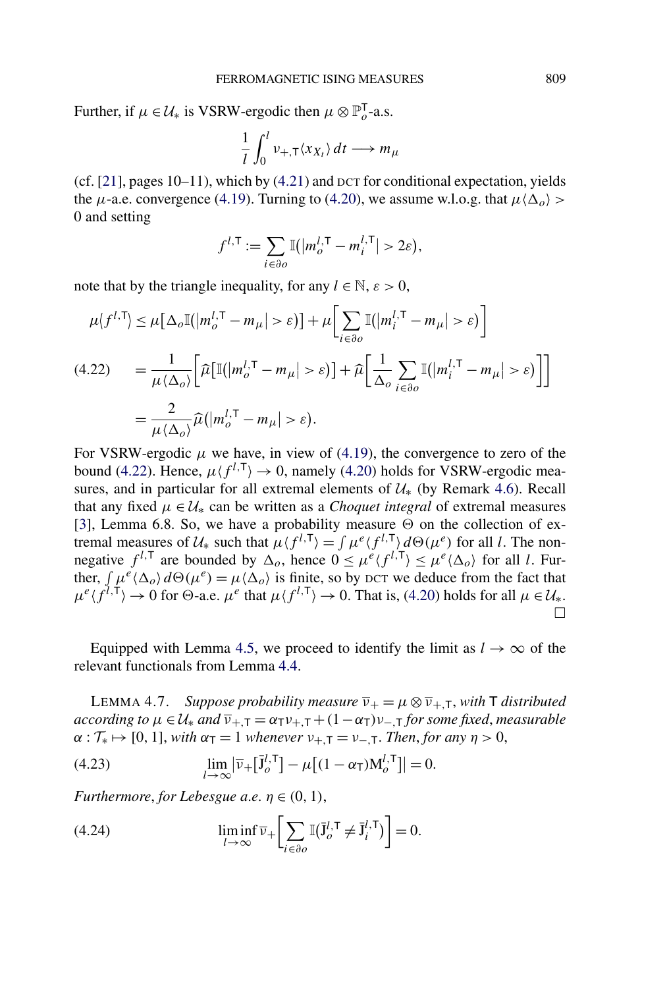<span id="page-29-0"></span>Further, if  $\mu \in \mathcal{U}_*$  is VSRW-ergodic then  $\mu \otimes \mathbb{P}_o^T$ -a.s.

$$
\frac{1}{l} \int_0^l v_{+,\mathsf{T}} \langle x_{X_t} \rangle \, dt \longrightarrow m_\mu
$$

(cf. [\[21\]](#page-43-0), pages 10–11), which by [\(4.21\)](#page-28-0) and DCT for conditional expectation, yields the *μ*-a.e. convergence [\(4.19\)](#page-28-0). Turning to [\(4.20\)](#page-28-0), we assume w.l.o.g. that  $\mu \langle \Delta_o \rangle$  > 0 and setting

$$
f^{l,\mathsf{T}} := \sum_{i \in \partial o} \mathbb{I}(|m_o^{l,\mathsf{T}} - m_i^{l,\mathsf{T}}| > 2\varepsilon),
$$

note that by the triangle inequality, for any  $l \in \mathbb{N}$ ,  $\varepsilon > 0$ ,

$$
\mu \langle f^{l,\mathsf{T}} \rangle \leq \mu \big[ \Delta_o \mathbb{I} \big( |m_o^{l,\mathsf{T}} - m_\mu| > \varepsilon \big) \big] + \mu \bigg[ \sum_{i \in \partial o} \mathbb{I} \big( |m_i^{l,\mathsf{T}} - m_\mu| > \varepsilon \big) \bigg]
$$
\n
$$
(4.22) \qquad = \frac{1}{\mu \langle \Delta_o \rangle} \bigg[ \widehat{\mu} \big[ \mathbb{I} \big( |m_o^{l,\mathsf{T}} - m_\mu| > \varepsilon \big) \big] + \widehat{\mu} \bigg[ \frac{1}{\Delta_o} \sum_{i \in \partial o} \mathbb{I} \big( |m_i^{l,\mathsf{T}} - m_\mu| > \varepsilon \big) \big] \bigg]
$$
\n
$$
= \frac{2}{\mu \langle \Delta_o \rangle} \widehat{\mu} \big( |m_o^{l,\mathsf{T}} - m_\mu| > \varepsilon \big).
$$

For VSRW-ergodic  $\mu$  we have, in view of [\(4.19\)](#page-28-0), the convergence to zero of the bound (4.22). Hence,  $\mu$  ( $f^{l,\mathsf{T}}$ )  $\rightarrow$  0, namely [\(4.20\)](#page-28-0) holds for VSRW-ergodic measures, and in particular for all extremal elements of  $\mathcal{U}_{*}$  (by Remark [4.6\)](#page-28-0). Recall that any fixed  $\mu \in \mathcal{U}_*$  can be written as a *Choquet integral* of extremal measures [\[3\]](#page-42-0), Lemma 6.8. So, we have a probability measure  $\Theta$  on the collection of extremal measures of  $\mathcal{U}_*$  such that  $\mu \langle f^{l, \mathsf{T}} \rangle = \int \mu^e \langle f^{l, \mathsf{T}} \rangle d\Theta(\mu^e)$  for all *l*. The nonnegative  $f^{l,\mathsf{T}}$  are bounded by  $\Delta_o$ , hence  $0 \leq \mu^e \langle f^{l,\mathsf{T}} \rangle \leq \mu^e \langle \Delta_o \rangle$  for all *l*. Further,  $\int \mu^e \langle \Delta_o \rangle d\Theta(\mu^e) = \mu \langle \Delta_o \rangle$  is finite, so by DCT we deduce from the fact that  $\mu^e$ ( $f^{l,\mathsf{T}}$ )  $\rightarrow$  0 for  $\Theta$ -a.e.  $\mu^e$  that  $\mu$ ( $f^{l,\mathsf{T}}$ )  $\rightarrow$  0. That is, [\(4.20\)](#page-28-0) holds for all  $\mu \in \mathcal{U}_*$ .  $\Box$ 

Equipped with Lemma [4.5,](#page-28-0) we proceed to identify the limit as  $l \to \infty$  of the relevant functionals from Lemma [4.4.](#page-26-0)

**LEMMA 4.7.** *Suppose probability measure*  $\overline{v}_+ = \mu \otimes \overline{v}_{+,\tau}$ , *with*  $\overline{T}$  *distributed according to*  $\mu \in \mathcal{U}_*$  *and*  $\overline{\nu}_{+,\overline{1}} = \alpha_{\overline{1}} \nu_{+,\overline{1}} + (1 - \alpha_{\overline{1}}) \nu_{-,\overline{1}}$  *for some fixed, measurable*  $\alpha : \mathcal{T}_{*} \mapsto [0, 1]$ , *with*  $\alpha_{\mathsf{T}} = 1$  *whenever*  $\nu_{+,\mathsf{T}} = \nu_{-,\mathsf{T}}$ *. Then, for any*  $\eta > 0$ ,

(4.23) 
$$
\lim_{l\to\infty}\left|\overline{\nu}_{+}\left[\overline{\mathbf{j}}_{o}^{l,\mathsf{T}}\right]-\mu\left[(1-\alpha_{\mathsf{T}})M_{o}^{l,\mathsf{T}}\right]\right|=0.
$$

*Furthermore, for Lebesgue a.e.*  $n \in (0, 1)$ ,

(4.24) 
$$
\liminf_{l \to \infty} \overline{\nu}_{+} \bigg[ \sum_{i \in \partial o} \mathbb{I} (\overline{\mathbf{J}_{o}^{l, \mathsf{T}}} \neq \overline{\mathbf{J}}_{i}^{l, \mathsf{T}}) \bigg] = 0.
$$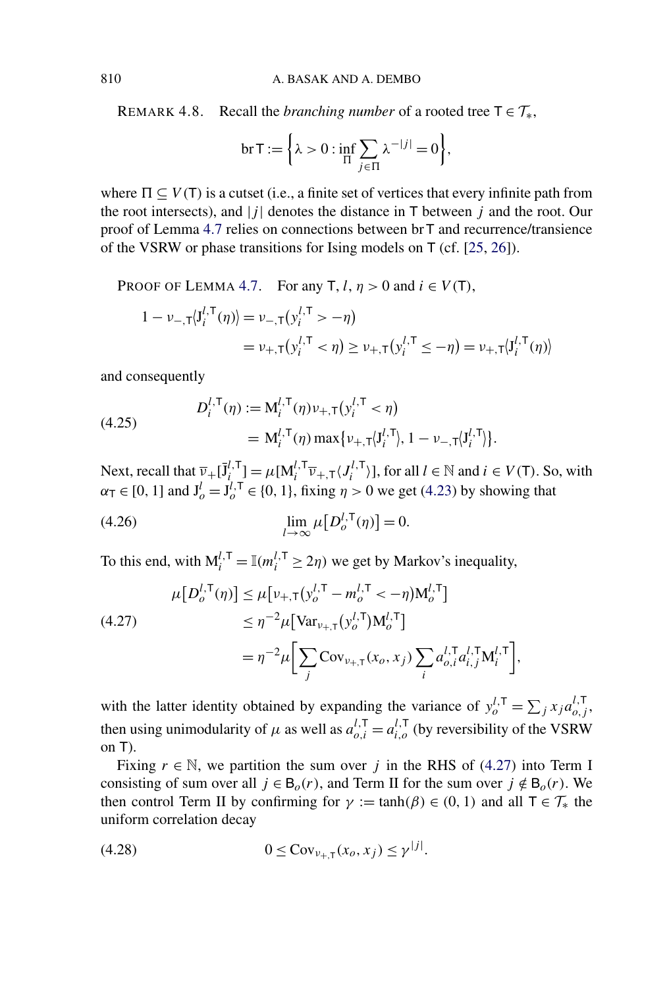<span id="page-30-0"></span>REMARK 4.8. Recall the *branching number* of a rooted tree  $T \in \mathcal{T}_{*}$ ,

$$
\text{br } T := \left\{ \lambda > 0 : \inf_{\Pi} \sum_{j \in \Pi} \lambda^{-|j|} = 0 \right\},\
$$

where  $\Pi \subseteq V(T)$  is a cutset (i.e., a finite set of vertices that every infinite path from the root intersects), and  $|j|$  denotes the distance in  $\mathsf T$  between  $j$  and the root. Our proof of Lemma [4.7](#page-29-0) relies on connections between brT and recurrence/transience of the VSRW or phase transitions for Ising models on T (cf. [\[25,](#page-43-0) [26\]](#page-43-0)).

PROOF OF LEMMA [4.7.](#page-29-0) For any  $T$ ,  $l$ ,  $\eta > 0$  and  $i \in V(T)$ ,

$$
1 - \nu_{-,T} \langle J_i^{l,T}(\eta) \rangle = \nu_{-,T} (y_i^{l,T} > -\eta)
$$
  
=  $\nu_{+,T} (y_i^{l,T} < \eta) \ge \nu_{+,T} (y_i^{l,T} \le -\eta) = \nu_{+,T} \langle J_i^{l,T}(\eta) \rangle$ 

and consequently

(4.25) 
$$
D_i^{l, \mathsf{T}}(\eta) := \mathsf{M}_i^{l, \mathsf{T}}(\eta) v_{+, \mathsf{T}}(y_i^{l, \mathsf{T}} < \eta) = \mathsf{M}_i^{l, \mathsf{T}}(\eta) \max\{v_{+, \mathsf{T}}(J_i^{l, \mathsf{T}}), 1 - v_{-, \mathsf{T}}(J_i^{l, \mathsf{T}})\}.
$$

Next, recall that  $\overline{v}_+ [\overline{J}_i^l] = \mu [M_i^{l, \mathsf{T}} \overline{v}_{+,\mathsf{T}} \langle J_i^{l, \mathsf{T}} \rangle]$ , for all  $l \in \mathbb{N}$  and  $i \in V(\mathsf{T})$ . So, with  $\alpha_{\mathsf{T}} \in [0, 1]$  and  $\mathsf{J}_{o}^{l} = \mathsf{J}_{o}^{l, \mathsf{T}} \in \{0, 1\}$ , fixing  $\eta > 0$  we get [\(4.23\)](#page-29-0) by showing that

$$
\lim_{l \to \infty} \mu \big[ D_o^{l, \mathsf{T}}(\eta) \big] = 0.
$$

To this end, with  $M_i^{l, T} = \mathbb{I}(m_i^{l, T} \geq 2\eta)$  we get by Markov's inequality,

$$
\mu[D_o^{l, \mathsf{T}}(\eta)] \leq \mu[\nu_{+, \mathsf{T}}(y_o^{l, \mathsf{T}} - m_o^{l, \mathsf{T}} < -\eta) \mathsf{M}_o^{l, \mathsf{T}}]
$$
\n
$$
\leq \eta^{-2} \mu[\text{Var}_{\nu_{+, \mathsf{T}}}(y_o^{l, \mathsf{T}}) \mathsf{M}_o^{l, \mathsf{T}}]
$$
\n
$$
= \eta^{-2} \mu \Big[ \sum_j \text{Cov}_{\nu_{+, \mathsf{T}}}(x_o, x_j) \sum_i a_{o,i}^{l, \mathsf{T}} a_{i,j}^{l, \mathsf{T}} \mathsf{M}_i^{l, \mathsf{T}} \Big],
$$

with the latter identity obtained by expanding the variance of  $y_o^{l, \mathsf{T}} = \sum_j x_j a_{o,j}^{l, \mathsf{T}}$ , then using unimodularity of  $\mu$  as well as  $a_{o,i}^{l,\mathsf{T}} = a_{i,o}^{l,\mathsf{T}}$  (by reversibility of the VSRW on T).

Fixing  $r \in \mathbb{N}$ , we partition the sum over *j* in the RHS of (4.27) into Term I consisting of sum over all  $j \in B_o(r)$ , and Term II for the sum over  $j \notin B_o(r)$ . We then control Term II by confirming for  $\gamma := \tanh(\beta) \in (0, 1)$  and all  $T \in \mathcal{T}_{*}$  the uniform correlation decay

(4.28) 
$$
0 \leq \text{Cov}_{\nu_{+,\text{T}}}(x_o, x_j) \leq \gamma^{|j|}.
$$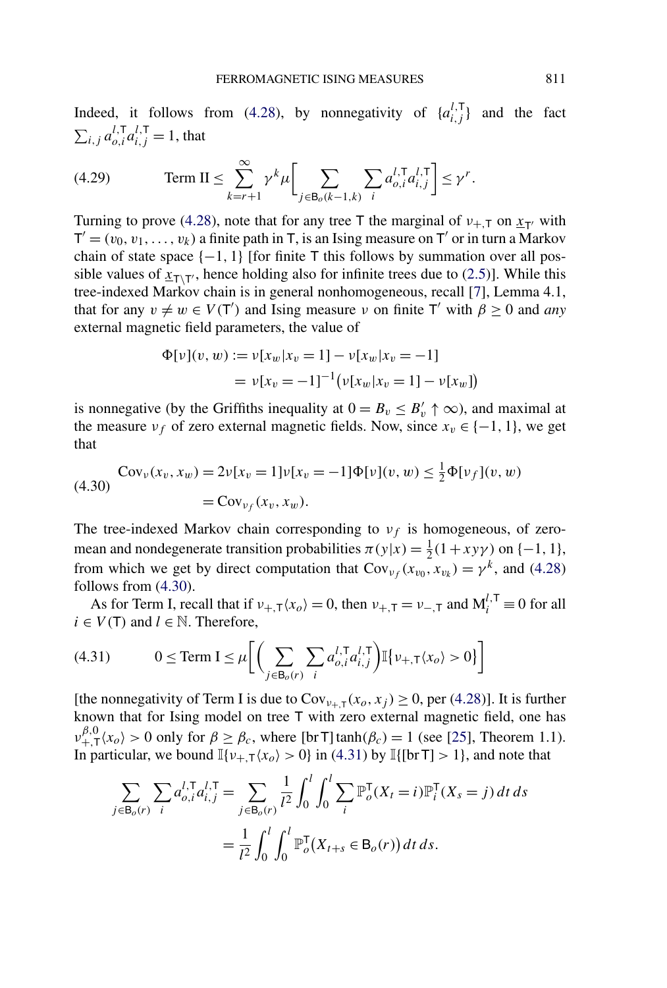<span id="page-31-0"></span>Indeed, it follows from [\(4.28\)](#page-30-0), by nonnegativity of  $\{a_{i,j}^{l, \mathsf{T}}\}$  and the fact  $\sum_{i,j} a_{o,i}^{l,\mathsf{T}} a_{i,j}^{l,\mathsf{T}} = 1$ , that

(4.29) 
$$
\operatorname{Term} \, \Pi \leq \sum_{k=r+1}^{\infty} \gamma^k \mu \bigg[ \sum_{j \in \mathsf{B}_o(k-1,k)} \sum_i a_{o,i}^{l,\mathsf{T}} a_{i,j}^{l,\mathsf{T}} \bigg] \leq \gamma^r.
$$

Turning to prove [\(4.28\)](#page-30-0), note that for any tree T the marginal of  $v_{+,\text{T}}$  on  $x_{\text{T}}$  with  $T' = (v_0, v_1, \ldots, v_k)$  a finite path in T, is an Ising measure on T' or in turn a Markov chain of state space {−1*,* 1} [for finite T this follows by summation over all possible values of  $x_{T\setminus T'}$ , hence holding also for infinite trees due to [\(2.5\)](#page-13-0)]. While this tree-indexed Markov chain is in general nonhomogeneous, recall [\[7\]](#page-42-0), Lemma 4.1, that for any  $v \neq w \in V(T')$  and Ising measure *v* on finite T' with  $\beta \geq 0$  and *any* external magnetic field parameters, the value of

$$
\Phi[\nu](v, w) := \nu[x_w | x_v = 1] - \nu[x_w | x_v = -1]
$$

$$
= \nu[x_v = -1]^{-1} (\nu[x_w | x_v = 1] - \nu[x_w])
$$

is nonnegative (by the Griffiths inequality at  $0 = B_v \leq B'_v \uparrow \infty$ ), and maximal at the measure  $v_f$  of zero external magnetic fields. Now, since  $x_v \in \{-1, 1\}$ , we get that

$$
\text{Cov}_{\nu}(x_{v}, x_{w}) = 2\nu[x_{v} = 1]\nu[x_{v} = -1]\Phi[\nu](v, w) \leq \frac{1}{2}\Phi[\nu_{f}](v, w)
$$
\n
$$
= \text{Cov}_{\nu_{f}}(x_{v}, x_{w}).
$$

The tree-indexed Markov chain corresponding to  $v_f$  is homogeneous, of zeromean and nondegenerate transition probabilities  $\pi(y|x) = \frac{1}{2}(1 + xy\gamma)$  on  $\{-1, 1\}$ , from which we get by direct computation that  $Cov_{\nu_f}(x_{v_0}, x_{v_k}) = \gamma^k$ , and [\(4.28\)](#page-30-0) follows from (4.30).

As for Term I, recall that if  $v_{+,\tau}(x_o) = 0$ , then  $v_{+,\tau} = v_{-,\tau}$  and  $M_i^{l,\tau} \equiv 0$  for all  $i \in V(T)$  and  $l \in \mathbb{N}$ . Therefore,

(4.31) 
$$
0 \leq \text{Term I} \leq \mu \bigg[ \bigg( \sum_{j \in \mathsf{B}_o(r)} \sum_i a_{o,i}^{l,\mathsf{T}} a_{i,j}^{l,\mathsf{T}} \bigg) \mathbb{I} \{ \nu_{+,\mathsf{T}} \langle x_o \rangle > 0 \} \bigg]
$$

[the nonnegativity of Term I is due to  $Cov_{v_{+,\tau}}(x_o, x_j) \ge 0$ , per [\(4.28\)](#page-30-0)]. It is further known that for Ising model on tree T with zero external magnetic field, one has  $v_{+,\tau}^{\beta,0}(x_o) > 0$  only for  $\beta \ge \beta_c$ , where [br T]tanh $(\beta_c) = 1$  (see [\[25\]](#page-43-0), Theorem 1.1). In particular, we bound  $\mathbb{I}\{\nu_{+,\mathsf{T}}\langle x_o \rangle > 0\}$  in (4.31) by  $\mathbb{I}\{\text{[br T]} > 1\}$ , and note that

$$
\sum_{j \in \mathsf{B}_{o}(r)} \sum_{i} a_{o,i}^{l,\mathsf{T}} a_{i,j}^{l,\mathsf{T}} = \sum_{j \in \mathsf{B}_{o}(r)} \frac{1}{l^2} \int_0^l \int_0^l \sum_{i} \mathbb{P}_o^{\mathsf{T}}(X_t = i) \mathbb{P}_i^{\mathsf{T}}(X_s = j) dt ds
$$

$$
= \frac{1}{l^2} \int_0^l \int_0^l \mathbb{P}_o^{\mathsf{T}}(X_{t+s} \in \mathsf{B}_o(r)) dt ds.
$$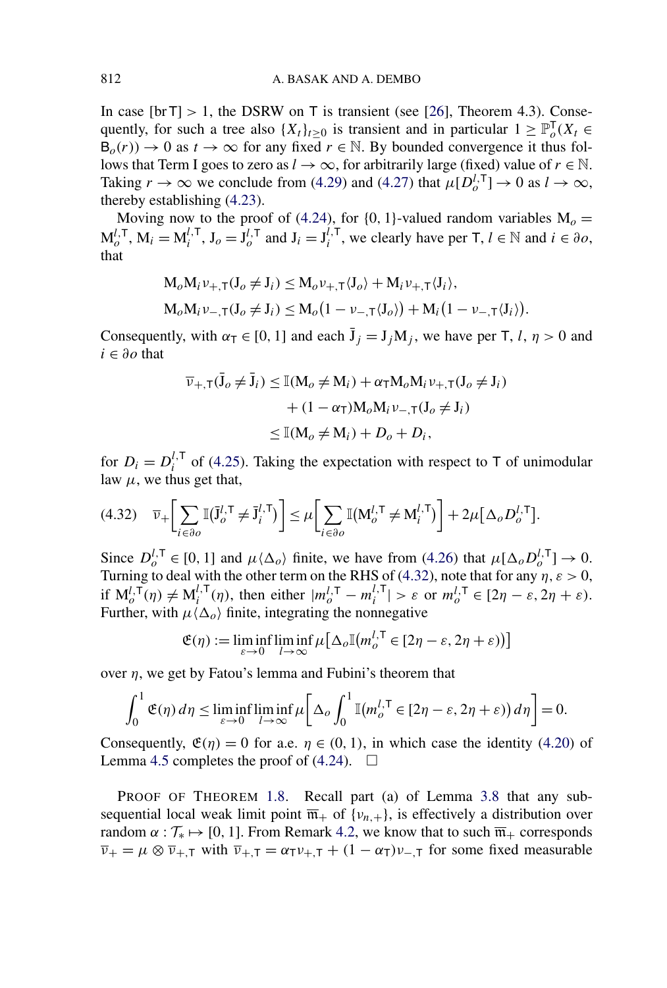In case  $[brT] > 1$ , the DSRW on T is transient (see [\[26\]](#page-43-0), Theorem 4.3). Consequently, for such a tree also  $\{X_t\}_{t\geq 0}$  is transient and in particular  $1 \geq \mathbb{P}_o^T(X_t \in$  $B_o(r)$   $\rightarrow$  0 as  $t \rightarrow \infty$  for any fixed  $r \in \mathbb{N}$ . By bounded convergence it thus follows that Term I goes to zero as  $l \to \infty$ , for arbitrarily large (fixed) value of  $r \in \mathbb{N}$ . Taking  $r \to \infty$  we conclude from [\(4.29\)](#page-31-0) and [\(4.27\)](#page-30-0) that  $\mu[D_o^{l, \mathsf{T}}] \to 0$  as  $l \to \infty$ , thereby establishing [\(4.23\)](#page-29-0).

Moving now to the proof of [\(4.24\)](#page-29-0), for  $\{0, 1\}$ -valued random variables  $M_0 =$  $M_o^{l, T}$ ,  $M_i = M_i^{l, T}$ ,  $J_o = J_o^{l, T}$  and  $J_i = J_i^{l, T}$ , we clearly have per  $T, l \in \mathbb{N}$  and  $i \in \partial o$ , that

$$
M_o M_i \nu_{+,\tau}(J_o \neq J_i) \leq M_o \nu_{+,\tau} \langle J_o \rangle + M_i \nu_{+,\tau} \langle J_i \rangle,
$$
  
\n
$$
M_o M_i \nu_{-,\tau}(J_o \neq J_i) \leq M_o (1 - \nu_{-,\tau} \langle J_o \rangle) + M_i (1 - \nu_{-,\tau} \langle J_i \rangle).
$$

Consequently, with  $\alpha_{\bar{T}} \in [0, 1]$  and each  $\bar{J}_j = J_j M_j$ , we have per T, *l*,  $\eta > 0$  and *i* ∈ *∂o* that

$$
\overline{\nu}_{+,\mathsf{T}}(\overline{\mathbf{J}}_o \neq \overline{\mathbf{J}}_i) \leq \mathbb{I}(\mathbf{M}_o \neq \mathbf{M}_i) + \alpha_{\mathsf{T}} \mathbf{M}_o \mathbf{M}_i \nu_{+,\mathsf{T}} (\mathbf{J}_o \neq \mathbf{J}_i) \n+ (1 - \alpha_{\mathsf{T}}) \mathbf{M}_o \mathbf{M}_i \nu_{-,\mathsf{T}} (\mathbf{J}_o \neq \mathbf{J}_i) \n\leq \mathbb{I}(\mathbf{M}_o \neq \mathbf{M}_i) + D_o + D_i,
$$

for  $D_i = D_i^{l, \mathsf{T}}$  of [\(4.25\)](#page-30-0). Taking the expectation with respect to T of unimodular law  $\mu$ , we thus get that,

$$
(4.32) \quad \overline{\nu}_{+}\bigg[\sum_{i\in\partial o} \mathbb{I}(\overline{\mathbf{J}}_{o}^{l,\mathsf{T}}\neq \overline{\mathbf{J}}_{i}^{l,\mathsf{T}})\bigg] \leq \mu\bigg[\sum_{i\in\partial o} \mathbb{I}(\mathbf{M}_{o}^{l,\mathsf{T}}\neq \mathbf{M}_{i}^{l,\mathsf{T}})\bigg] + 2\mu\big[\Delta_{o}D_{o}^{l,\mathsf{T}}\big].
$$

Since  $D_o^{l, \mathsf{T}} \in [0, 1]$  and  $\mu \langle \Delta_o \rangle$  finite, we have from [\(4.26\)](#page-30-0) that  $\mu[\Delta_o D_o^{l, \mathsf{T}}] \to 0$ . Turning to deal with the other term on the RHS of (4.32), note that for any  $\eta$ ,  $\varepsilon > 0$ , if  $M_o^{l, T}(\eta) \neq M_i^{l, T}(\eta)$ , then either  $|m_o^{l, T} - m_i^{l, T}| > \varepsilon$  or  $m_o^{l, T} \in [2\eta - \varepsilon, 2\eta + \varepsilon)$ . Further, with  $\mu \langle \Delta_o \rangle$  finite, integrating the nonnegative

$$
\mathfrak{E}(\eta) := \liminf_{\varepsilon \to 0} \liminf_{l \to \infty} \mu \big[ \Delta_o \mathbb{I}(m_o^{l, \mathsf{T}} \in [2\eta - \varepsilon, 2\eta + \varepsilon) \big) \big]
$$

over  $\eta$ , we get by Fatou's lemma and Fubini's theorem that

$$
\int_0^1 \mathfrak{E}(\eta) d\eta \le \liminf_{\varepsilon \to 0} \liminf_{l \to \infty} \mu \bigg[ \Delta_o \int_0^1 \mathbb{I}(m_o^{l,\mathsf{T}} \in [2\eta - \varepsilon, 2\eta + \varepsilon)) d\eta \bigg] = 0.
$$

Consequently,  $\mathfrak{E}(\eta) = 0$  for a.e.  $\eta \in (0, 1)$ , in which case the identity [\(4.20\)](#page-28-0) of Lemma [4.5](#page-28-0) completes the proof of  $(4.24)$ .  $\Box$ 

PROOF OF THEOREM [1.8.](#page-6-0) Recall part (a) of Lemma [3.8](#page-22-0) that any subsequential local weak limit point  $\overline{\mathfrak{m}}_+$  of {*v<sub>n,+</sub>*}, is effectively a distribution over random  $\alpha : \mathcal{T}_* \mapsto [0, 1]$ . From Remark [4.2,](#page-24-0) we know that to such  $\overline{\mathfrak{m}}_+$  corresponds  $\overline{v}_+ = \mu \otimes \overline{v}_{+,\overline{1}}$  with  $\overline{v}_{+,\overline{1}} = \alpha_{\overline{1}} v_{+,\overline{1}} + (1 - \alpha_{\overline{1}}) v_{-,\overline{1}}$  for some fixed measurable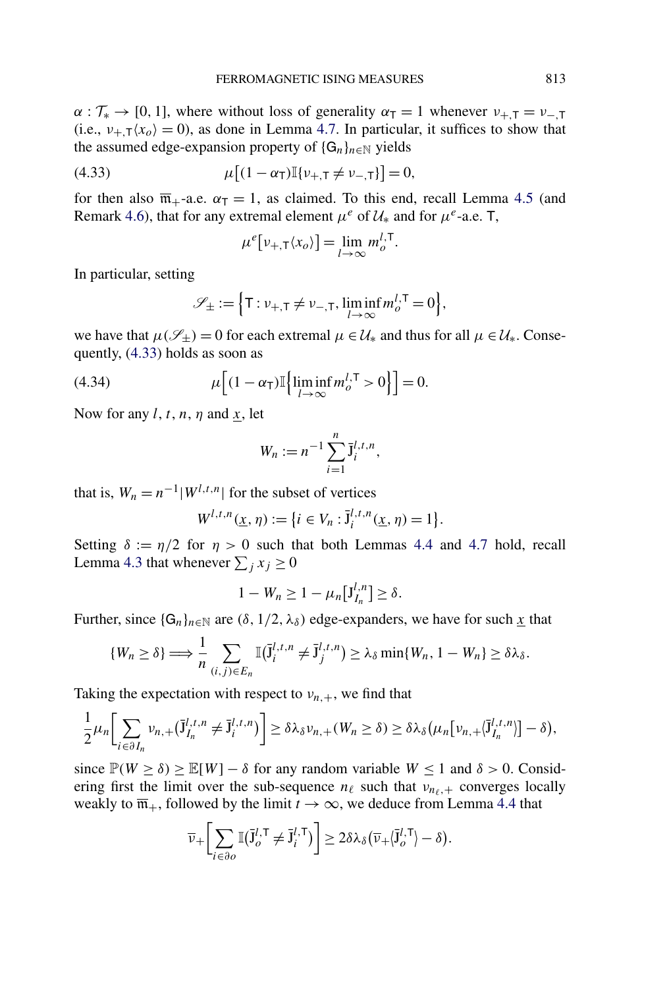<span id="page-33-0"></span> $\alpha : \mathcal{T}_{*} \to [0, 1]$ , where without loss of generality  $\alpha_{\text{T}} = 1$  whenever  $\nu_{+,\text{T}} = \nu_{-,\text{T}}$ (i.e.,  $v_{+T}(x_0) = 0$ ), as done in Lemma [4.7.](#page-29-0) In particular, it suffices to show that the assumed edge-expansion property of  $\{G_n\}_{n\in\mathbb{N}}$  yields

(4.33) 
$$
\mu[(1-\alpha_{\text{T}})][\nu_{+,\text{T}} \neq \nu_{-,\text{T}}] = 0,
$$

for then also  $\overline{m}_{+}$ -a.e.  $\alpha_{\overline{1}} = 1$ , as claimed. To this end, recall Lemma [4.5](#page-28-0) (and Remark [4.6\)](#page-28-0), that for any extremal element  $\mu^e$  of  $\mathcal{U}_*$  and for  $\mu^e$ -a.e. T,

$$
\mu^{e}[\nu_{+,\mathsf{T}}\langle x_{o}\rangle]=\lim_{l\to\infty}m_{o}^{l,\mathsf{T}}.
$$

In particular, setting

$$
\mathscr{S}_{\pm} := \Big\{ \mathsf{T}: \nu_{+,\mathsf{T}} \neq \nu_{-,\mathsf{T}}, \liminf_{l \to \infty} m_o^{l,\mathsf{T}} = 0 \Big\},\
$$

we have that  $\mu(\mathscr{S}_+) = 0$  for each extremal  $\mu \in \mathcal{U}_*$  and thus for all  $\mu \in \mathcal{U}_*$ . Consequently, (4.33) holds as soon as

(4.34) 
$$
\mu \Big[ (1 - \alpha_{\mathsf{T}}) \mathbb{I} \Big\{ \liminf_{l \to \infty} m_o^{l, \mathsf{T}} > 0 \Big\} \Big] = 0.
$$

Now for any *l*, *t*, *n*, *η* and *x*, let

$$
W_n := n^{-1} \sum_{i=1}^n \bar{J}_i^{l,t,n},
$$

that is,  $W_n = n^{-1}|W^{l,t,n}|$  for the subset of vertices

$$
W^{l,t,n}(\underline{x},\eta) := \{i \in V_n : \overline{\mathcal{J}}_i^{l,t,n}(\underline{x},\eta) = 1\}.
$$

Setting  $\delta := \eta/2$  for  $\eta > 0$  such that both Lemmas [4.4](#page-26-0) and [4.7](#page-29-0) hold, recall Lemma [4.3](#page-25-0) that whenever  $\sum_j x_j \ge 0$ 

$$
1-W_n\geq 1-\mu_n[J_{I_n}^{l,n}]\geq \delta.
$$

Further, since  $\{G_n\}_{n\in\mathbb{N}}$  are  $(\delta, 1/2, \lambda_{\delta})$  edge-expanders, we have for such  $\underline{x}$  that

$$
\{W_n \geq \delta\} \Longrightarrow \frac{1}{n} \sum_{(i,j) \in E_n} \mathbb{I}(\bar{\mathbf{J}}_i^{l,t,n} \neq \bar{\mathbf{J}}_j^{l,t,n}) \geq \lambda_{\delta} \min\{W_n, 1 - W_n\} \geq \delta \lambda_{\delta}.
$$

Taking the expectation with respect to  $v_{n,+}$ , we find that

$$
\frac{1}{2}\mu_n\bigg[\sum_{i\in\partial I_n}v_{n,+}(\overline{J}_{I_n}^{l,t,n}\neq\overline{J}_i^{l,t,n})\bigg]\geq\delta\lambda_{\delta}v_{n,+}(W_n\geq\delta)\geq\delta\lambda_{\delta}\big(\mu_n\big[v_{n,+}(\overline{J}_{I_n}^{l,t,n})\big]-\delta\big),
$$

since  $\mathbb{P}(W \ge \delta) \ge \mathbb{E}[W] - \delta$  for any random variable  $W \le 1$  and  $\delta > 0$ . Considering first the limit over the sub-sequence  $n_\ell$  such that  $v_{n_\ell,+}$  converges locally weakly to  $\overline{m}_+$ , followed by the limit  $t \to \infty$ , we deduce from Lemma [4.4](#page-26-0) that

$$
\overline{\nu}_+\bigg[\sum_{i\in\partial o}\mathbb{I}(\overline{\mathbf{J}}_o^{l,\mathsf{T}}\neq \overline{\mathbf{J}}_i^{l,\mathsf{T}})\bigg] \geq 2\delta\lambda_\delta(\overline{\nu}_+ \langle \overline{\mathbf{J}}_o^{l,\mathsf{T}} \rangle - \delta).
$$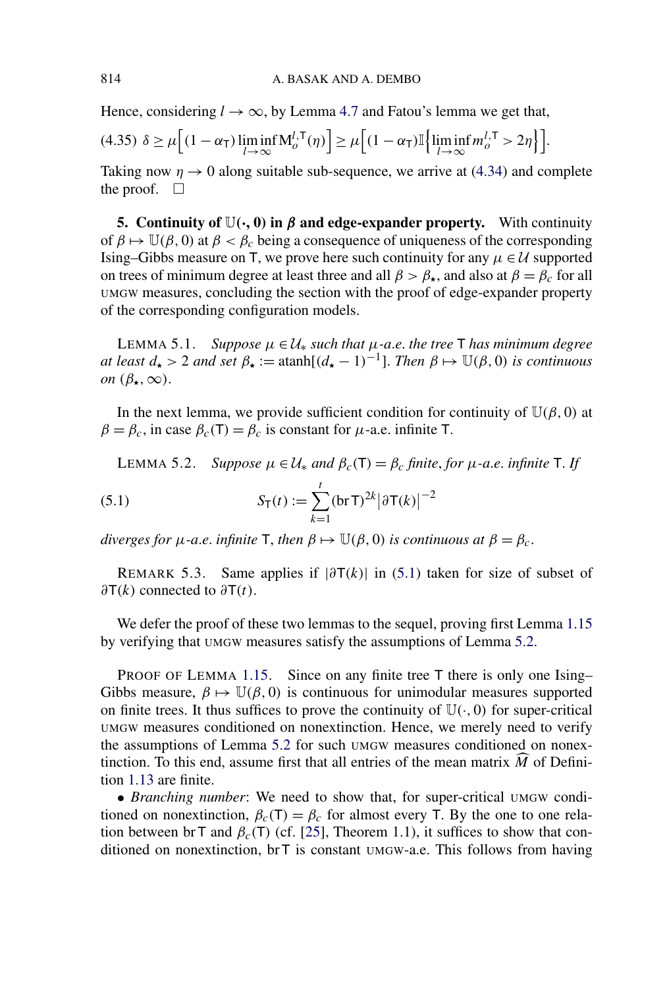Hence, considering  $l \rightarrow \infty$ , by Lemma [4.7](#page-29-0) and Fatou's lemma we get that,

$$
(4.35)\ \delta \geq \mu \Big[ (1 - \alpha_{\mathsf{T}}) \liminf_{l \to \infty} \mathsf{M}_{o}^{l,\mathsf{T}}(\eta) \Big] \geq \mu \Big[ (1 - \alpha_{\mathsf{T}}) \mathbb{I} \Big\{ \liminf_{l \to \infty} m_{o}^{l,\mathsf{T}} > 2\eta \Big\} \Big].
$$

Taking now  $\eta \rightarrow 0$  along suitable sub-sequence, we arrive at [\(4.34\)](#page-33-0) and complete the proof.  $\Box$ 

**5. Continuity of**  $\mathbb{U}(\cdot, 0)$  in  $\beta$  and edge-expander property. With continuity of  $\beta \mapsto \mathbb{U}(\beta, 0)$  at  $\beta < \beta_c$  being a consequence of uniqueness of the corresponding Ising–Gibbs measure on T, we prove here such continuity for any  $\mu \in \mathcal{U}$  supported on trees of minimum degree at least three and all  $\beta > \beta_{\star}$ , and also at  $\beta = \beta_c$  for all UMGW measures, concluding the section with the proof of edge-expander property of the corresponding configuration models.

LEMMA 5.1. *Suppose*  $μ ∈ U_*$  *such that*  $μ$ *-a.e. the tree* T *has minimum degree at least*  $d_{\star} > 2$  *and set*  $\beta_{\star} := \text{atanh}[(d_{\star} - 1)^{-1}]$ . *Then*  $\beta \mapsto \mathbb{U}(\beta, 0)$  *is continuous on*  $(\beta_{\star}, \infty)$ .

In the next lemma, we provide sufficient condition for continuity of  $\mathbb{U}(\beta, 0)$  at  $\beta = \beta_c$ , in case  $\beta_c(T) = \beta_c$  is constant for  $\mu$ -a.e. infinite T.

**LEMMA 5.2.** *Suppose*  $μ ∈ U_*$  *and*  $β<sub>c</sub>(T) = β<sub>c</sub>$  *finite*, *for*  $μ$ *-a.e. infinite* T. *If* 

(5.1) 
$$
S_T(t) := \sum_{k=1}^t (brT)^{2k} |\partial T(k)|^{-2}
$$

*diverges for*  $\mu$ -*a.e. infinite* **T**, *then*  $\beta \mapsto \mathbb{U}(\beta, 0)$  *is continuous at*  $\beta = \beta_c$ .

REMARK 5.3. Same applies if  $|\partial T(k)|$  in (5.1) taken for size of subset of *∂*T*(k)* connected to *∂*T*(t)*.

We defer the proof of these two lemmas to the sequel, proving first Lemma [1.15](#page-9-0) by verifying that UMGW measures satisfy the assumptions of Lemma 5.2.

PROOF OF LEMMA [1.15.](#page-9-0) Since on any finite tree T there is only one Ising– Gibbs measure,  $\beta \mapsto \mathbb{U}(\beta, 0)$  is continuous for unimodular measures supported on finite trees. It thus suffices to prove the continuity of  $\mathbb{U}(\cdot, 0)$  for super-critical UMGW measures conditioned on nonextinction. Hence, we merely need to verify the assumptions of Lemma 5.2 for such UMGW measures conditioned on nonextinction. To this end, assume first that all entries of the mean matrix *M* of Definition [1.13](#page-8-0) are finite.

• *Branching number*: We need to show that, for super-critical UMGW conditioned on nonextinction,  $\beta_c(T) = \beta_c$  for almost every T. By the one to one relation between br T and  $\beta_c(T)$  (cf. [\[25\]](#page-43-0), Theorem 1.1), it suffices to show that conditioned on nonextinction, br T is constant UMGW-a.e. This follows from having

<span id="page-34-0"></span>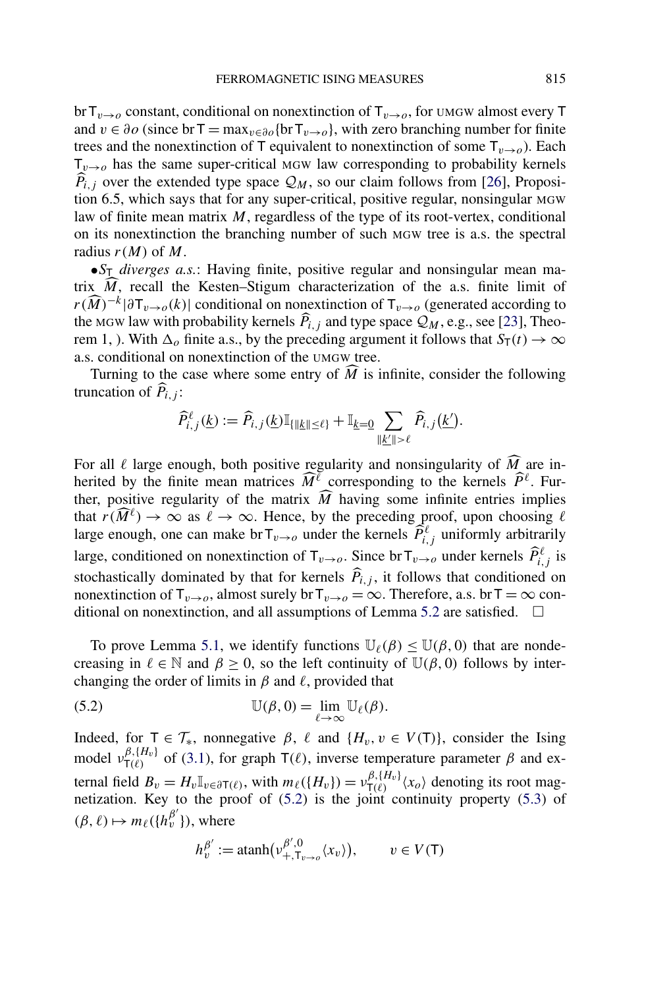<span id="page-35-0"></span>br  $T_{v\rightarrow o}$  constant, conditional on nonextinction of  $T_{v\rightarrow o}$ , for umax almost every T and  $v \in \partial o$  (since br T = max<sub> $v \in \partial o$ </sub>{br T<sub>*v*→*o*</sub>}, with zero branching number for finite trees and the nonextinction of T equivalent to nonextinction of some  $T_{v\rightarrow o}$ ). Each  $T_{v\rightarrow o}$  has the same super-critical MGW law corresponding to probability kernels  $P_{i,j}$  over the extended type space  $\mathcal{Q}_M$ , so our claim follows from [\[26\]](#page-43-0), Proposition 6.5, which says that for any super-critical, positive regular, nonsingular MGW law of finite mean matrix *M*, regardless of the type of its root-vertex, conditional on its nonextinction the branching number of such MGW tree is a.s. the spectral radius  $r(M)$  of M.

•*S*<sup>T</sup> *diverges a.s.*: Having finite, positive regular and nonsingular mean matrix  $M$ , recall the Kesten–Stigum characterization of the a.s. finite limit of  $r(\widehat{M})^{-k}|\partial T_{v\to o}(k)|$  conditional on nonextinction of  $T_{v\to o}$  (generated according to the MGW law with probability kernels  $P_{i,j}$  and type space  $\mathcal{Q}_M$ , e.g., see [\[23\]](#page-43-0), Theorem 1, ). With  $\Delta_0$  finite a.s., by the preceding argument it follows that  $S_T(t) \to \infty$ a.s. conditional on nonextinction of the UMGW tree.

Turning to the case where some entry of  $M$  is infinite, consider the following truncation of  $\overline{P}_{i,j}$ :

$$
\widehat{P}_{i,j}^{\ell}(\underline{k}):=\widehat{P}_{i,j}(\underline{k})\mathbb{I}_{\{\|\underline{k}\|\leq \ell\}}+\mathbb{I}_{\underline{k}=0}\sum_{\|\underline{k}'\|>\ell}\widehat{P}_{i,j}(\underline{k}').
$$

For all  $\ell$  large enough, both positive regularity and nonsingularity of  $M_{\ell}$  are inherited by the finite mean matrices  $\widehat{M}^{\ell}$  corresponding to the kernels  $\widehat{P}^{\ell}$ . Further, positive regularity of the matrix  $M$  having some infinite entries implies that  $r(\widehat{M}^{\ell}) \to \infty$  as  $\ell \to \infty$ . Hence, by the preceding proof, upon choosing  $\ell$ large enough, one can make  $\text{brT}_{v\to o}$  under the kernels  $\widehat{P}_{i,j}^{\ell}$  uniformly arbitrarily large, conditioned on nonextinction of  $\mathsf{T}_{v\to o}$ . Since br  $\mathsf{T}_{v\to o}$  under kernels  $\widehat{P}_{i,j}^{\ell}$  is stochastically dominated by that for kernels  $P_{i,j}$ , it follows that conditioned on nonextinction of  $T_{v\to o}$ , almost surely br  $T_{v\to o} = \infty$ . Therefore, a.s. br  $T = \infty$  con-ditional on nonextinction, and all assumptions of Lemma [5.2](#page-34-0) are satisfied.  $\Box$ 

To prove Lemma [5.1,](#page-34-0) we identify functions  $\mathbb{U}_{\ell}(\beta) \leq \mathbb{U}(\beta, 0)$  that are nondecreasing in  $\ell \in \mathbb{N}$  and  $\beta \geq 0$ , so the left continuity of  $\mathbb{U}(\beta, 0)$  follows by interchanging the order of limits in  $\beta$  and  $\ell$ , provided that

(5.2) 
$$
\mathbb{U}(\beta,0) = \lim_{\ell \to \infty} \mathbb{U}_{\ell}(\beta).
$$

Indeed, for  $T \in \mathcal{T}_{*}$ , nonnegative  $\beta$ ,  $\ell$  and  $\{H_{v}, v \in V(T)\}$ , consider the Ising model  $v_{\text{T}(\ell)}^{\beta, \{H_v\}}$  of [\(3.1\)](#page-16-0), for graph  $\text{T}(\ell)$ , inverse temperature parameter *β* and external field  $B_v = H_v \mathbb{I}_{v \in \partial \mathsf{T}(\ell)}$ , with  $m_\ell(\lbrace H_v \rbrace) = v_{\mathsf{T}(\ell)}^{\beta, \lbrace H_v \rbrace} \langle x_o \rangle$  denoting its root magnetization. Key to the proof of (5.2) is the joint continuity property [\(5.3\)](#page-36-0) of  $(\beta, \ell) \mapsto m_{\ell}(\lbrace h_v^{\beta'} \rbrace)$ , where

$$
h_v^{\beta'} := \operatorname{atanh}(\nu_{+, \mathsf{T}_{v \to o}}^{\beta', 0} \langle x_v \rangle), \qquad v \in V(\mathsf{T})
$$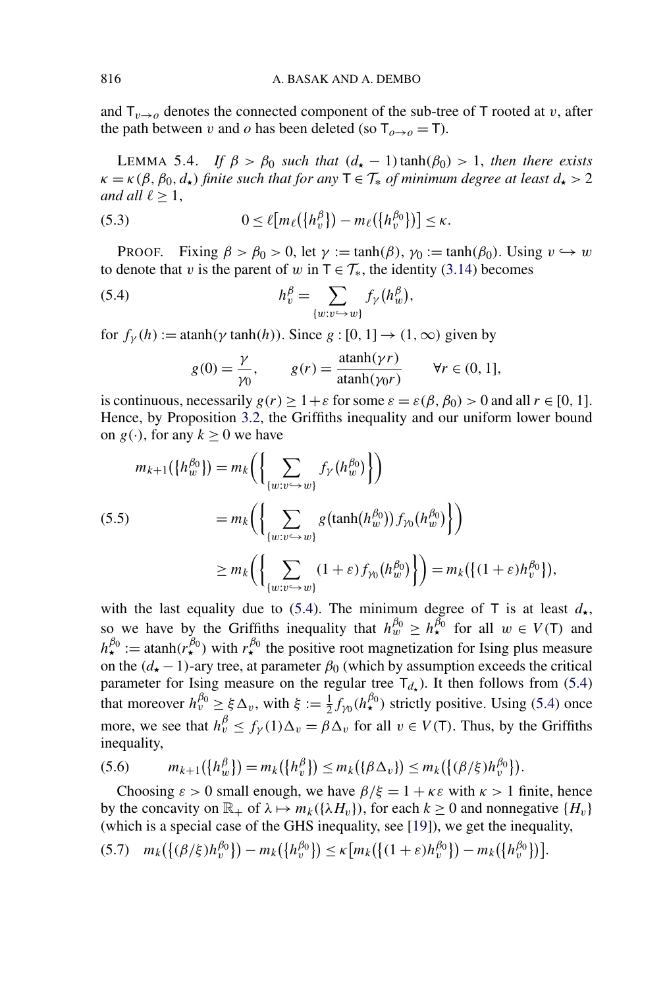<span id="page-36-0"></span>and  $T_{v\rightarrow o}$  denotes the connected component of the sub-tree of T rooted at *v*, after the path between *v* and *o* has been deleted (so  $T_{\theta \to \theta} = T$ ).

LEMMA 5.4. *If*  $\beta > \beta_0$  *such that*  $(d_{\star} - 1) \tanh(\beta_0) > 1$ , *then there exists*  $\kappa = \kappa(\beta, \beta_0, d_\star)$  *finite such that for any*  $T \in \mathcal{T}_*$  *of minimum degree at least*  $d_\star > 2$ *and all*  $\ell > 1$ ,

(5.3) 
$$
0 \leq \ell \big[ m_{\ell} (\{ h_v^{\beta} \}) - m_{\ell} (\{ h_v^{\beta_0} \}) \big] \leq \kappa.
$$

PROOF. Fixing  $\beta > \beta_0 > 0$ , let  $\gamma := \tanh(\beta)$ ,  $\gamma_0 := \tanh(\beta_0)$ . Using  $v \hookrightarrow w$ to denote that *v* is the parent of *w* in  $T \in \mathcal{T}_{*}$ , the identity [\(3.14\)](#page-20-0) becomes

(5.4) 
$$
h_v^{\beta} = \sum_{\{w:v \hookrightarrow w\}} f_{\gamma}(h_w^{\beta}),
$$

for  $f_\gamma(h) := \operatorname{atanh}(\gamma \tanh(h))$ . Since  $g : [0, 1] \to (1, \infty)$  given by

$$
g(0) = \frac{\gamma}{\gamma_0}, \qquad g(r) = \frac{\operatorname{atanh}(\gamma r)}{\operatorname{atanh}(\gamma_0 r)} \qquad \forall r \in (0, 1],
$$

is continuous, necessarily  $g(r) \geq 1 + \varepsilon$  for some  $\varepsilon = \varepsilon(\beta, \beta_0) > 0$  and all  $r \in [0, 1]$ . Hence, by Proposition [3.2,](#page-16-0) the Griffiths inequality and our uniform lower bound on  $g(\cdot)$ , for any  $k \ge 0$  we have

$$
m_{k+1}(\lbrace h_w^{\beta_0} \rbrace) = m_k \Big( \Big\{ \sum_{\{w : v \hookrightarrow w\}} f_Y(h_w^{\beta_0}) \Big\} \Big)
$$
  
(5.5)  

$$
= m_k \Big( \Big\{ \sum_{\{w : v \hookrightarrow w\}} g(\tanh(h_w^{\beta_0})) f_{\gamma_0}(h_w^{\beta_0}) \Big\} \Big)
$$
  

$$
\geq m_k \Big( \Big\{ \sum_{\{w : v \hookrightarrow w\}} (1 + \varepsilon) f_{\gamma_0}(h_w^{\beta_0}) \Big\} \Big) = m_k \big( \{(1 + \varepsilon) h_v^{\beta_0} \} \big),
$$

with the last equality due to (5.4). The minimum degree of T is at least  $d_{\star}$ , so we have by the Griffiths inequality that  $h_w^{\beta_0} \geq h_\star^{\beta_0}$  for all  $w \in V(T)$  and  $h_{\star}^{\beta_0} := \text{atanh}(r_{\star}^{\beta_0})$  with  $r_{\star}^{\beta_0}$  the positive root magnetization for Ising plus measure on the  $(d_{\star} - 1)$ -ary tree, at parameter  $\beta_0$  (which by assumption exceeds the critical parameter for Ising measure on the regular tree  $T_{d<sub>star</sub>}$ ). It then follows from (5.4) that moreover  $h_v^{\beta_0} \geq \xi \Delta_v$ , with  $\xi := \frac{1}{2} f_{\gamma_0}(h_{\star}^{\beta_0})$  strictly positive. Using (5.4) once more, we see that  $h_v^{\beta} \le f_\gamma(1) \Delta_v = \beta \Delta_v$  for all  $v \in V(T)$ . Thus, by the Griffiths inequality,

$$
(5.6) \t m_{k+1}(\lbrace h^{\beta}_w \rbrace) = m_k(\lbrace h^{\beta}_v \rbrace) \leq m_k(\lbrace \beta \Delta_v \rbrace) \leq m_k(\lbrace (\beta/\xi)h^{\beta_0}_v \rbrace).
$$

Choosing  $\varepsilon > 0$  small enough, we have  $\beta/\xi = 1 + \kappa \varepsilon$  with  $\kappa > 1$  finite, hence by the concavity on  $\mathbb{R}_+$  of  $\lambda \mapsto m_k(\{\lambda H_v\})$ , for each  $k \geq 0$  and nonnegative  $\{H_v\}$ (which is a special case of the GHS inequality, see [\[19\]](#page-43-0)), we get the inequality,

$$
(5.7) \t m_k(\{(\beta/\xi)h_v^{\beta_0}\}) - m_k(\{h_v^{\beta_0}\}) \le \kappa[m_k(\{(1+\varepsilon)h_v^{\beta_0}\}) - m_k(\{h_v^{\beta_0}\})].
$$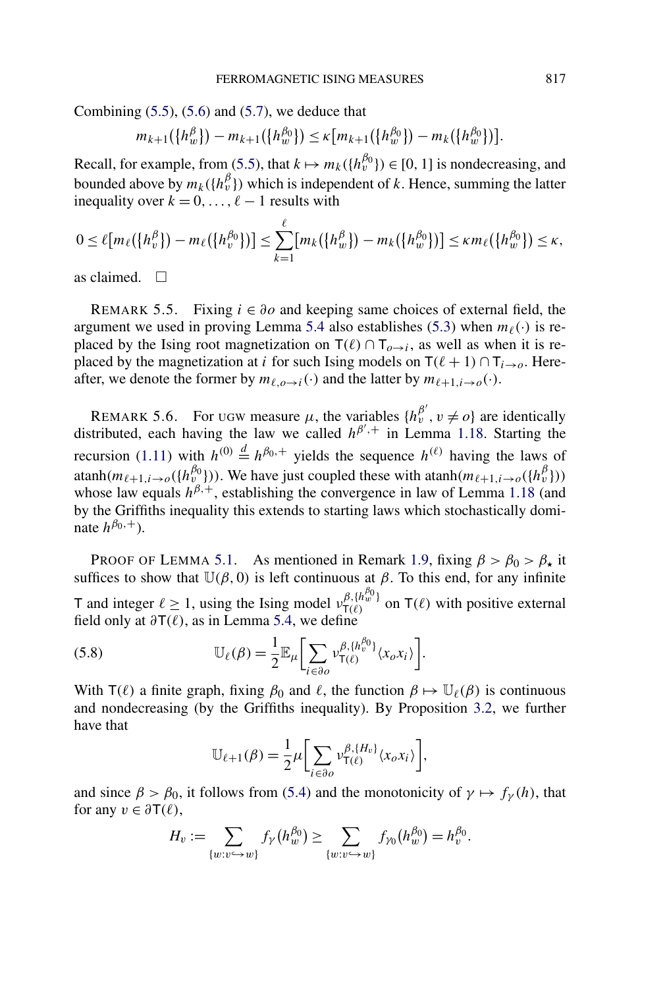<span id="page-37-0"></span>Combining  $(5.5)$ ,  $(5.6)$  and  $(5.7)$ , we deduce that

$$
m_{k+1}(\lbrace h_w^{\beta} \rbrace) - m_{k+1}(\lbrace h_w^{\beta_0} \rbrace) \leq \kappa \big[ m_{k+1}(\lbrace h_w^{\beta_0} \rbrace) - m_k(\lbrace h_w^{\beta_0} \rbrace) \big].
$$

Recall, for example, from [\(5.5\)](#page-36-0), that  $k \mapsto m_k(\lbrace h_v^{\beta_0} \rbrace) \in [0, 1]$  is nondecreasing, and bounded above by  $m_k({h_v^{\beta}})$  which is independent of *k*. Hence, summing the latter inequality over  $k = 0, \ldots, \ell - 1$  results with

$$
0 \leq \ell [m_{\ell}(\lbrace h_v^{\beta}\rbrace) - m_{\ell}(\lbrace h_v^{\beta_0}\rbrace)] \leq \sum_{k=1}^{\ell} [m_k(\lbrace h_w^{\beta}\rbrace) - m_k(\lbrace h_w^{\beta_0}\rbrace)] \leq \kappa m_{\ell}(\lbrace h_w^{\beta_0}\rbrace) \leq \kappa,
$$

as claimed.  $\square$ 

REMARK 5.5. Fixing  $i \in \partial o$  and keeping same choices of external field, the argument we used in proving Lemma [5.4](#page-36-0) also establishes [\(5.3\)](#page-36-0) when  $m_{\ell}(\cdot)$  is replaced by the Ising root magnetization on  $T(\ell) \cap T_{\ell \to i}$ , as well as when it is replaced by the magnetization at *i* for such Ising models on  $T(\ell + 1) \cap T_{i \to o}$ . Hereafter, we denote the former by  $m_{\ell,o\rightarrow i}(\cdot)$  and the latter by  $m_{\ell+1,i\rightarrow o}(\cdot)$ .

REMARK 5.6. For ugw measure  $\mu$ , the variables  $\{h_v^{\beta'}, v \neq o\}$  are identically distributed, each having the law we called  $h^{\beta'}$ <sup>+</sup> in Lemma [1.18.](#page-10-0) Starting the recursion [\(1.11\)](#page-10-0) with  $h^{(0)} \stackrel{d}{=} h^{\beta_0,+}$  yields the sequence  $h^{(\ell)}$  having the laws of atanh( $m_{\ell+1,i\to o}(\lbrace h_v^{\beta_0} \rbrace)$ ). We have just coupled these with atanh( $m_{\ell+1,i\to o}(\lbrace h_v^{\beta_0} \rbrace)$ ) whose law equals  $h^{\beta,+}$ , establishing the convergence in law of Lemma [1.18](#page-10-0) (and by the Griffiths inequality this extends to starting laws which stochastically dominate  $h^{\beta_0,+}$ ).

PROOF OF LEMMA [5.1.](#page-34-0) As mentioned in Remark [1.9,](#page-6-0) fixing  $\beta > \beta_0 > \beta_{\star}$  it suffices to show that  $\mathbb{U}(\beta, 0)$  is left continuous at  $\beta$ . To this end, for any infinite T and integer  $\ell \ge 1$ , using the Ising model  $v_{\tau(\ell)}^{\beta, \{h_w^{\beta_0}\}}$  on  $\tau(\ell)$  with positive external field only at  $\partial \mathsf{T}(\ell)$ , as in Lemma [5.4,](#page-36-0) we define

(5.8) 
$$
\mathbb{U}_{\ell}(\beta) = \frac{1}{2} \mathbb{E}_{\mu} \bigg[ \sum_{i \in \partial o} \nu_{\mathsf{T}(\ell)}^{\beta, \{h_v^{\beta_0}\}} \langle x_o x_i \rangle \bigg].
$$

With  $T(\ell)$  a finite graph, fixing  $\beta_0$  and  $\ell$ , the function  $\beta \mapsto \mathbb{U}_{\ell}(\beta)$  is continuous and nondecreasing (by the Griffiths inequality). By Proposition [3.2,](#page-16-0) we further have that

$$
\mathbb{U}_{\ell+1}(\beta) = \frac{1}{2}\mu \bigg[\sum_{i \in \partial o} \nu_{\mathsf{T}(\ell)}^{\beta, \{H_v\}} \langle x_o x_i \rangle \bigg],
$$

and since  $\beta > \beta_0$ , it follows from [\(5.4\)](#page-36-0) and the monotonicity of  $\gamma \mapsto f_\gamma(h)$ , that for any  $v \in \partial \mathsf{T}(\ell)$ ,

$$
H_v := \sum_{\{w:v\hookrightarrow w\}} f_{\gamma}(h_w^{\beta_0}) \ge \sum_{\{w:v\hookrightarrow w\}} f_{\gamma_0}(h_w^{\beta_0}) = h_v^{\beta_0}.
$$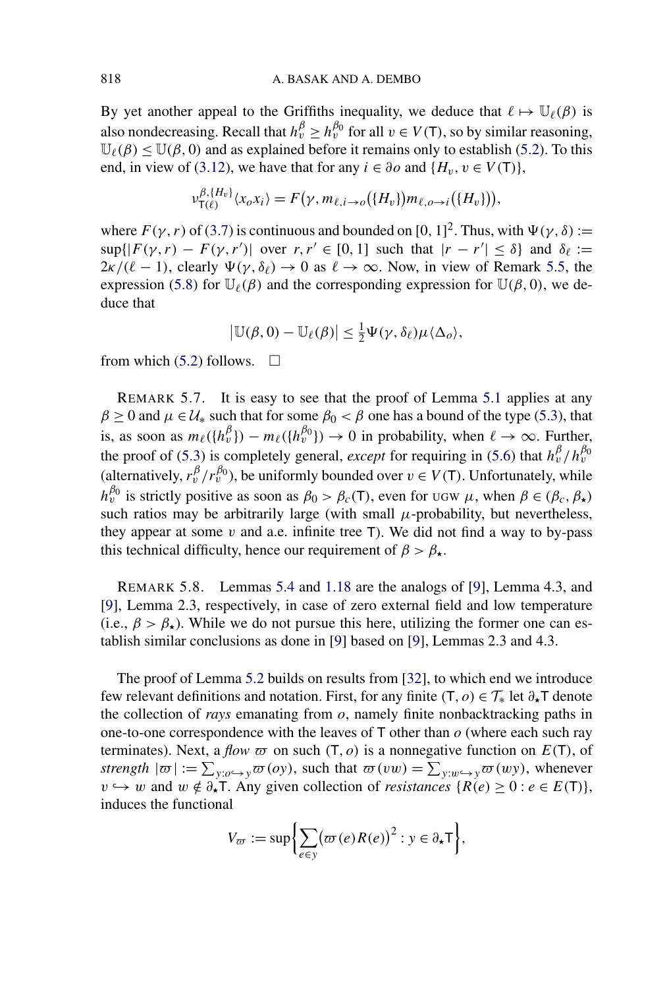<span id="page-38-0"></span>By yet another appeal to the Griffiths inequality, we deduce that  $\ell \mapsto \mathbb{U}_{\ell}(\beta)$  is also nondecreasing. Recall that  $h_v^{\beta} \ge h_v^{\beta_0}$  for all  $v \in V(T)$ , so by similar reasoning,  $\mathbb{U}_{\ell}(\beta) \leq \mathbb{U}(\beta, 0)$  and as explained before it remains only to establish [\(5.2\)](#page-35-0). To this end, in view of [\(3.12\)](#page-20-0), we have that for any  $i \in \partial$  *o* and  $\{H_v, v \in V(\mathsf{T})\}$ ,

$$
\nu_{\mathsf{T}(\ell)}^{\beta,\{H_v\}}(x_o x_i) = F(\gamma, m_{\ell,i \to o}(\{H_v\}) m_{\ell,o \to i}(\{H_v\})),
$$

where  $F(\gamma, r)$  of [\(3.7\)](#page-18-0) is continuous and bounded on [0, 1]<sup>2</sup>. Thus, with  $\Psi(\gamma, \delta) :=$  $\sup\{|F(\gamma, r) - F(\gamma, r')| \text{ over } r, r' \in [0, 1] \text{ such that } |r - r'| \leq \delta\}$  and  $\delta_{\ell} :=$  $2\kappa/(\ell-1)$ , clearly  $\Psi(\gamma,\delta_{\ell}) \to 0$  as  $\ell \to \infty$ . Now, in view of Remark [5.5,](#page-37-0) the expression [\(5.8\)](#page-37-0) for  $\mathbb{U}_{\ell}(\beta)$  and the corresponding expression for  $\mathbb{U}(\beta,0)$ , we deduce that

$$
\big|\mathbb{U}(\beta,0)-\mathbb{U}_{\ell}(\beta)\big|\leq \tfrac{1}{2}\Psi(\gamma,\delta_{\ell})\mu\langle\Delta_{o}\rangle,
$$

from which [\(5.2\)](#page-35-0) follows.  $\Box$ 

*νβ,*{*Hv*}

REMARK 5.7. It is easy to see that the proof of Lemma [5.1](#page-34-0) applies at any  $\beta \ge 0$  and  $\mu \in \mathcal{U}_*$  such that for some  $\beta_0 < \beta$  one has a bound of the type [\(5.3\)](#page-36-0), that is, as soon as  $m_{\ell}(\lbrace h_v^{\beta} \rbrace) - m_{\ell}(\lbrace h_v^{\beta_0} \rbrace) \rightarrow 0$  in probability, when  $\ell \rightarrow \infty$ . Further, the proof of [\(5.3\)](#page-36-0) is completely general, *except* for requiring in [\(5.6\)](#page-36-0) that  $h_v^{\beta}/h_v^{\beta_0}$ (alternatively,  $r_v^{\beta}/r_v^{\beta_0}$ ), be uniformly bounded over  $v \in V(T)$ . Unfortunately, while  $h_v^{\beta_0}$  is strictly positive as soon as  $\beta_0 > \beta_c(T)$ , even for UGW  $\mu$ , when  $\beta \in (\beta_c, \beta_\star)$ such ratios may be arbitrarily large (with small  $\mu$ -probability, but nevertheless, they appear at some  $v$  and a.e. infinite tree  $T$ ). We did not find a way to by-pass this technical difficulty, hence our requirement of  $\beta > \beta_{\star}$ .

REMARK 5.8. Lemmas [5.4](#page-36-0) and [1.18](#page-10-0) are the analogs of [\[9\]](#page-42-0), Lemma 4.3, and [\[9\]](#page-42-0), Lemma 2.3, respectively, in case of zero external field and low temperature (i.e.,  $\beta > \beta_{\star}$ ). While we do not pursue this here, utilizing the former one can establish similar conclusions as done in [\[9\]](#page-42-0) based on [\[9\]](#page-42-0), Lemmas 2.3 and 4.3.

The proof of Lemma [5.2](#page-34-0) builds on results from [\[32\]](#page-43-0), to which end we introduce few relevant definitions and notation. First, for any finite  $(T, o) \in \mathcal{T}_{*}$  let  $\partial_{*}T$  denote the collection of *rays* emanating from *o*, namely finite nonbacktracking paths in one-to-one correspondence with the leaves of T other than *o* (where each such ray terminates). Next, a *flow*  $\varpi$  on such  $(T, o)$  is a nonnegative function on  $E(T)$ , of *strength*  $|\varpi| := \sum_{y: o \hookrightarrow y} \varpi(oy)$ , such that  $\varpi(vw) = \sum_{y:w \hookrightarrow y} \varpi(wy)$ , whenever *v*  $\rightarrow$  *w* and *w* ∉  $\partial_{\star}$ T. Any given collection of *resistances* {*R*(*e*) ≥ 0 : *e* ∈ *E*(T)}, induces the functional

$$
V_{\varpi} := \sup \bigg\{ \sum_{e \in y} (\varpi(e) R(e))^2 : y \in \partial_{\star} \mathsf{T} \bigg\},
$$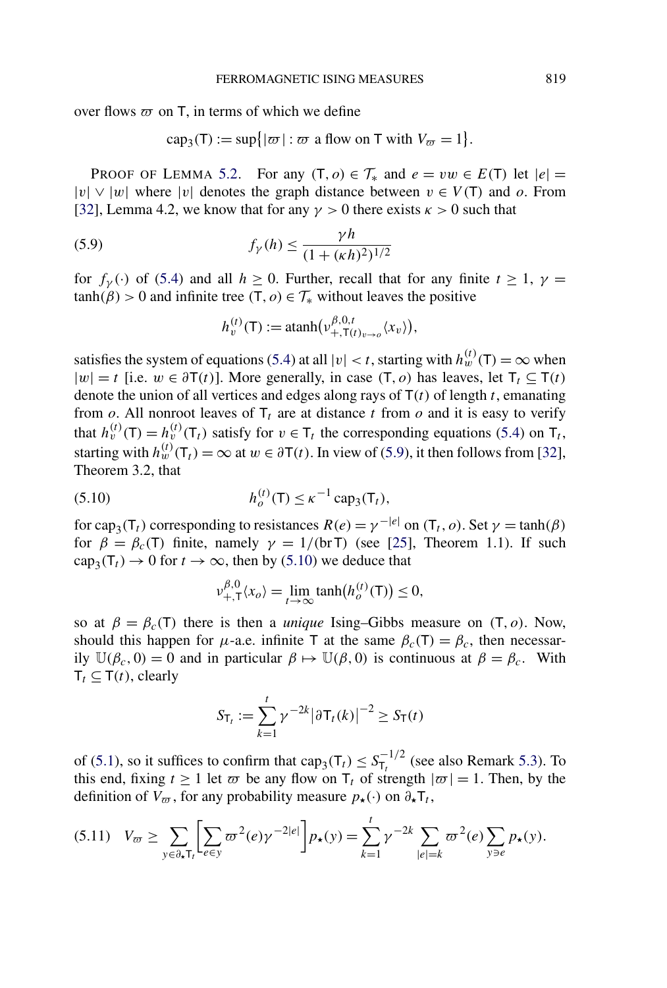<span id="page-39-0"></span>over flows  $\varpi$  on T, in terms of which we define

 $cap_3(T) := \sup\{|\varpi| : \varpi \text{ a flow on } T \text{ with } V_{\varpi} = 1\}.$ 

PROOF OF LEMMA [5.2.](#page-34-0) For any  $(T, o) \in T_*$  and  $e = vw \in E(T)$  let  $|e| =$ |*v*|∨|*w*| where |*v*| denotes the graph distance between *v* ∈ *V (*T*)* and *o*. From [\[32\]](#page-43-0), Lemma 4.2, we know that for any  $\gamma > 0$  there exists  $\kappa > 0$  such that

(5.9) 
$$
f_{\gamma}(h) \leq \frac{\gamma h}{(1 + (\kappa h)^2)^{1/2}}
$$

for  $f_\gamma(\cdot)$  of [\(5.4\)](#page-36-0) and all  $h \ge 0$ . Further, recall that for any finite  $t \ge 1$ ,  $\gamma =$  $tanh(\beta) > 0$  and infinite tree  $(T, o) \in T_*$  without leaves the positive

$$
h_{v}^{(t)}(\mathsf{T}):=\operatorname{atanh}(\nu_{+,\mathsf{T}(t)_{v\to o}}^{\beta,0,t}\langle x_{v}\rangle),
$$

satisfies the system of equations [\(5.4\)](#page-36-0) at all  $|v| < t$ , starting with  $h_w^{(t)}(\mathsf{T}) = \infty$  when  $|w| = t$  [i.e.  $w \in \partial T(t)$ ]. More generally, in case (T, o) has leaves, let  $T_t \subseteq T(t)$ denote the union of all vertices and edges along rays of T*(t)* of length *t*, emanating from  $o$ . All nonroot leaves of  $T_t$  are at distance  $t$  from  $o$  and it is easy to verify that  $h_v^{(t)}(\mathsf{T}) = h_v^{(t)}(\mathsf{T}_t)$  satisfy for  $v \in \mathsf{T}_t$  the corresponding equations [\(5.4\)](#page-36-0) on  $\mathsf{T}_t$ , starting with  $h_w^{(t)}(\mathsf{T}_t) = \infty$  at  $w \in \partial \mathsf{T}(t)$ . In view of (5.9), it then follows from [\[32\]](#page-43-0), Theorem 3.2, that

(5.10) 
$$
h_o^{(t)}(T) \le \kappa^{-1} \, \text{cap}_3(T_t),
$$

for cap<sub>3</sub>(T<sub>t</sub>)</sub> corresponding to resistances  $R(e) = \gamma^{-|e|}$  on  $(T_t, o)$ . Set  $\gamma = \tanh(\beta)$ for  $\beta = \beta_c(T)$  finite, namely  $\gamma = 1/(\text{br }T)$  (see [\[25\]](#page-43-0), Theorem 1.1). If such  $cap_3(T_t) \to 0$  for  $t \to \infty$ , then by (5.10) we deduce that

$$
\nu_{+,\mathsf{T}}^{\beta,\mathsf{0}}(x_o) = \lim_{t \to \infty} \tanh(h_o^{(t)}(\mathsf{T})) \le 0,
$$

so at  $\beta = \beta_c(T)$  there is then a *unique* Ising–Gibbs measure on  $(T, o)$ . Now, should this happen for *μ*-a.e. infinite T at the same  $\beta_c(T) = \beta_c$ , then necessarily  $\mathbb{U}(\beta_c, 0) = 0$  and in particular  $\beta \mapsto \mathbb{U}(\beta, 0)$  is continuous at  $\beta = \beta_c$ . With  $T_t \subseteq T(t)$ , clearly

$$
S_{\mathsf{T}_t} := \sum_{k=1}^t \gamma^{-2k} |\partial \mathsf{T}_t(k)|^{-2} \ge S_{\mathsf{T}}(t)
$$

of [\(5.1\)](#page-34-0), so it suffices to confirm that  $cap_3(T_t) \leq S_{T_t}^{-1/2}$  (see also Remark [5.3\)](#page-34-0). To this end, fixing  $t \ge 1$  let  $\varpi$  be any flow on  $T_t$  of strength  $|\varpi| = 1$ . Then, by the definition of  $V_{\overline{\omega}}$ , for any probability measure  $p_{\star}(\cdot)$  on  $\partial_{\star}T_t$ ,

$$
(5.11) \quad V_{\varpi} \ge \sum_{y \in \partial_{\star} T_{t}} \left[ \sum_{e \in y} \varpi^{2}(e) \gamma^{-2|e|} \right] p_{\star}(y) = \sum_{k=1}^{t} \gamma^{-2k} \sum_{|e|=k} \varpi^{2}(e) \sum_{y \ni e} p_{\star}(y).
$$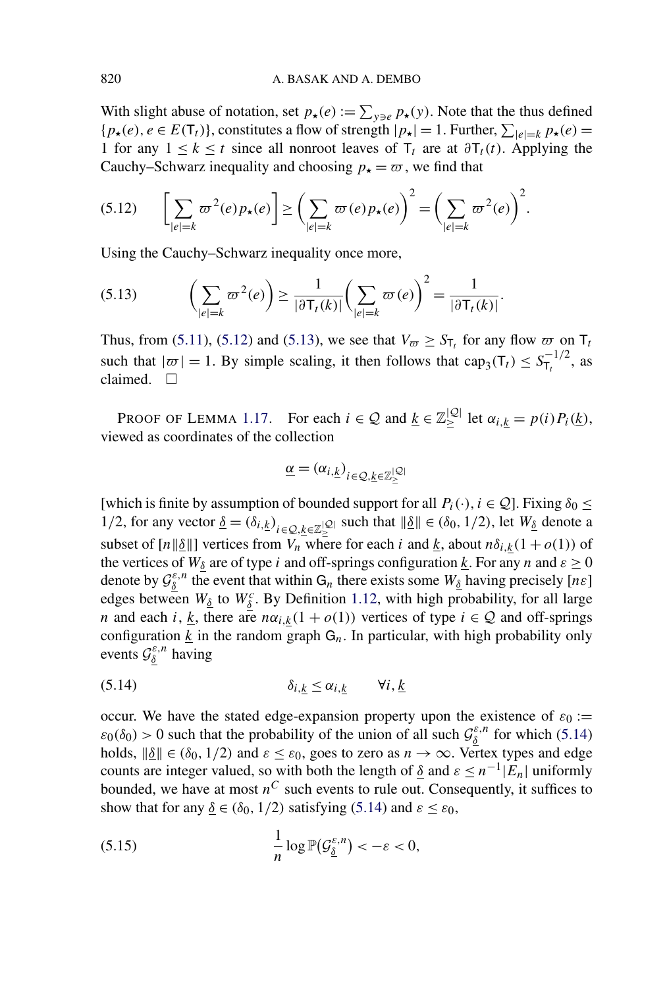With slight abuse of notation, set  $p_{\star}(e) := \sum_{y \ni e} p_{\star}(y)$ . Note that the thus defined  ${p_{\star}(e), e \in E(T_t)}$ , constitutes a flow of strength  $|p_{\star}| = 1$ . Further,  $\sum_{|e|=k} p_{\star}(e) =$ 1 for any  $1 \le k \le t$  since all nonroot leaves of  $T_t$  are at  $\partial T_t(t)$ . Applying the Cauchy–Schwarz inequality and choosing  $p_{\star} = \varpi$ , we find that

$$
(5.12) \qquad \bigg[\sum_{|e|=k} \varpi^2(e) p_\star(e)\bigg] \ge \bigg(\sum_{|e|=k} \varpi(e) p_\star(e)\bigg)^2 = \bigg(\sum_{|e|=k} \varpi^2(e)\bigg)^2.
$$

Using the Cauchy–Schwarz inequality once more,

$$
(5.13) \qquad \left(\sum_{|e|=k} \varpi^2(e)\right) \ge \frac{1}{|\partial \mathsf{T}_t(k)|} \left(\sum_{|e|=k} \varpi(e)\right)^2 = \frac{1}{|\partial \mathsf{T}_t(k)|}.
$$

Thus, from [\(5.11\)](#page-39-0), (5.12) and (5.13), we see that  $V_{\varpi} \geq S_{\tau}$  for any flow  $\varpi$  on  $\tau_t$ such that  $|\varpi| = 1$ . By simple scaling, it then follows that cap<sub>3</sub>(T<sub>t</sub>)  $\leq S_{T_t}^{-1/2}$ , as claimed.  $\square$ 

PROOF OF LEMMA [1.17.](#page-9-0) For each  $i \in \mathcal{Q}$  and  $\underline{k} \in \mathbb{Z}^{|\mathcal{Q}|}_\geq$  let  $\alpha_{i,\underline{k}} = p(i)P_i(\underline{k})$ , viewed as coordinates of the collection

$$
\underline{\alpha} = (\alpha_{i,\underline{k}})_{i \in \mathcal{Q}, \underline{k} \in \mathbb{Z}^{|\mathcal{Q}|}_\geq}
$$

[which is finite by assumption of bounded support for all  $P_i(\cdot), i \in \mathcal{Q}$ ]. Fixing  $\delta_0 \leq$ 1/2, for any vector  $\underline{\delta} = (\delta_{i,k})_{i \in \mathcal{Q}, \underline{k} \in \mathbb{Z}_{\geq}^{|\mathcal{Q}|}}$  such that  $\|\underline{\delta}\| \in (\delta_0, 1/2)$ , let  $W_{\underline{\delta}}$  denote a subset of  $[n||\delta|]$  vertices from  $V_n$  where for each *i* and *k*, about  $n\delta_{i,k}(1+o(1))$  of the vertices of  $W_\delta$  are of type *i* and off-springs configuration <u>k</u>. For any *n* and  $\varepsilon \ge 0$ denote by  $\mathcal{G}_{\underline{\delta}}^{\varepsilon,n}$  the event that within  $G_n$  there exists some  $W_{\underline{\delta}}$  having precisely [ $n\varepsilon$ ] edges between  $W_{\underline{\delta}}$  to  $W_{\underline{\delta}}^c$ . By Definition [1.12,](#page-7-0) with high probability, for all large *n* and each *i*, <u>*k*</u>, there are  $n\alpha_{i,k}(1 + o(1))$  vertices of type  $i \in \mathcal{Q}$  and off-springs configuration  $k$  in the random graph  $G_n$ . In particular, with high probability only events  $\mathcal{G}_{\underline{\delta}}^{\varepsilon,n}$  having

$$
\delta_{i,k} \leq \alpha_{i,k} \qquad \forall i, \underline{k}
$$

occur. We have the stated edge-expansion property upon the existence of  $\varepsilon_0 :=$  $\varepsilon_0(\delta_0) > 0$  such that the probability of the union of all such  $\mathcal{G}_{\underline{\delta}}^{\varepsilon,n}$  for which (5.14) holds,  $\|\underline{\delta}\| \in (\delta_0, 1/2)$  and  $\varepsilon \leq \varepsilon_0$ , goes to zero as  $n \to \infty$ . Vertex types and edge counts are integer valued, so with both the length of  $\delta$  and  $\varepsilon \leq n^{-1}|\mathbf{E}_n|$  uniformly bounded, we have at most  $n^C$  such events to rule out. Consequently, it suffices to show that for any  $\underline{\delta} \in (\delta_0, 1/2)$  satisfying (5.14) and  $\varepsilon \leq \varepsilon_0$ ,

(5.15) 
$$
\frac{1}{n}\log \mathbb{P}(\mathcal{G}_{\underline{\delta}}^{\varepsilon,n}) < -\varepsilon < 0,
$$

<span id="page-40-0"></span>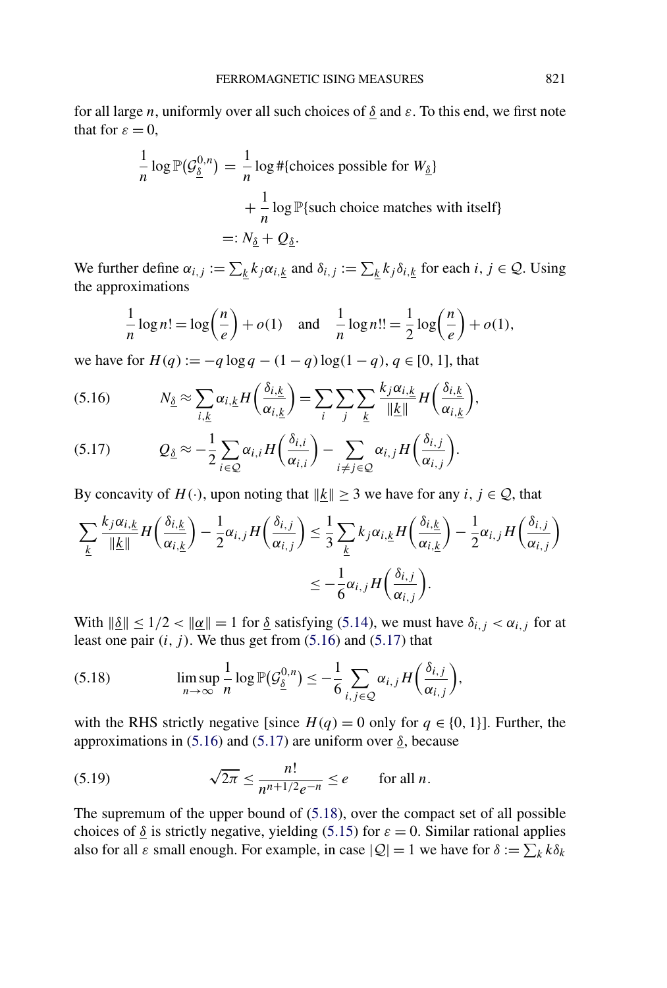<span id="page-41-0"></span>for all large *n*, uniformly over all such choices of *δ* and *ε*. To this end, we first note that for  $\varepsilon = 0$ ,

$$
\frac{1}{n}\log \mathbb{P}(\mathcal{G}_{\underline{\delta}}^{0,n}) = \frac{1}{n}\log \# \{\text{choices possible for } W_{\underline{\delta}}\}
$$

$$
+ \frac{1}{n}\log \mathbb{P} \{\text{such choice matches with itself}\}
$$

$$
=: N_{\underline{\delta}} + Q_{\underline{\delta}}.
$$

We further define  $\alpha_{i,j} := \sum_k k_j \alpha_{i,k}$  and  $\delta_{i,j} := \sum_k k_j \delta_{i,k}$  for each  $i, j \in \mathcal{Q}$ . Using the approximations

$$
\frac{1}{n}\log n! = \log\left(\frac{n}{e}\right) + o(1) \quad \text{and} \quad \frac{1}{n}\log n!! = \frac{1}{2}\log\left(\frac{n}{e}\right) + o(1),
$$

we have for  $H(q) := -q \log q - (1 - q) \log(1 - q)$ ,  $q \in [0, 1]$ , that

$$
(5.16) \t N_{\underline{\delta}} \approx \sum_{i,\underline{k}} \alpha_{i,\underline{k}} H\left(\frac{\delta_{i,\underline{k}}}{\alpha_{i,\underline{k}}}\right) = \sum_{i} \sum_{j} \sum_{\underline{k}} \frac{k_j \alpha_{i,\underline{k}}}{\|\underline{k}\|} H\left(\frac{\delta_{i,\underline{k}}}{\alpha_{i,\underline{k}}}\right),
$$

$$
(5.17) \tQ_{\underline{\delta}} \approx -\frac{1}{2} \sum_{i \in \mathcal{Q}} \alpha_{i,i} H\left(\frac{\delta_{i,i}}{\alpha_{i,i}}\right) - \sum_{i \neq j \in \mathcal{Q}} \alpha_{i,j} H\left(\frac{\delta_{i,j}}{\alpha_{i,j}}\right).
$$

By concavity of  $H(\cdot)$ , upon noting that  $||\underline{k}|| \geq 3$  we have for any  $i, j \in \mathcal{Q}$ , that

$$
\sum_{\underline{k}} \frac{k_j \alpha_{i,\underline{k}}}{\|\underline{k}\|} H\left(\frac{\delta_{i,\underline{k}}}{\alpha_{i,\underline{k}}}\right) - \frac{1}{2} \alpha_{i,j} H\left(\frac{\delta_{i,j}}{\alpha_{i,j}}\right) \le \frac{1}{3} \sum_{\underline{k}} k_j \alpha_{i,\underline{k}} H\left(\frac{\delta_{i,\underline{k}}}{\alpha_{i,\underline{k}}}\right) - \frac{1}{2} \alpha_{i,j} H\left(\frac{\delta_{i,j}}{\alpha_{i,j}}\right)
$$

$$
\le -\frac{1}{6} \alpha_{i,j} H\left(\frac{\delta_{i,j}}{\alpha_{i,j}}\right).
$$

With  $\|\underline{\delta}\| \le 1/2 < \|\underline{\alpha}\| = 1$  for <u> $\delta$ </u> satisfying [\(5.14\)](#page-40-0), we must have  $\delta_{i,j} < \alpha_{i,j}$  for at least one pair  $(i, j)$ . We thus get from  $(5.16)$  and  $(5.17)$  that

(5.18) 
$$
\limsup_{n\to\infty}\frac{1}{n}\log \mathbb{P}(\mathcal{G}_{\underline{\delta}}^{0,n})\leq -\frac{1}{6}\sum_{i,j\in\mathcal{Q}}\alpha_{i,j}H\bigg(\frac{\delta_{i,j}}{\alpha_{i,j}}\bigg),
$$

with the RHS strictly negative [since  $H(q) = 0$  only for  $q \in \{0, 1\}$ ]. Further, the approximations in (5.16) and (5.17) are uniform over  $\delta$ , because

(5.19) 
$$
\sqrt{2\pi} \leq \frac{n!}{n^{n+1/2}e^{-n}} \leq e \quad \text{for all } n.
$$

The supremum of the upper bound of (5.18), over the compact set of all possible choices of  $\delta$  is strictly negative, yielding [\(5.15\)](#page-40-0) for  $\varepsilon = 0$ . Similar rational applies also for all  $\varepsilon$  small enough. For example, in case  $|Q| = 1$  we have for  $\delta := \sum_k k \delta_k$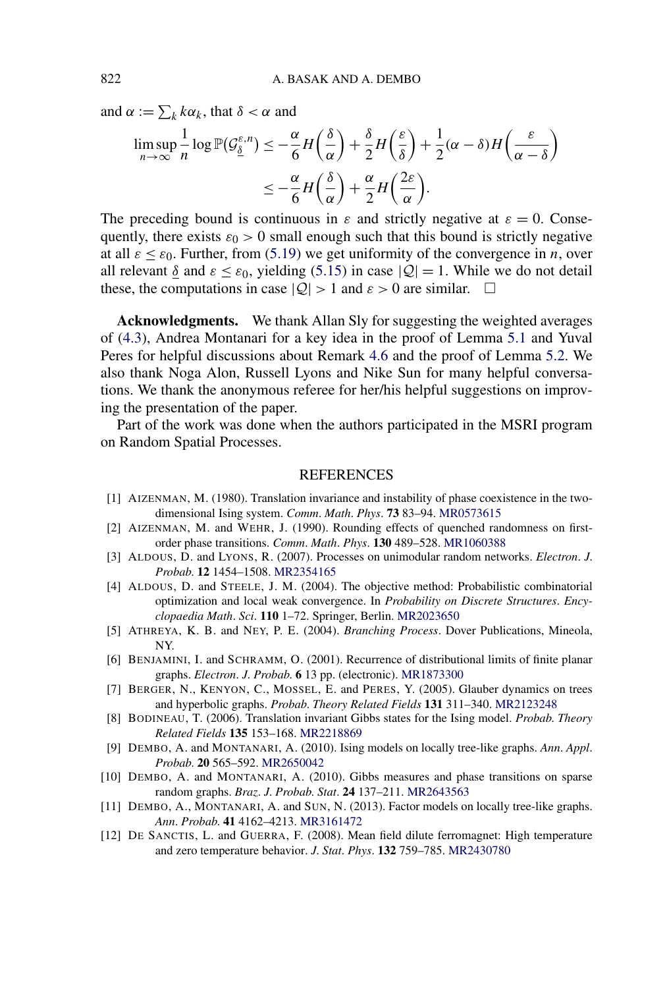<span id="page-42-0"></span>and  $\alpha := \sum_k k \alpha_k$ , that  $\delta < \alpha$  and

$$
\limsup_{n \to \infty} \frac{1}{n} \log \mathbb{P}(\mathcal{G}_{\underline{\delta}}^{\varepsilon,n}) \leq -\frac{\alpha}{6} H\left(\frac{\delta}{\alpha}\right) + \frac{\delta}{2} H\left(\frac{\varepsilon}{\delta}\right) + \frac{1}{2} (\alpha - \delta) H\left(\frac{\varepsilon}{\alpha - \delta}\right)
$$

$$
\leq -\frac{\alpha}{6} H\left(\frac{\delta}{\alpha}\right) + \frac{\alpha}{2} H\left(\frac{2\varepsilon}{\alpha}\right).
$$

The preceding bound is continuous in  $\varepsilon$  and strictly negative at  $\varepsilon = 0$ . Consequently, there exists  $\varepsilon_0 > 0$  small enough such that this bound is strictly negative at all  $\varepsilon \leq \varepsilon_0$ . Further, from [\(5.19\)](#page-41-0) we get uniformity of the convergence in *n*, over all relevant  $\delta$  and  $\varepsilon \leq \varepsilon_0$ , yielding [\(5.15\)](#page-40-0) in case  $|Q| = 1$ . While we do not detail these, the computations in case  $|Q| > 1$  and  $\varepsilon > 0$  are similar.  $\Box$ 

**Acknowledgments.** We thank Allan Sly for suggesting the weighted averages of [\(4.3\)](#page-24-0), Andrea Montanari for a key idea in the proof of Lemma [5.1](#page-34-0) and Yuval Peres for helpful discussions about Remark [4.6](#page-28-0) and the proof of Lemma [5.2.](#page-34-0) We also thank Noga Alon, Russell Lyons and Nike Sun for many helpful conversations. We thank the anonymous referee for her/his helpful suggestions on improving the presentation of the paper.

Part of the work was done when the authors participated in the MSRI program on Random Spatial Processes.

## REFERENCES

- [1] AIZENMAN, M. (1980). Translation invariance and instability of phase coexistence in the twodimensional Ising system. *Comm*. *Math*. *Phys*. **73** 83–94. [MR0573615](http://www.ams.org/mathscinet-getitem?mr=0573615)
- [2] AIZENMAN, M. and WEHR, J. (1990). Rounding effects of quenched randomness on firstorder phase transitions. *Comm*. *Math*. *Phys*. **130** 489–528. [MR1060388](http://www.ams.org/mathscinet-getitem?mr=1060388)
- [3] ALDOUS, D. and LYONS, R. (2007). Processes on unimodular random networks. *Electron*. *J*. *Probab*. **12** 1454–1508. [MR2354165](http://www.ams.org/mathscinet-getitem?mr=2354165)
- [4] ALDOUS, D. and STEELE, J. M. (2004). The objective method: Probabilistic combinatorial optimization and local weak convergence. In *Probability on Discrete Structures*. *Encyclopaedia Math*. *Sci*. **110** 1–72. Springer, Berlin. [MR2023650](http://www.ams.org/mathscinet-getitem?mr=2023650)
- [5] ATHREYA, K. B. and NEY, P. E. (2004). *Branching Process*. Dover Publications, Mineola, NY.
- [6] BENJAMINI, I. and SCHRAMM, O. (2001). Recurrence of distributional limits of finite planar graphs. *Electron*. *J*. *Probab*. **6** 13 pp. (electronic). [MR1873300](http://www.ams.org/mathscinet-getitem?mr=1873300)
- [7] BERGER, N., KENYON, C., MOSSEL, E. and PERES, Y. (2005). Glauber dynamics on trees and hyperbolic graphs. *Probab*. *Theory Related Fields* **131** 311–340. [MR2123248](http://www.ams.org/mathscinet-getitem?mr=2123248)
- [8] BODINEAU, T. (2006). Translation invariant Gibbs states for the Ising model. *Probab*. *Theory Related Fields* **135** 153–168. [MR2218869](http://www.ams.org/mathscinet-getitem?mr=2218869)
- [9] DEMBO, A. and MONTANARI, A. (2010). Ising models on locally tree-like graphs. *Ann*. *Appl*. *Probab*. **20** 565–592. [MR2650042](http://www.ams.org/mathscinet-getitem?mr=2650042)
- [10] DEMBO, A. and MONTANARI, A. (2010). Gibbs measures and phase transitions on sparse random graphs. *Braz*. *J*. *Probab*. *Stat*. **24** 137–211. [MR2643563](http://www.ams.org/mathscinet-getitem?mr=2643563)
- [11] DEMBO, A., MONTANARI, A. and SUN, N. (2013). Factor models on locally tree-like graphs. *Ann*. *Probab*. **41** 4162–4213. [MR3161472](http://www.ams.org/mathscinet-getitem?mr=3161472)
- [12] DE SANCTIS, L. and GUERRA, F. (2008). Mean field dilute ferromagnet: High temperature and zero temperature behavior. *J*. *Stat*. *Phys*. **132** 759–785. [MR2430780](http://www.ams.org/mathscinet-getitem?mr=2430780)